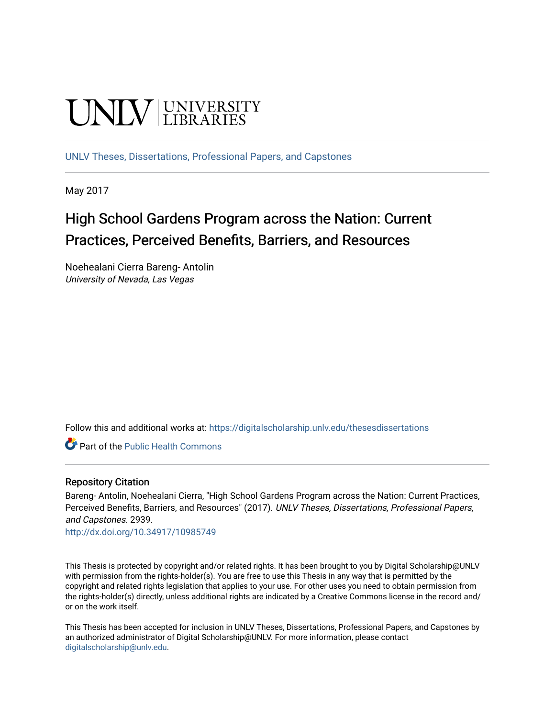# **UNIVERSITY**

[UNLV Theses, Dissertations, Professional Papers, and Capstones](https://digitalscholarship.unlv.edu/thesesdissertations)

May 2017

# High School Gardens Program across the Nation: Current Practices, Perceived Benefits, Barriers, and Resources

Noehealani Cierra Bareng- Antolin University of Nevada, Las Vegas

Follow this and additional works at: [https://digitalscholarship.unlv.edu/thesesdissertations](https://digitalscholarship.unlv.edu/thesesdissertations?utm_source=digitalscholarship.unlv.edu%2Fthesesdissertations%2F2939&utm_medium=PDF&utm_campaign=PDFCoverPages)

**Part of the Public Health Commons** 

#### Repository Citation

Bareng- Antolin, Noehealani Cierra, "High School Gardens Program across the Nation: Current Practices, Perceived Benefits, Barriers, and Resources" (2017). UNLV Theses, Dissertations, Professional Papers, and Capstones. 2939.

<http://dx.doi.org/10.34917/10985749>

This Thesis is protected by copyright and/or related rights. It has been brought to you by Digital Scholarship@UNLV with permission from the rights-holder(s). You are free to use this Thesis in any way that is permitted by the copyright and related rights legislation that applies to your use. For other uses you need to obtain permission from the rights-holder(s) directly, unless additional rights are indicated by a Creative Commons license in the record and/ or on the work itself.

This Thesis has been accepted for inclusion in UNLV Theses, Dissertations, Professional Papers, and Capstones by an authorized administrator of Digital Scholarship@UNLV. For more information, please contact [digitalscholarship@unlv.edu](mailto:digitalscholarship@unlv.edu).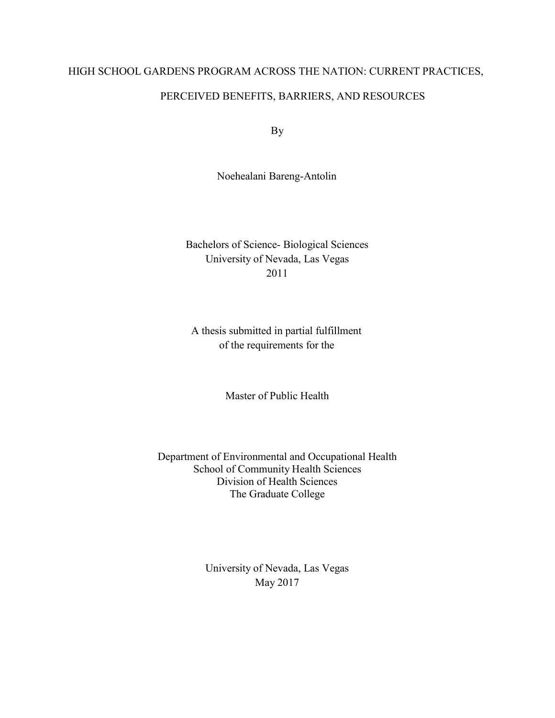### HIGH SCHOOL GARDENS PROGRAM ACROSS THE NATION: CURRENT PRACTICES,

#### PERCEIVED BENEFITS, BARRIERS, AND RESOURCES

By

Noehealani Bareng-Antolin

Bachelors of Science- Biological Sciences University of Nevada, Las Vegas 2011

A thesis submitted in partial fulfillment of the requirements for the

Master of Public Health

Department of Environmental and Occupational Health School of Community Health Sciences Division of Health Sciences The Graduate College

> University of Nevada, Las Vegas May 2017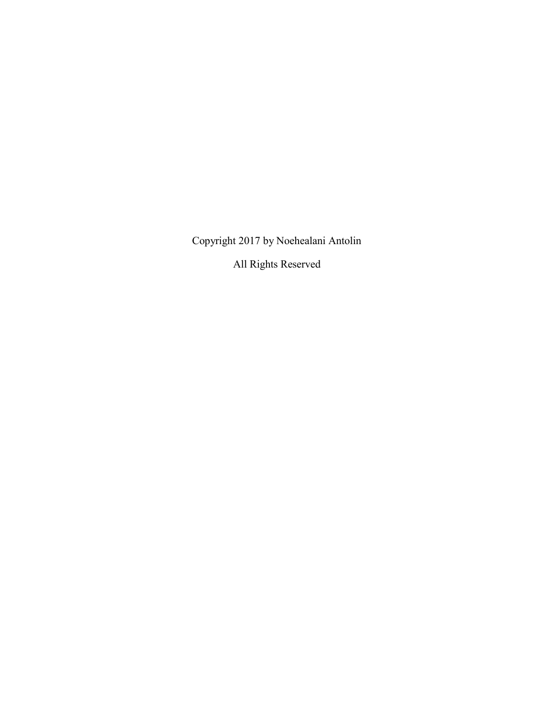Copyright 2017 by Noehealani Antolin

All Rights Reserved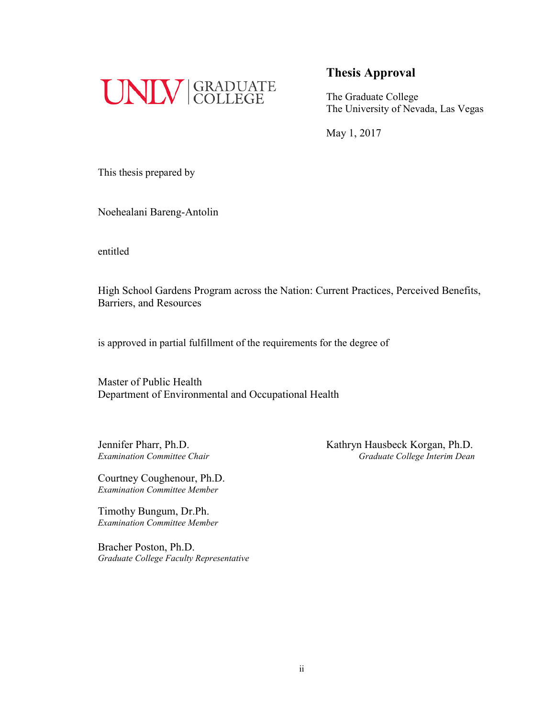

The Graduate College The University of Nevada, Las Vegas

May 1, 2017

This thesis prepared by

Noehealani Bareng-Antolin

entitled

High School Gardens Program across the Nation: Current Practices, Perceived Benefits, Barriers, and Resources

is approved in partial fulfillment of the requirements for the degree of

Master of Public Health Department of Environmental and Occupational Health

Jennifer Pharr, Ph.D. Kathryn Hausbeck Korgan, Ph.D. *Examination Committee Chair Graduate College Interim Dean*

Courtney Coughenour, Ph.D. *Examination Committee Member*

Timothy Bungum, Dr.Ph. *Examination Committee Member*

Bracher Poston, Ph.D. *Graduate College Faculty Representative*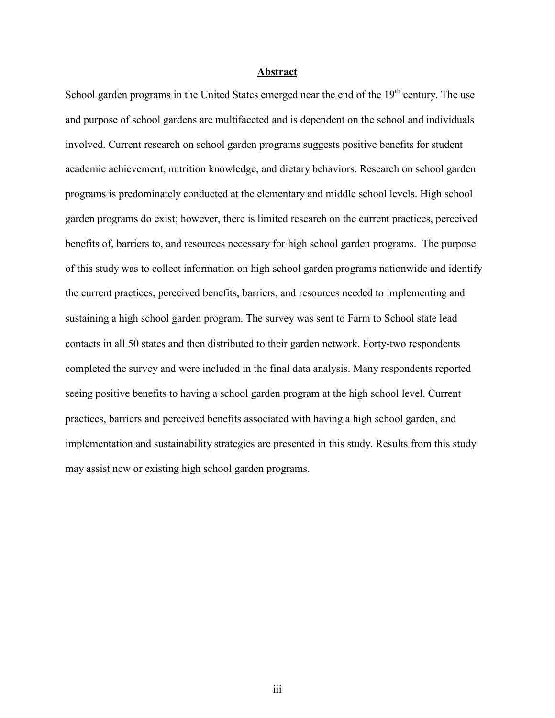#### **Abstract**

School garden programs in the United States emerged near the end of the 19<sup>th</sup> century. The use and purpose of school gardens are multifaceted and is dependent on the school and individuals involved. Current research on school garden programs suggests positive benefits for student academic achievement, nutrition knowledge, and dietary behaviors. Research on school garden programs is predominately conducted at the elementary and middle school levels. High school garden programs do exist; however, there is limited research on the current practices, perceived benefits of, barriers to, and resources necessary for high school garden programs. The purpose of this study was to collect information on high school garden programs nationwide and identify the current practices, perceived benefits, barriers, and resources needed to implementing and sustaining a high school garden program. The survey was sent to Farm to School state lead contacts in all 50 states and then distributed to their garden network. Forty-two respondents completed the survey and were included in the final data analysis. Many respondents reported seeing positive benefits to having a school garden program at the high school level. Current practices, barriers and perceived benefits associated with having a high school garden, and implementation and sustainability strategies are presented in this study. Results from this study may assist new or existing high school garden programs.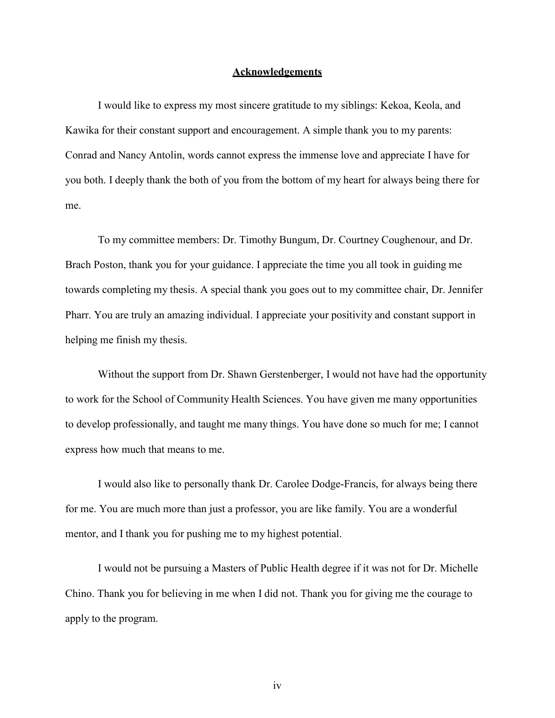#### **Acknowledgements**

I would like to express my most sincere gratitude to my siblings: Kekoa, Keola, and Kawika for their constant support and encouragement. A simple thank you to my parents: Conrad and Nancy Antolin, words cannot express the immense love and appreciate I have for you both. I deeply thank the both of you from the bottom of my heart for always being there for me.

To my committee members: Dr. Timothy Bungum, Dr. Courtney Coughenour, and Dr. Brach Poston, thank you for your guidance. I appreciate the time you all took in guiding me towards completing my thesis. A special thank you goes out to my committee chair, Dr. Jennifer Pharr. You are truly an amazing individual. I appreciate your positivity and constant support in helping me finish my thesis.

Without the support from Dr. Shawn Gerstenberger, I would not have had the opportunity to work for the School of Community Health Sciences. You have given me many opportunities to develop professionally, and taught me many things. You have done so much for me; I cannot express how much that means to me.

I would also like to personally thank Dr. Carolee Dodge-Francis, for always being there for me. You are much more than just a professor, you are like family. You are a wonderful mentor, and I thank you for pushing me to my highest potential.

I would not be pursuing a Masters of Public Health degree if it was not for Dr. Michelle Chino. Thank you for believing in me when I did not. Thank you for giving me the courage to apply to the program.

iv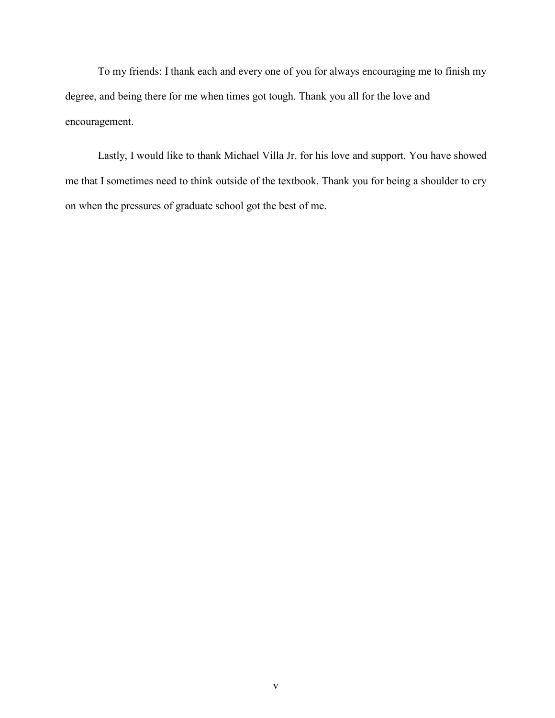To my friends: I thank each and every one of you for always encouraging me to finish my degree, and being there for me when times got tough. Thank you all for the love and encouragement.

Lastly, I would like to thank Michael Villa Jr. for his love and support. You have showed me that I sometimes need to think outside of the textbook. Thank you for being a shoulder to cry on when the pressures of graduate school got the best of me.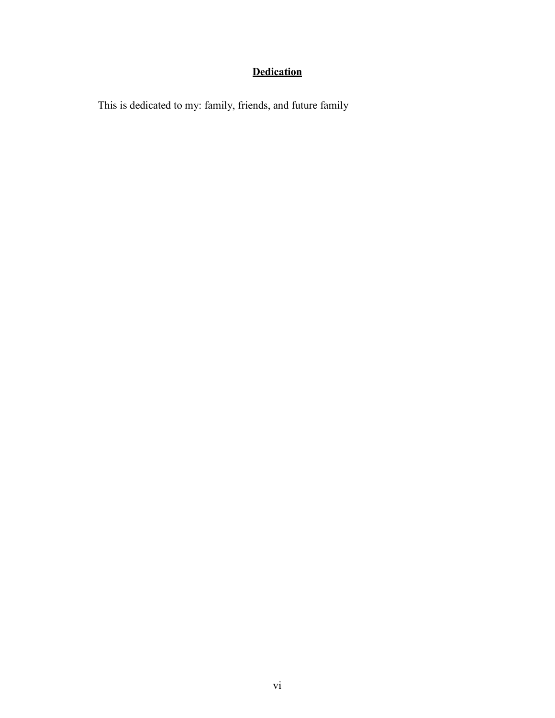## **Dedication**

This is dedicated to my: family, friends, and future family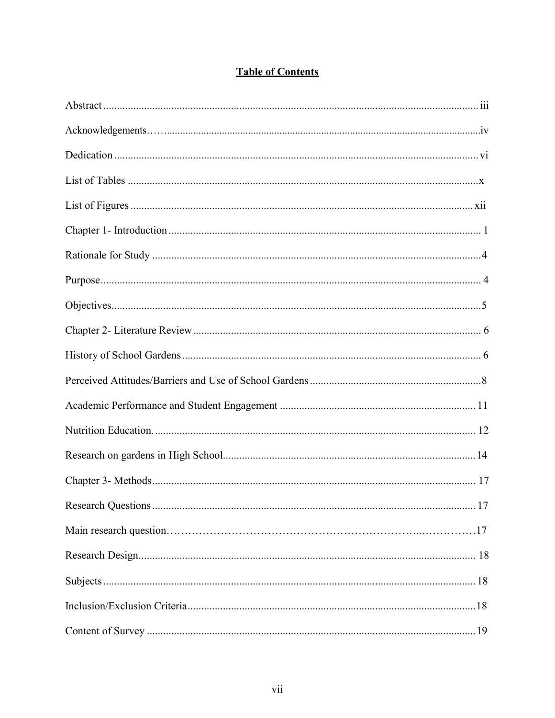| .17 |
|-----|
|     |
|     |
|     |
|     |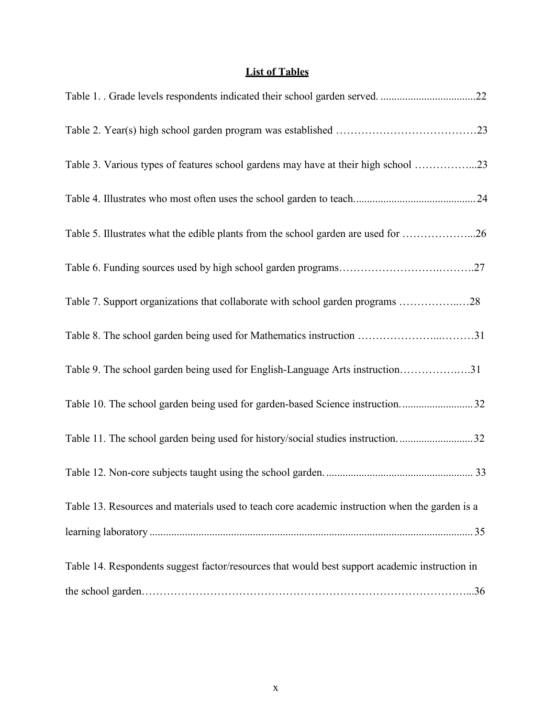#### **List of Tables**

| Table 3. Various types of features school gardens may have at their high school 23             |  |
|------------------------------------------------------------------------------------------------|--|
|                                                                                                |  |
| Table 5. Illustrates what the edible plants from the school garden are used for 26             |  |
|                                                                                                |  |
| Table 7. Support organizations that collaborate with school garden programs 28                 |  |
| Table 8. The school garden being used for Mathematics instruction 31                           |  |
| Table 9. The school garden being used for English-Language Arts instruction31                  |  |
| Table 10. The school garden being used for garden-based Science instruction32                  |  |
| Table 11. The school garden being used for history/social studies instruction32                |  |
|                                                                                                |  |
| Table 13. Resources and materials used to teach core academic instruction when the garden is a |  |
|                                                                                                |  |
| Table 14. Respondents suggest factor/resources that would best support academic instruction in |  |
|                                                                                                |  |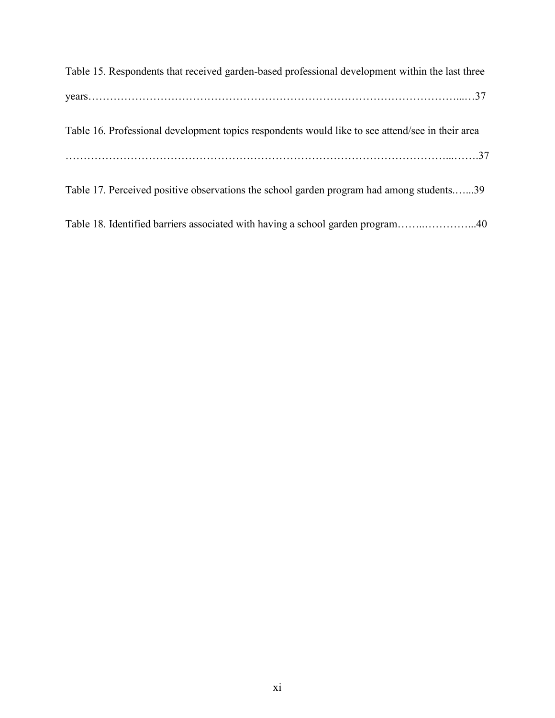| Table 15. Respondents that received garden-based professional development within the last three  |
|--------------------------------------------------------------------------------------------------|
|                                                                                                  |
| Table 16. Professional development topics respondents would like to see attend/see in their area |
|                                                                                                  |
| Table 17. Perceived positive observations the school garden program had among students39         |
| Table 18. Identified barriers associated with having a school garden program40                   |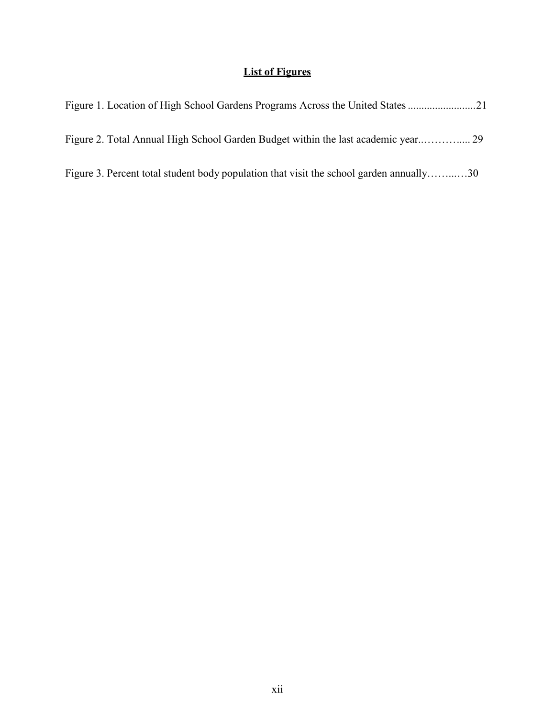#### **List of Figures**

| Figure 3. Percent total student body population that visit the school garden annually30 |  |
|-----------------------------------------------------------------------------------------|--|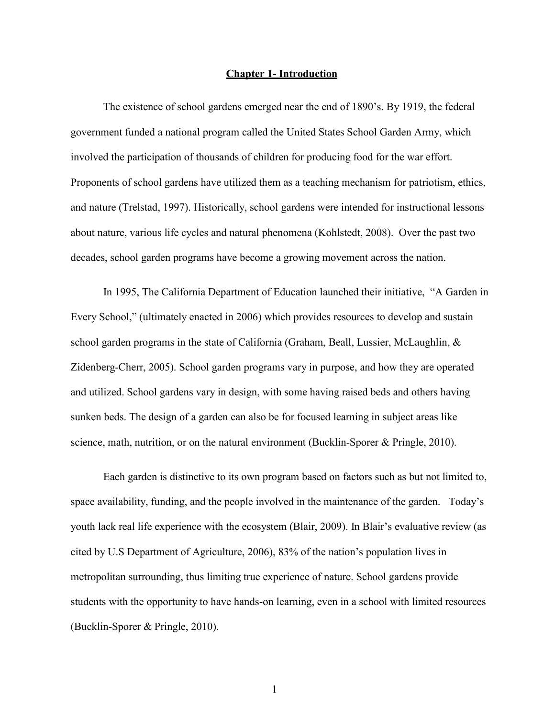#### **Chapter 1- Introduction**

The existence of school gardens emerged near the end of 1890's. By 1919, the federal government funded a national program called the United States School Garden Army, which involved the participation of thousands of children for producing food for the war effort. Proponents of school gardens have utilized them as a teaching mechanism for patriotism, ethics, and nature (Trelstad, 1997). Historically, school gardens were intended for instructional lessons about nature, various life cycles and natural phenomena (Kohlstedt, 2008). Over the past two decades, school garden programs have become a growing movement across the nation.

In 1995, The California Department of Education launched their initiative, "A Garden in Every School," (ultimately enacted in 2006) which provides resources to develop and sustain school garden programs in the state of California (Graham, Beall, Lussier, McLaughlin, & Zidenberg-Cherr, 2005). School garden programs vary in purpose, and how they are operated and utilized. School gardens vary in design, with some having raised beds and others having sunken beds. The design of a garden can also be for focused learning in subject areas like science, math, nutrition, or on the natural environment (Bucklin-Sporer & Pringle, 2010).

Each garden is distinctive to its own program based on factors such as but not limited to, space availability, funding, and the people involved in the maintenance of the garden. Today's youth lack real life experience with the ecosystem (Blair, 2009). In Blair's evaluative review (as cited by U.S Department of Agriculture, 2006), 83% of the nation's population lives in metropolitan surrounding, thus limiting true experience of nature. School gardens provide students with the opportunity to have hands-on learning, even in a school with limited resources (Bucklin-Sporer & Pringle, 2010).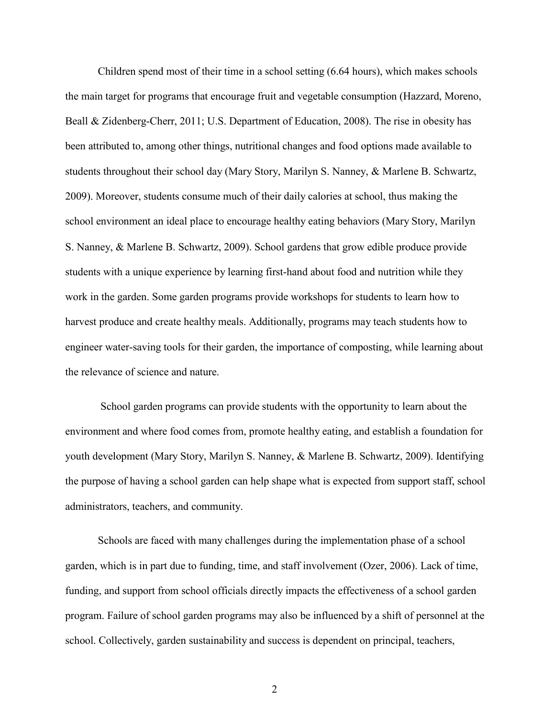Children spend most of their time in a school setting (6.64 hours), which makes schools the main target for programs that encourage fruit and vegetable consumption (Hazzard, Moreno, Beall & Zidenberg-Cherr, 2011; U.S. Department of Education, 2008). The rise in obesity has been attributed to, among other things, nutritional changes and food options made available to students throughout their school day (Mary Story, Marilyn S. Nanney, & Marlene B. Schwartz, 2009). Moreover, students consume much of their daily calories at school, thus making the school environment an ideal place to encourage healthy eating behaviors (Mary Story, Marilyn S. Nanney, & Marlene B. Schwartz, 2009). School gardens that grow edible produce provide students with a unique experience by learning first-hand about food and nutrition while they work in the garden. Some garden programs provide workshops for students to learn how to harvest produce and create healthy meals. Additionally, programs may teach students how to engineer water-saving tools for their garden, the importance of composting, while learning about the relevance of science and nature.

School garden programs can provide students with the opportunity to learn about the environment and where food comes from, promote healthy eating, and establish a foundation for youth development (Mary Story, Marilyn S. Nanney, & Marlene B. Schwartz, 2009). Identifying the purpose of having a school garden can help shape what is expected from support staff, school administrators, teachers, and community.

Schools are faced with many challenges during the implementation phase of a school garden, which is in part due to funding, time, and staff involvement (Ozer, 2006). Lack of time, funding, and support from school officials directly impacts the effectiveness of a school garden program. Failure of school garden programs may also be influenced by a shift of personnel at the school. Collectively, garden sustainability and success is dependent on principal, teachers,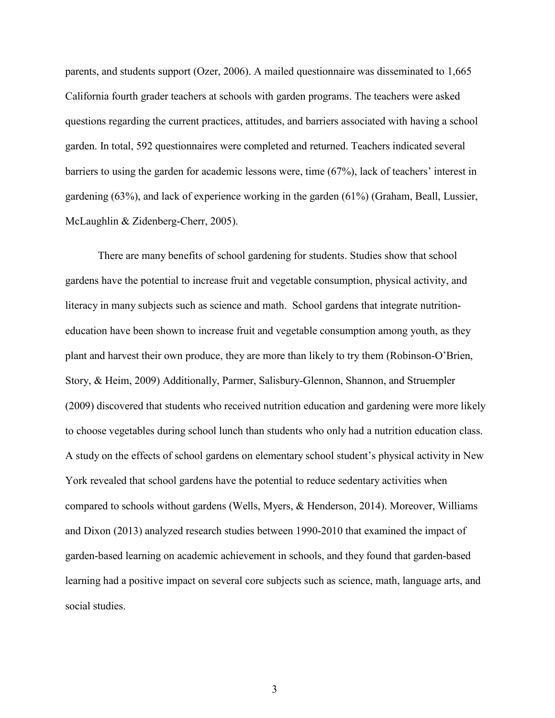parents, and students support (Ozer, 2006). A mailed questionnaire was disseminated to 1,665 California fourth grader teachers at schools with garden programs. The teachers were asked questions regarding the current practices, attitudes, and barriers associated with having a school garden. In total, 592 questionnaires were completed and returned. Teachers indicated several barriers to using the garden for academic lessons were, time (67%), lack of teachers' interest in gardening (63%), and lack of experience working in the garden (61%) (Graham, Beall, Lussier, McLaughlin & Zidenberg-Cherr, 2005).

There are many benefits of school gardening for students. Studies show that school gardens have the potential to increase fruit and vegetable consumption, physical activity, and literacy in many subjects such as science and math. School gardens that integrate nutritioneducation have been shown to increase fruit and vegetable consumption among youth, as they plant and harvest their own produce, they are more than likely to try them (Robinson-O'Brien, Story, & Heim, 2009) Additionally, Parmer, Salisbury-Glennon, Shannon, and Struempler (2009) discovered that students who received nutrition education and gardening were more likely to choose vegetables during school lunch than students who only had a nutrition education class. A study on the effects of school gardens on elementary school student's physical activity in New York revealed that school gardens have the potential to reduce sedentary activities when compared to schools without gardens (Wells, Myers, & Henderson, 2014). Moreover, Williams and Dixon (2013) analyzed research studies between 1990-2010 that examined the impact of garden-based learning on academic achievement in schools, and they found that garden-based learning had a positive impact on several core subjects such as science, math, language arts, and social studies.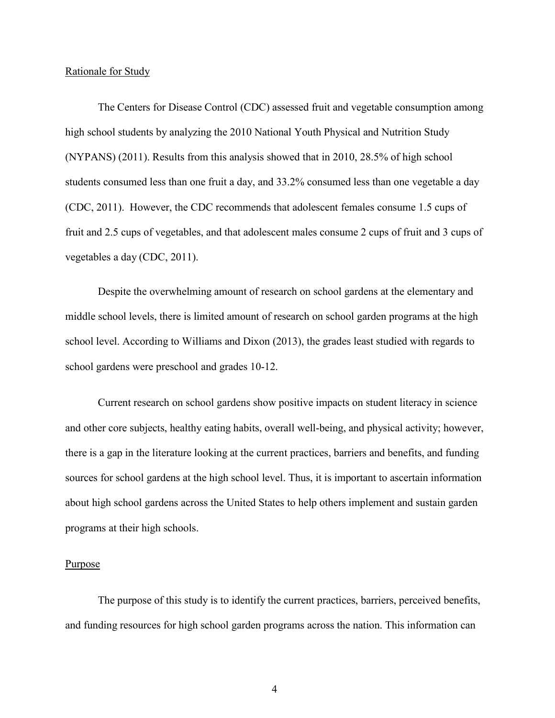#### Rationale for Study

The Centers for Disease Control (CDC) assessed fruit and vegetable consumption among high school students by analyzing the 2010 National Youth Physical and Nutrition Study (NYPANS) (2011). Results from this analysis showed that in 2010, 28.5% of high school students consumed less than one fruit a day, and 33.2% consumed less than one vegetable a day (CDC, 2011). However, the CDC recommends that adolescent females consume 1.5 cups of fruit and 2.5 cups of vegetables, and that adolescent males consume 2 cups of fruit and 3 cups of vegetables a day (CDC, 2011).

Despite the overwhelming amount of research on school gardens at the elementary and middle school levels, there is limited amount of research on school garden programs at the high school level. According to Williams and Dixon (2013), the grades least studied with regards to school gardens were preschool and grades 10-12.

Current research on school gardens show positive impacts on student literacy in science and other core subjects, healthy eating habits, overall well-being, and physical activity; however, there is a gap in the literature looking at the current practices, barriers and benefits, and funding sources for school gardens at the high school level. Thus, it is important to ascertain information about high school gardens across the United States to help others implement and sustain garden programs at their high schools.

#### Purpose

The purpose of this study is to identify the current practices, barriers, perceived benefits, and funding resources for high school garden programs across the nation. This information can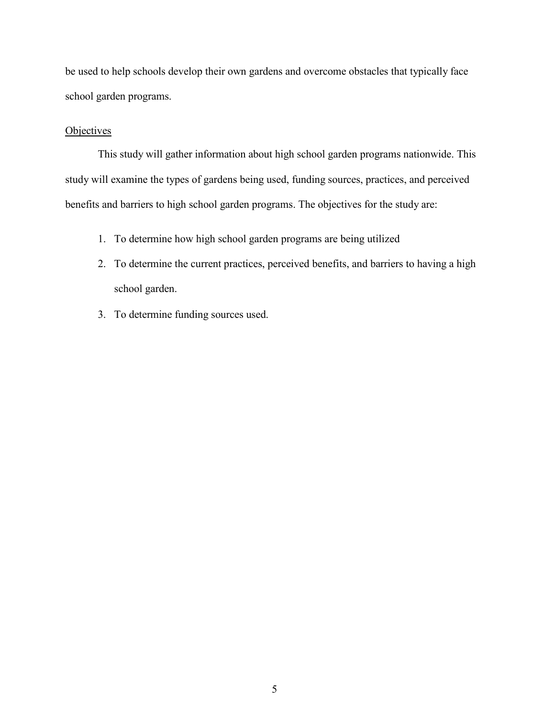be used to help schools develop their own gardens and overcome obstacles that typically face school garden programs.

#### **Objectives**

This study will gather information about high school garden programs nationwide. This study will examine the types of gardens being used, funding sources, practices, and perceived benefits and barriers to high school garden programs. The objectives for the study are:

- 1. To determine how high school garden programs are being utilized
- 2. To determine the current practices, perceived benefits, and barriers to having a high school garden.
- 3. To determine funding sources used.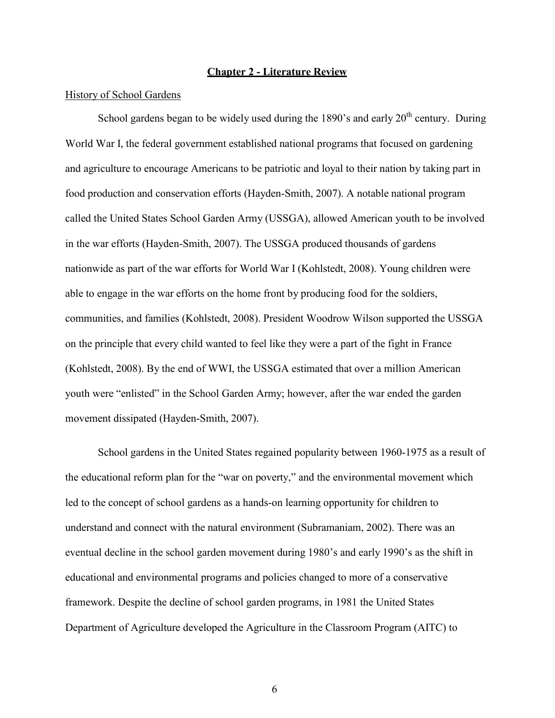#### **Chapter 2 - Literature Review**

#### History of School Gardens

School gardens began to be widely used during the 1890's and early  $20<sup>th</sup>$  century. During World War I, the federal government established national programs that focused on gardening and agriculture to encourage Americans to be patriotic and loyal to their nation by taking part in food production and conservation efforts (Hayden-Smith, 2007). A notable national program called the United States School Garden Army (USSGA), allowed American youth to be involved in the war efforts (Hayden-Smith, 2007). The USSGA produced thousands of gardens nationwide as part of the war efforts for World War I (Kohlstedt, 2008). Young children were able to engage in the war efforts on the home front by producing food for the soldiers, communities, and families (Kohlstedt, 2008). President Woodrow Wilson supported the USSGA on the principle that every child wanted to feel like they were a part of the fight in France (Kohlstedt, 2008). By the end of WWI, the USSGA estimated that over a million American youth were "enlisted" in the School Garden Army; however, after the war ended the garden movement dissipated (Hayden-Smith, 2007).

School gardens in the United States regained popularity between 1960-1975 as a result of the educational reform plan for the "war on poverty," and the environmental movement which led to the concept of school gardens as a hands-on learning opportunity for children to understand and connect with the natural environment (Subramaniam, 2002). There was an eventual decline in the school garden movement during 1980's and early 1990's as the shift in educational and environmental programs and policies changed to more of a conservative framework. Despite the decline of school garden programs, in 1981 the United States Department of Agriculture developed the Agriculture in the Classroom Program (AITC) to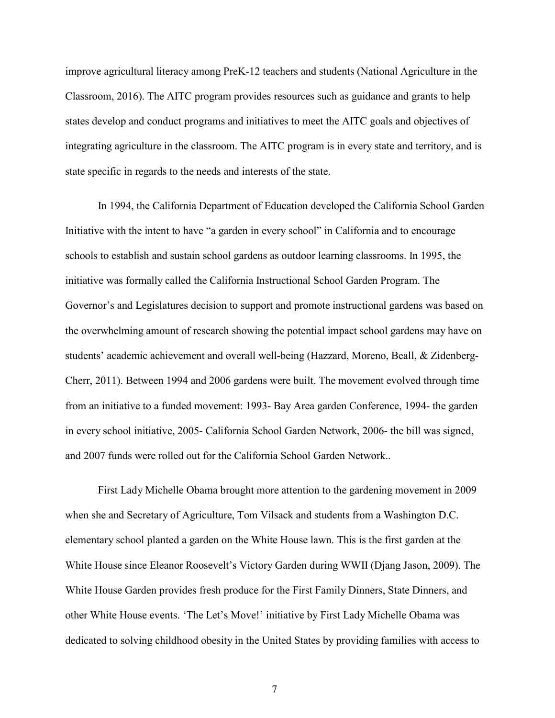improve agricultural literacy among PreK-12 teachers and students (National Agriculture in the Classroom, 2016). The AITC program provides resources such as guidance and grants to help states develop and conduct programs and initiatives to meet the AITC goals and objectives of integrating agriculture in the classroom. The AITC program is in every state and territory, and is state specific in regards to the needs and interests of the state.

In 1994, the California Department of Education developed the California School Garden Initiative with the intent to have "a garden in every school" in California and to encourage schools to establish and sustain school gardens as outdoor learning classrooms. In 1995, the initiative was formally called the California Instructional School Garden Program. The Governor's and Legislatures decision to support and promote instructional gardens was based on the overwhelming amount of research showing the potential impact school gardens may have on students' academic achievement and overall well-being (Hazzard, Moreno, Beall, & Zidenberg-Cherr, 2011). Between 1994 and 2006 gardens were built. The movement evolved through time from an initiative to a funded movement: 1993- Bay Area garden Conference, 1994- the garden in every school initiative, 2005- California School Garden Network, 2006- the bill was signed, and 2007 funds were rolled out for the California School Garden Network..

First Lady Michelle Obama brought more attention to the gardening movement in 2009 when she and Secretary of Agriculture, Tom Vilsack and students from a Washington D.C. elementary school planted a garden on the White House lawn. This is the first garden at the White House since Eleanor Roosevelt's Victory Garden during WWII (Djang Jason, 2009). The White House Garden provides fresh produce for the First Family Dinners, State Dinners, and other White House events. 'The Let's Move!' initiative by First Lady Michelle Obama was dedicated to solving childhood obesity in the United States by providing families with access to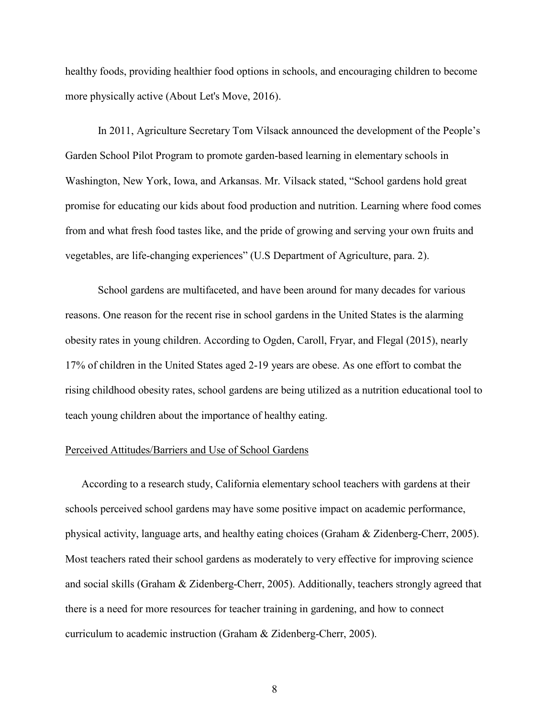healthy foods, providing healthier food options in schools, and encouraging children to become more physically active (About Let's Move, 2016).

In 2011, Agriculture Secretary Tom Vilsack announced the development of the People's Garden School Pilot Program to promote garden-based learning in elementary schools in Washington, New York, Iowa, and Arkansas. Mr. Vilsack stated, "School gardens hold great promise for educating our kids about food production and nutrition. Learning where food comes from and what fresh food tastes like, and the pride of growing and serving your own fruits and vegetables, are life-changing experiences" (U.S Department of Agriculture, para. 2).

School gardens are multifaceted, and have been around for many decades for various reasons. One reason for the recent rise in school gardens in the United States is the alarming obesity rates in young children. According to Ogden, Caroll, Fryar, and Flegal (2015), nearly 17% of children in the United States aged 2-19 years are obese. As one effort to combat the rising childhood obesity rates, school gardens are being utilized as a nutrition educational tool to teach young children about the importance of healthy eating.

#### Perceived Attitudes/Barriers and Use of School Gardens

According to a research study, California elementary school teachers with gardens at their schools perceived school gardens may have some positive impact on academic performance, physical activity, language arts, and healthy eating choices (Graham & Zidenberg-Cherr, 2005). Most teachers rated their school gardens as moderately to very effective for improving science and social skills (Graham & Zidenberg-Cherr, 2005). Additionally, teachers strongly agreed that there is a need for more resources for teacher training in gardening, and how to connect curriculum to academic instruction (Graham & Zidenberg-Cherr, 2005).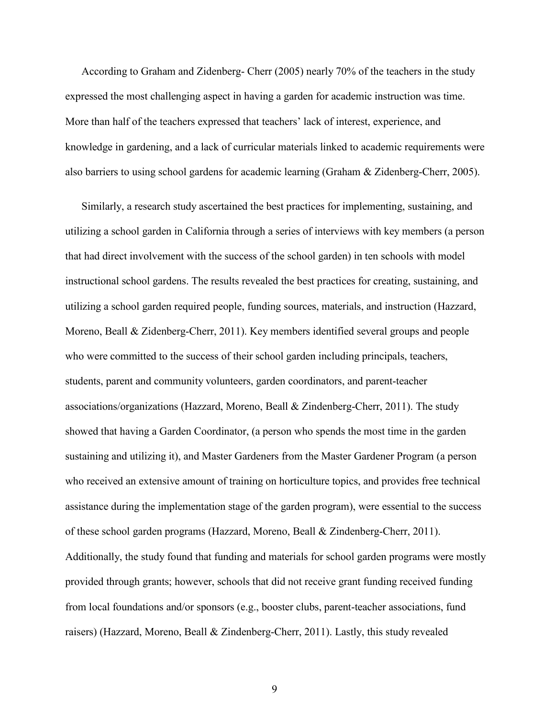According to Graham and Zidenberg- Cherr (2005) nearly 70% of the teachers in the study expressed the most challenging aspect in having a garden for academic instruction was time. More than half of the teachers expressed that teachers' lack of interest, experience, and knowledge in gardening, and a lack of curricular materials linked to academic requirements were also barriers to using school gardens for academic learning (Graham & Zidenberg-Cherr, 2005).

Similarly, a research study ascertained the best practices for implementing, sustaining, and utilizing a school garden in California through a series of interviews with key members (a person that had direct involvement with the success of the school garden) in ten schools with model instructional school gardens. The results revealed the best practices for creating, sustaining, and utilizing a school garden required people, funding sources, materials, and instruction (Hazzard, Moreno, Beall & Zidenberg-Cherr, 2011). Key members identified several groups and people who were committed to the success of their school garden including principals, teachers, students, parent and community volunteers, garden coordinators, and parent-teacher associations/organizations (Hazzard, Moreno, Beall & Zindenberg-Cherr, 2011). The study showed that having a Garden Coordinator, (a person who spends the most time in the garden sustaining and utilizing it), and Master Gardeners from the Master Gardener Program (a person who received an extensive amount of training on horticulture topics, and provides free technical assistance during the implementation stage of the garden program), were essential to the success of these school garden programs (Hazzard, Moreno, Beall & Zindenberg-Cherr, 2011). Additionally, the study found that funding and materials for school garden programs were mostly provided through grants; however, schools that did not receive grant funding received funding from local foundations and/or sponsors (e.g., booster clubs, parent-teacher associations, fund raisers) (Hazzard, Moreno, Beall & Zindenberg-Cherr, 2011). Lastly, this study revealed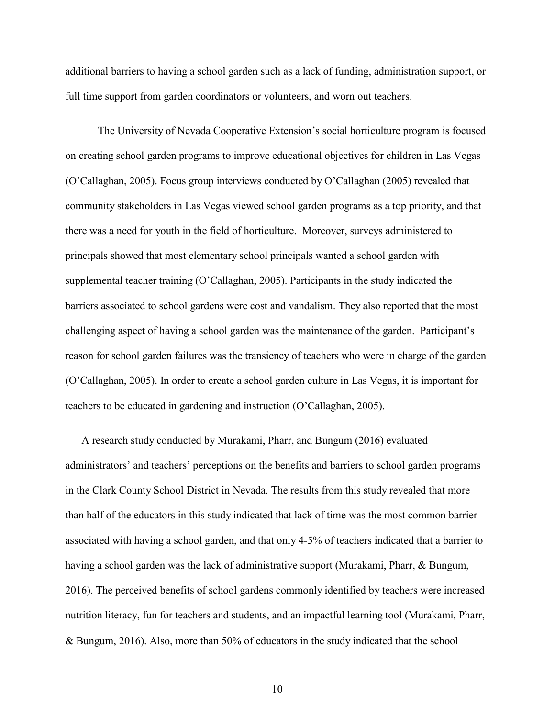additional barriers to having a school garden such as a lack of funding, administration support, or full time support from garden coordinators or volunteers, and worn out teachers.

The University of Nevada Cooperative Extension's social horticulture program is focused on creating school garden programs to improve educational objectives for children in Las Vegas (O'Callaghan, 2005). Focus group interviews conducted by O'Callaghan (2005) revealed that community stakeholders in Las Vegas viewed school garden programs as a top priority, and that there was a need for youth in the field of horticulture. Moreover, surveys administered to principals showed that most elementary school principals wanted a school garden with supplemental teacher training (O'Callaghan, 2005). Participants in the study indicated the barriers associated to school gardens were cost and vandalism. They also reported that the most challenging aspect of having a school garden was the maintenance of the garden. Participant's reason for school garden failures was the transiency of teachers who were in charge of the garden (O'Callaghan, 2005). In order to create a school garden culture in Las Vegas, it is important for teachers to be educated in gardening and instruction (O'Callaghan, 2005).

A research study conducted by Murakami, Pharr, and Bungum (2016) evaluated administrators' and teachers' perceptions on the benefits and barriers to school garden programs in the Clark County School District in Nevada. The results from this study revealed that more than half of the educators in this study indicated that lack of time was the most common barrier associated with having a school garden, and that only 4-5% of teachers indicated that a barrier to having a school garden was the lack of administrative support (Murakami, Pharr, & Bungum, 2016). The perceived benefits of school gardens commonly identified by teachers were increased nutrition literacy, fun for teachers and students, and an impactful learning tool (Murakami, Pharr, & Bungum, 2016). Also, more than 50% of educators in the study indicated that the school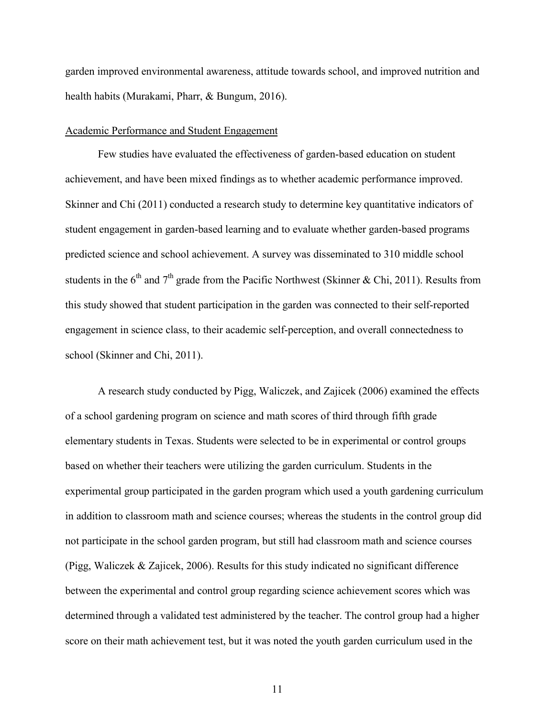garden improved environmental awareness, attitude towards school, and improved nutrition and health habits (Murakami, Pharr, & Bungum, 2016).

#### Academic Performance and Student Engagement

Few studies have evaluated the effectiveness of garden-based education on student achievement, and have been mixed findings as to whether academic performance improved. Skinner and Chi (2011) conducted a research study to determine key quantitative indicators of student engagement in garden-based learning and to evaluate whether garden-based programs predicted science and school achievement. A survey was disseminated to 310 middle school students in the  $6<sup>th</sup>$  and  $7<sup>th</sup>$  grade from the Pacific Northwest (Skinner & Chi, 2011). Results from this study showed that student participation in the garden was connected to their self-reported engagement in science class, to their academic self-perception, and overall connectedness to school (Skinner and Chi, 2011).

A research study conducted by Pigg, Waliczek, and Zajicek (2006) examined the effects of a school gardening program on science and math scores of third through fifth grade elementary students in Texas. Students were selected to be in experimental or control groups based on whether their teachers were utilizing the garden curriculum. Students in the experimental group participated in the garden program which used a youth gardening curriculum in addition to classroom math and science courses; whereas the students in the control group did not participate in the school garden program, but still had classroom math and science courses (Pigg, Waliczek & Zajicek, 2006). Results for this study indicated no significant difference between the experimental and control group regarding science achievement scores which was determined through a validated test administered by the teacher. The control group had a higher score on their math achievement test, but it was noted the youth garden curriculum used in the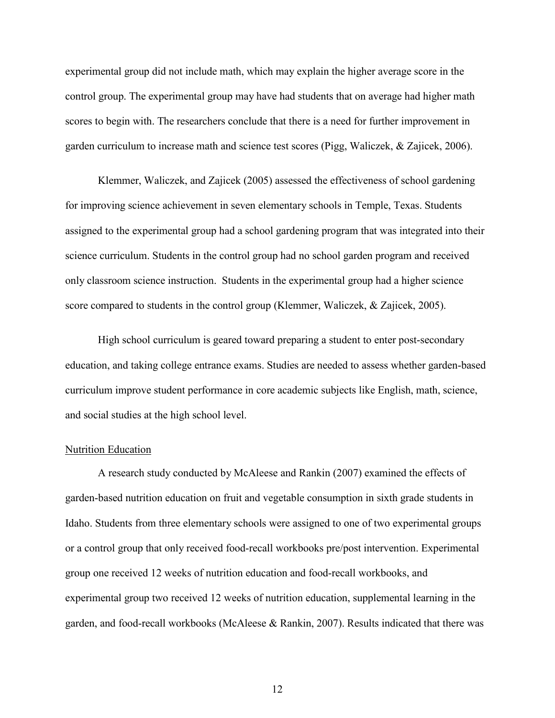experimental group did not include math, which may explain the higher average score in the control group. The experimental group may have had students that on average had higher math scores to begin with. The researchers conclude that there is a need for further improvement in garden curriculum to increase math and science test scores (Pigg, Waliczek, & Zajicek, 2006).

Klemmer, Waliczek, and Zajicek (2005) assessed the effectiveness of school gardening for improving science achievement in seven elementary schools in Temple, Texas. Students assigned to the experimental group had a school gardening program that was integrated into their science curriculum. Students in the control group had no school garden program and received only classroom science instruction. Students in the experimental group had a higher science score compared to students in the control group (Klemmer, Waliczek, & Zajicek, 2005).

High school curriculum is geared toward preparing a student to enter post-secondary education, and taking college entrance exams. Studies are needed to assess whether garden-based curriculum improve student performance in core academic subjects like English, math, science, and social studies at the high school level.

#### Nutrition Education

A research study conducted by McAleese and Rankin (2007) examined the effects of garden-based nutrition education on fruit and vegetable consumption in sixth grade students in Idaho. Students from three elementary schools were assigned to one of two experimental groups or a control group that only received food-recall workbooks pre/post intervention. Experimental group one received 12 weeks of nutrition education and food-recall workbooks, and experimental group two received 12 weeks of nutrition education, supplemental learning in the garden, and food-recall workbooks (McAleese & Rankin, 2007). Results indicated that there was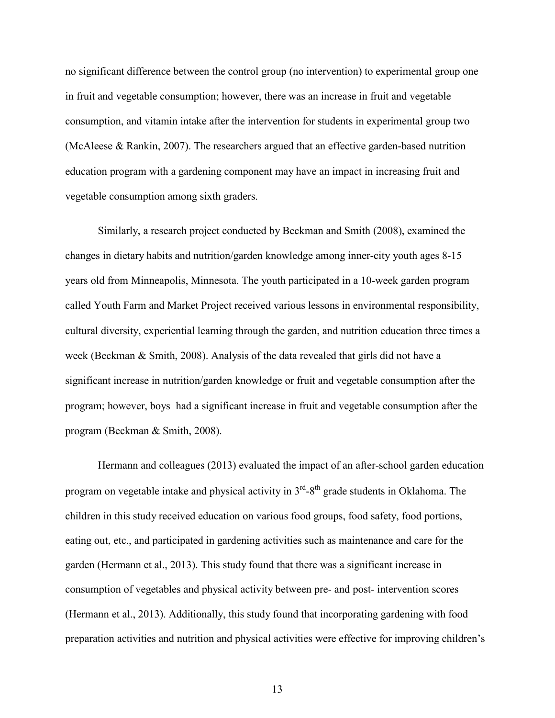no significant difference between the control group (no intervention) to experimental group one in fruit and vegetable consumption; however, there was an increase in fruit and vegetable consumption, and vitamin intake after the intervention for students in experimental group two (McAleese & Rankin, 2007). The researchers argued that an effective garden-based nutrition education program with a gardening component may have an impact in increasing fruit and vegetable consumption among sixth graders.

Similarly, a research project conducted by Beckman and Smith (2008), examined the changes in dietary habits and nutrition/garden knowledge among inner-city youth ages 8-15 years old from Minneapolis, Minnesota. The youth participated in a 10-week garden program called Youth Farm and Market Project received various lessons in environmental responsibility, cultural diversity, experiential learning through the garden, and nutrition education three times a week (Beckman & Smith, 2008). Analysis of the data revealed that girls did not have a significant increase in nutrition/garden knowledge or fruit and vegetable consumption after the program; however, boys had a significant increase in fruit and vegetable consumption after the program (Beckman & Smith, 2008).

Hermann and colleagues (2013) evaluated the impact of an after-school garden education program on vegetable intake and physical activity in  $3<sup>rd</sup> - 8<sup>th</sup>$  grade students in Oklahoma. The children in this study received education on various food groups, food safety, food portions, eating out, etc., and participated in gardening activities such as maintenance and care for the garden (Hermann et al., 2013). This study found that there was a significant increase in consumption of vegetables and physical activity between pre- and post- intervention scores (Hermann et al., 2013). Additionally, this study found that incorporating gardening with food preparation activities and nutrition and physical activities were effective for improving children's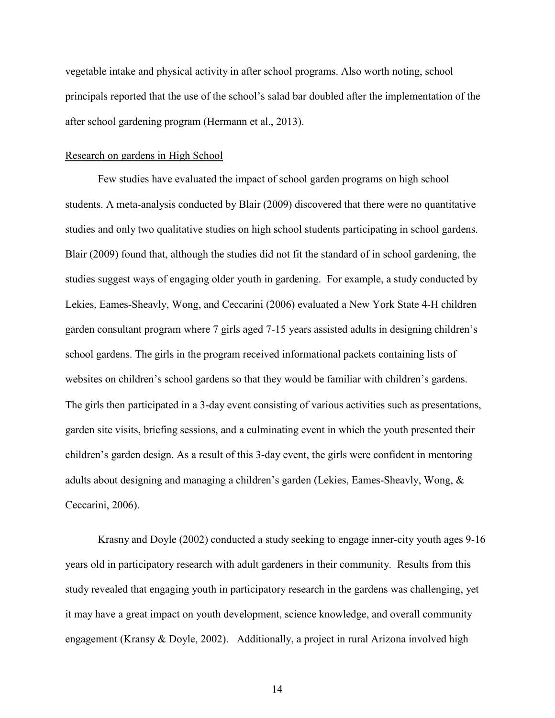vegetable intake and physical activity in after school programs. Also worth noting, school principals reported that the use of the school's salad bar doubled after the implementation of the after school gardening program (Hermann et al., 2013).

#### Research on gardens in High School

Few studies have evaluated the impact of school garden programs on high school students. A meta-analysis conducted by Blair (2009) discovered that there were no quantitative studies and only two qualitative studies on high school students participating in school gardens. Blair (2009) found that, although the studies did not fit the standard of in school gardening, the studies suggest ways of engaging older youth in gardening. For example, a study conducted by Lekies, Eames-Sheavly, Wong, and Ceccarini (2006) evaluated a New York State 4-H children garden consultant program where 7 girls aged 7-15 years assisted adults in designing children's school gardens. The girls in the program received informational packets containing lists of websites on children's school gardens so that they would be familiar with children's gardens. The girls then participated in a 3-day event consisting of various activities such as presentations, garden site visits, briefing sessions, and a culminating event in which the youth presented their children's garden design. As a result of this 3-day event, the girls were confident in mentoring adults about designing and managing a children's garden (Lekies, Eames-Sheavly, Wong, & Ceccarini, 2006).

Krasny and Doyle (2002) conducted a study seeking to engage inner-city youth ages 9-16 years old in participatory research with adult gardeners in their community. Results from this study revealed that engaging youth in participatory research in the gardens was challenging, yet it may have a great impact on youth development, science knowledge, and overall community engagement (Kransy & Doyle, 2002). Additionally, a project in rural Arizona involved high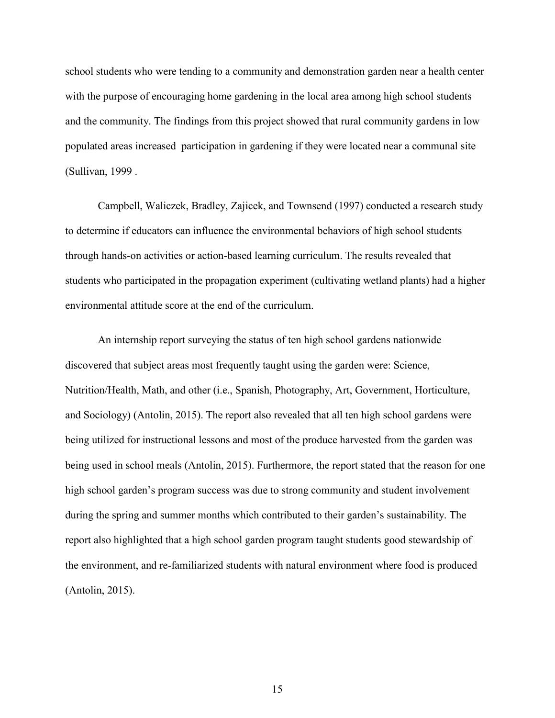school students who were tending to a community and demonstration garden near a health center with the purpose of encouraging home gardening in the local area among high school students and the community. The findings from this project showed that rural community gardens in low populated areas increased participation in gardening if they were located near a communal site (Sullivan, 1999 .

Campbell, Waliczek, Bradley, Zajicek, and Townsend (1997) conducted a research study to determine if educators can influence the environmental behaviors of high school students through hands-on activities or action-based learning curriculum. The results revealed that students who participated in the propagation experiment (cultivating wetland plants) had a higher environmental attitude score at the end of the curriculum.

An internship report surveying the status of ten high school gardens nationwide discovered that subject areas most frequently taught using the garden were: Science, Nutrition/Health, Math, and other (i.e., Spanish, Photography, Art, Government, Horticulture, and Sociology) (Antolin, 2015). The report also revealed that all ten high school gardens were being utilized for instructional lessons and most of the produce harvested from the garden was being used in school meals (Antolin, 2015). Furthermore, the report stated that the reason for one high school garden's program success was due to strong community and student involvement during the spring and summer months which contributed to their garden's sustainability. The report also highlighted that a high school garden program taught students good stewardship of the environment, and re-familiarized students with natural environment where food is produced (Antolin, 2015).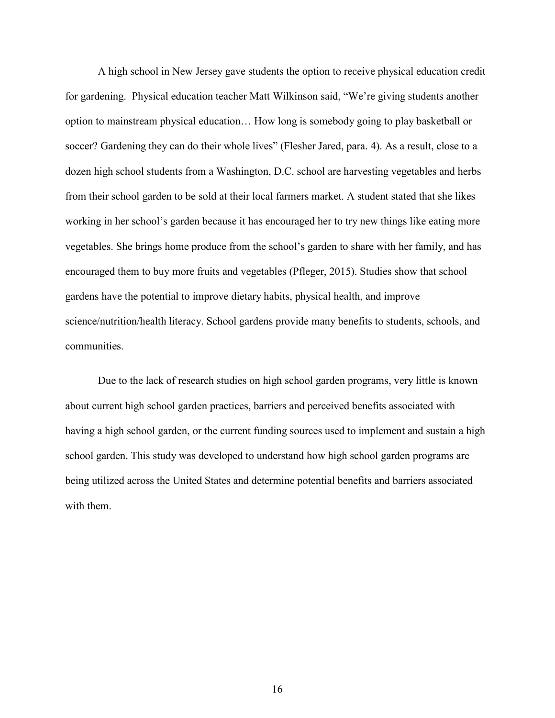A high school in New Jersey gave students the option to receive physical education credit for gardening. Physical education teacher Matt Wilkinson said, "We're giving students another option to mainstream physical education… How long is somebody going to play basketball or soccer? Gardening they can do their whole lives" (Flesher Jared, para. 4). As a result, close to a dozen high school students from a Washington, D.C. school are harvesting vegetables and herbs from their school garden to be sold at their local farmers market. A student stated that she likes working in her school's garden because it has encouraged her to try new things like eating more vegetables. She brings home produce from the school's garden to share with her family, and has encouraged them to buy more fruits and vegetables (Pfleger, 2015). Studies show that school gardens have the potential to improve dietary habits, physical health, and improve science/nutrition/health literacy. School gardens provide many benefits to students, schools, and communities.

Due to the lack of research studies on high school garden programs, very little is known about current high school garden practices, barriers and perceived benefits associated with having a high school garden, or the current funding sources used to implement and sustain a high school garden. This study was developed to understand how high school garden programs are being utilized across the United States and determine potential benefits and barriers associated with them.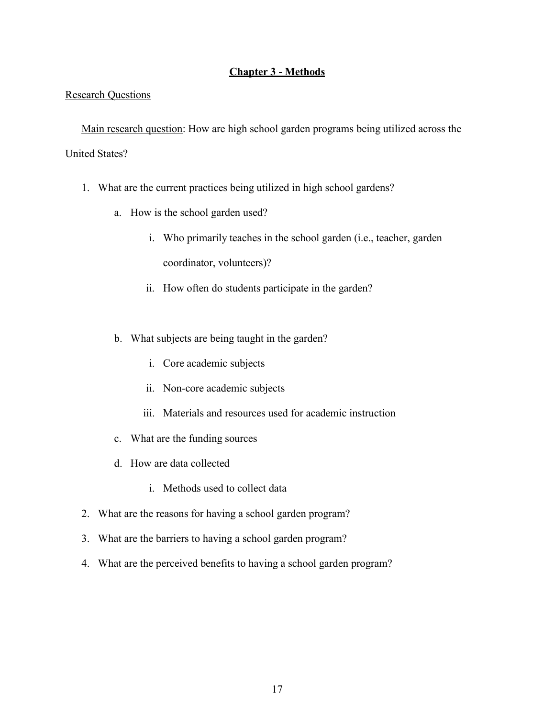#### **Chapter 3 - Methods**

#### Research Questions

Main research question: How are high school garden programs being utilized across the United States?

- 1. What are the current practices being utilized in high school gardens?
	- a. How is the school garden used?
		- i. Who primarily teaches in the school garden (i.e., teacher, garden coordinator, volunteers)?
		- ii. How often do students participate in the garden?
	- b. What subjects are being taught in the garden?
		- i. Core academic subjects
		- ii. Non-core academic subjects
		- iii. Materials and resources used for academic instruction
	- c. What are the funding sources
	- d. How are data collected
		- i. Methods used to collect data
- 2. What are the reasons for having a school garden program?
- 3. What are the barriers to having a school garden program?
- 4. What are the perceived benefits to having a school garden program?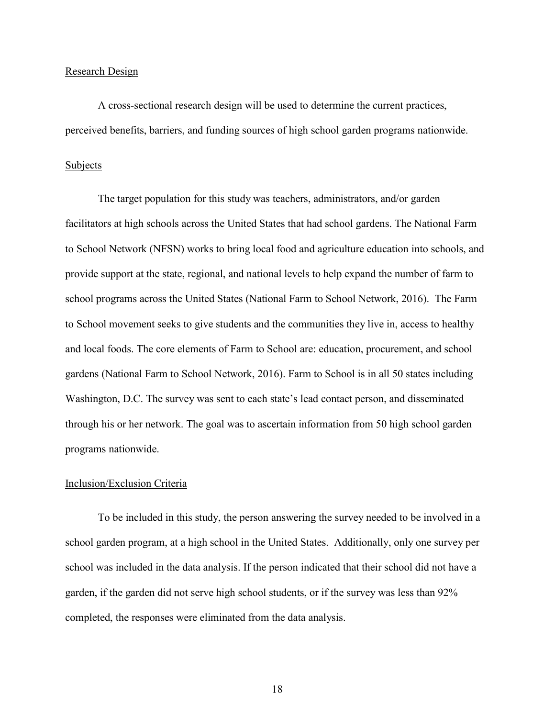#### Research Design

A cross-sectional research design will be used to determine the current practices, perceived benefits, barriers, and funding sources of high school garden programs nationwide.

#### Subjects

The target population for this study was teachers, administrators, and/or garden facilitators at high schools across the United States that had school gardens. The National Farm to School Network (NFSN) works to bring local food and agriculture education into schools, and provide support at the state, regional, and national levels to help expand the number of farm to school programs across the United States (National Farm to School Network, 2016). The Farm to School movement seeks to give students and the communities they live in, access to healthy and local foods. The core elements of Farm to School are: education, procurement, and school gardens (National Farm to School Network, 2016). Farm to School is in all 50 states including Washington, D.C. The survey was sent to each state's lead contact person, and disseminated through his or her network. The goal was to ascertain information from 50 high school garden programs nationwide.

#### Inclusion/Exclusion Criteria

To be included in this study, the person answering the survey needed to be involved in a school garden program, at a high school in the United States. Additionally, only one survey per school was included in the data analysis. If the person indicated that their school did not have a garden, if the garden did not serve high school students, or if the survey was less than 92% completed, the responses were eliminated from the data analysis.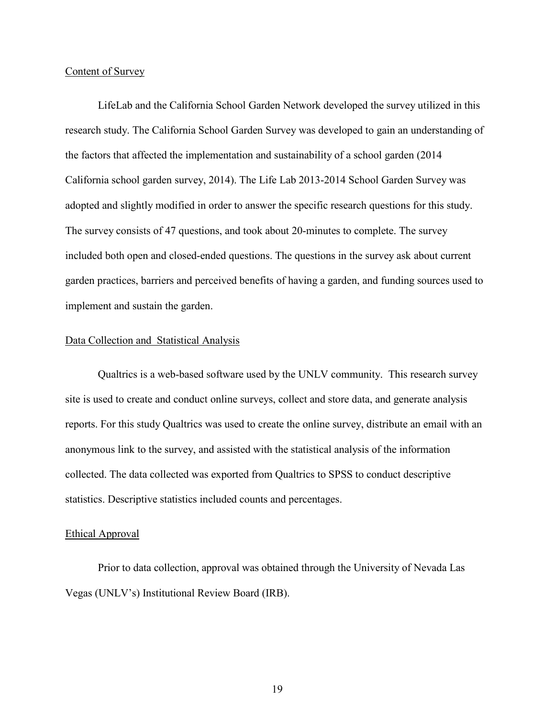#### Content of Survey

LifeLab and the California School Garden Network developed the survey utilized in this research study. The California School Garden Survey was developed to gain an understanding of the factors that affected the implementation and sustainability of a school garden (2014 California school garden survey, 2014). The Life Lab 2013-2014 School Garden Survey was adopted and slightly modified in order to answer the specific research questions for this study. The survey consists of 47 questions, and took about 20-minutes to complete. The survey included both open and closed-ended questions. The questions in the survey ask about current garden practices, barriers and perceived benefits of having a garden, and funding sources used to implement and sustain the garden.

#### Data Collection and Statistical Analysis

Qualtrics is a web-based software used by the UNLV community. This research survey site is used to create and conduct online surveys, collect and store data, and generate analysis reports. For this study Qualtrics was used to create the online survey, distribute an email with an anonymous link to the survey, and assisted with the statistical analysis of the information collected. The data collected was exported from Qualtrics to SPSS to conduct descriptive statistics. Descriptive statistics included counts and percentages.

#### Ethical Approval

Prior to data collection, approval was obtained through the University of Nevada Las Vegas (UNLV's) Institutional Review Board (IRB).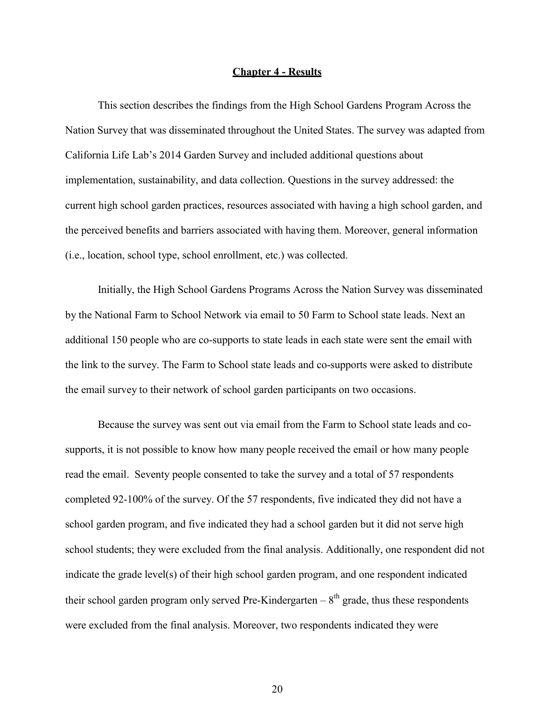#### **Chapter 4 - Results**

This section describes the findings from the High School Gardens Program Across the Nation Survey that was disseminated throughout the United States. The survey was adapted from California Life Lab's 2014 Garden Survey and included additional questions about implementation, sustainability, and data collection. Questions in the survey addressed: the current high school garden practices, resources associated with having a high school garden, and the perceived benefits and barriers associated with having them. Moreover, general information (i.e., location, school type, school enrollment, etc.) was collected.

Initially, the High School Gardens Programs Across the Nation Survey was disseminated by the National Farm to School Network via email to 50 Farm to School state leads. Next an additional 150 people who are co-supports to state leads in each state were sent the email with the link to the survey. The Farm to School state leads and co-supports were asked to distribute the email survey to their network of school garden participants on two occasions.

Because the survey was sent out via email from the Farm to School state leads and cosupports, it is not possible to know how many people received the email or how many people read the email. Seventy people consented to take the survey and a total of 57 respondents completed 92-100% of the survey. Of the 57 respondents, five indicated they did not have a school garden program, and five indicated they had a school garden but it did not serve high school students; they were excluded from the final analysis. Additionally, one respondent did not indicate the grade level(s) of their high school garden program, and one respondent indicated their school garden program only served Pre-Kindergarten –  $8<sup>th</sup>$  grade, thus these respondents were excluded from the final analysis. Moreover, two respondents indicated they were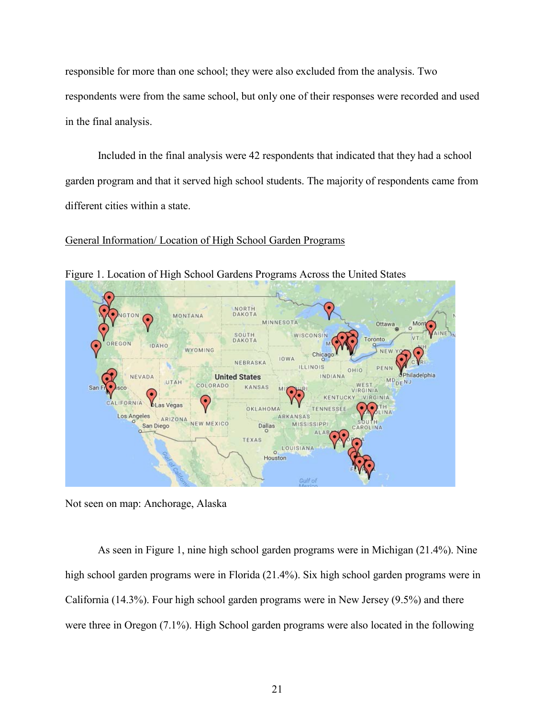responsible for more than one school; they were also excluded from the analysis. Two respondents were from the same school, but only one of their responses were recorded and used in the final analysis.

Included in the final analysis were 42 respondents that indicated that they had a school garden program and that it served high school students. The majority of respondents came from different cities within a state.

#### General Information/ Location of High School Garden Programs



Figure 1. Location of High School Gardens Programs Across the United States

Not seen on map: Anchorage, Alaska

As seen in Figure 1, nine high school garden programs were in Michigan (21.4%). Nine high school garden programs were in Florida (21.4%). Six high school garden programs were in California (14.3%). Four high school garden programs were in New Jersey (9.5%) and there were three in Oregon (7.1%). High School garden programs were also located in the following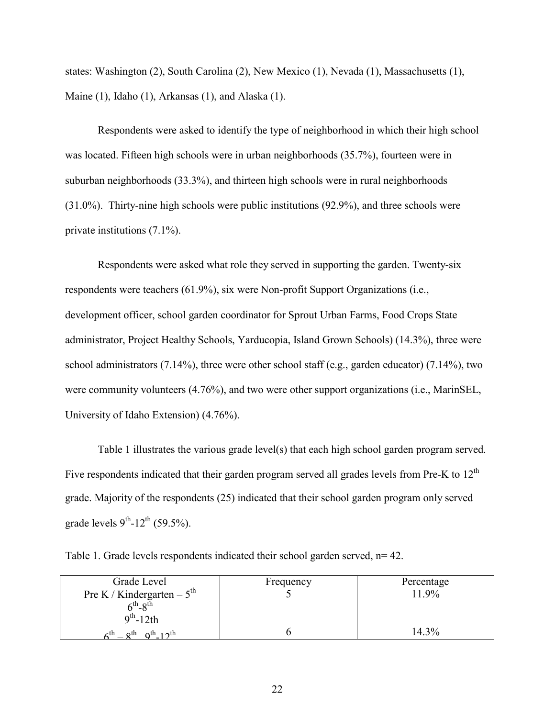states: Washington (2), South Carolina (2), New Mexico (1), Nevada (1), Massachusetts (1), Maine (1), Idaho (1), Arkansas (1), and Alaska (1).

Respondents were asked to identify the type of neighborhood in which their high school was located. Fifteen high schools were in urban neighborhoods (35.7%), fourteen were in suburban neighborhoods (33.3%), and thirteen high schools were in rural neighborhoods (31.0%). Thirty-nine high schools were public institutions (92.9%), and three schools were private institutions (7.1%).

Respondents were asked what role they served in supporting the garden. Twenty-six respondents were teachers (61.9%), six were Non-profit Support Organizations (i.e., development officer, school garden coordinator for Sprout Urban Farms, Food Crops State administrator, Project Healthy Schools, Yarducopia, Island Grown Schools) (14.3%), three were school administrators (7.14%), three were other school staff (e.g., garden educator) (7.14%), two were community volunteers (4.76%), and two were other support organizations (i.e., MarinSEL, University of Idaho Extension) (4.76%).

Table 1 illustrates the various grade level(s) that each high school garden program served. Five respondents indicated that their garden program served all grades levels from Pre-K to 12<sup>th</sup> grade. Majority of the respondents (25) indicated that their school garden program only served grade levels  $9^{th}$ -12<sup>th</sup> (59.5%).

Table 1. Grade levels respondents indicated their school garden served, n= 42.

| Grade Level                                                                  | Frequency | Percentage |
|------------------------------------------------------------------------------|-----------|------------|
| Pre K / Kindergarten – $5^{\text{th}}$                                       |           | 11.9%      |
| $6^{th} - 8^{th}$                                                            |           |            |
| $9th - 12th$                                                                 |           |            |
| $Q^{th}$ -12 <sup>th</sup><br>$\zeta^{\text{th}}$ $\sim$ $\zeta^{\text{th}}$ |           | 14.3%      |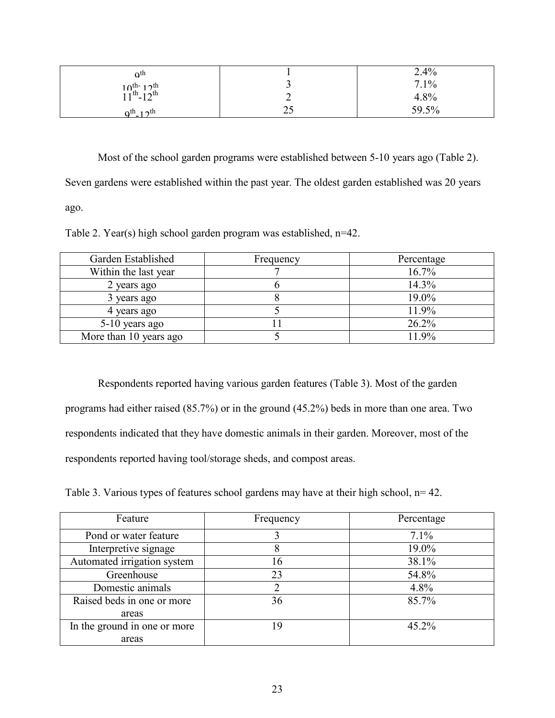| $\alpha$ <sup>th</sup>                 |    | 2.4%  |
|----------------------------------------|----|-------|
|                                        |    | 7.1%  |
| $10^{th-12^{th}}$<br>$11^{th-12^{th}}$ |    | 4.8%  |
| $0^{th} 12^{th}$                       | ب∠ | 59.5% |

Most of the school garden programs were established between 5-10 years ago (Table 2). Seven gardens were established within the past year. The oldest garden established was 20 years ago.

Table 2. Year(s) high school garden program was established, n=42.

| Garden Established     | Frequency | Percentage |
|------------------------|-----------|------------|
| Within the last year   |           | 16.7%      |
| 2 years ago            |           | 14.3%      |
| 3 years ago            |           | 19.0%      |
| 4 years ago            |           | 11.9%      |
| 5-10 years ago         |           | 26.2%      |
| More than 10 years ago |           | 11.9%      |

Respondents reported having various garden features (Table 3). Most of the garden programs had either raised (85.7%) or in the ground (45.2%) beds in more than one area. Two respondents indicated that they have domestic animals in their garden. Moreover, most of the respondents reported having tool/storage sheds, and compost areas.

Table 3. Various types of features school gardens may have at their high school, n= 42.

| Feature                      | Frequency | Percentage |
|------------------------------|-----------|------------|
| Pond or water feature        |           | 7.1%       |
| Interpretive signage         | 8         | 19.0%      |
| Automated irrigation system  | 16        | 38.1%      |
| Greenhouse                   | 23        | 54.8%      |
| Domestic animals             |           | 4.8%       |
| Raised beds in one or more   | 36        | 85.7%      |
| areas                        |           |            |
| In the ground in one or more | 19        | $45.2\%$   |
| areas                        |           |            |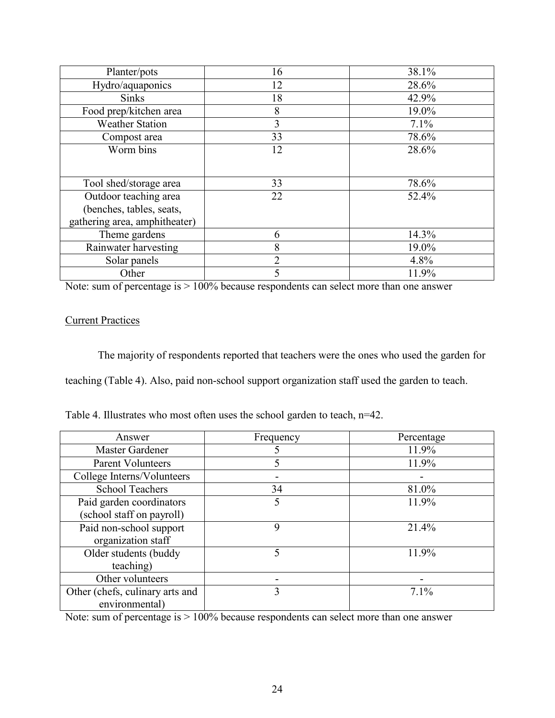| Planter/pots                  | 16             | 38.1% |
|-------------------------------|----------------|-------|
| Hydro/aquaponics              | 12             | 28.6% |
| <b>Sinks</b>                  | 18             | 42.9% |
| Food prep/kitchen area        | 8              | 19.0% |
| <b>Weather Station</b>        | 3              | 7.1%  |
| Compost area                  | 33             | 78.6% |
| Worm bins                     | 12             | 28.6% |
|                               |                |       |
| Tool shed/storage area        | 33             | 78.6% |
| Outdoor teaching area         | 22             | 52.4% |
| (benches, tables, seats,      |                |       |
| gathering area, amphitheater) |                |       |
| Theme gardens                 | 6              | 14.3% |
| Rainwater harvesting          | 8              | 19.0% |
| Solar panels                  | $\overline{2}$ | 4.8%  |
| Other                         | 5              | 11.9% |

Note: sum of percentage is > 100% because respondents can select more than one answer

# **Current Practices**

The majority of respondents reported that teachers were the ones who used the garden for teaching (Table 4). Also, paid non-school support organization staff used the garden to teach.

| Table 4. Illustrates who most often uses the school garden to teach, n=42. |  |  |  |  |
|----------------------------------------------------------------------------|--|--|--|--|
|                                                                            |  |  |  |  |

| Answer                          | Frequency | Percentage |
|---------------------------------|-----------|------------|
| Master Gardener                 |           | 11.9%      |
| <b>Parent Volunteers</b>        | 5         | 11.9%      |
| College Interns/Volunteers      |           |            |
| <b>School Teachers</b>          | 34        | 81.0%      |
| Paid garden coordinators        | 5         | 11.9%      |
| (school staff on payroll)       |           |            |
| Paid non-school support         | 9         | 21.4%      |
| organization staff              |           |            |
| Older students (buddy           | 5         | 11.9%      |
| teaching)                       |           |            |
| Other volunteers                |           |            |
| Other (chefs, culinary arts and | 3         | 7.1%       |
| environmental)                  |           |            |

Note: sum of percentage is  $> 100\%$  because respondents can select more than one answer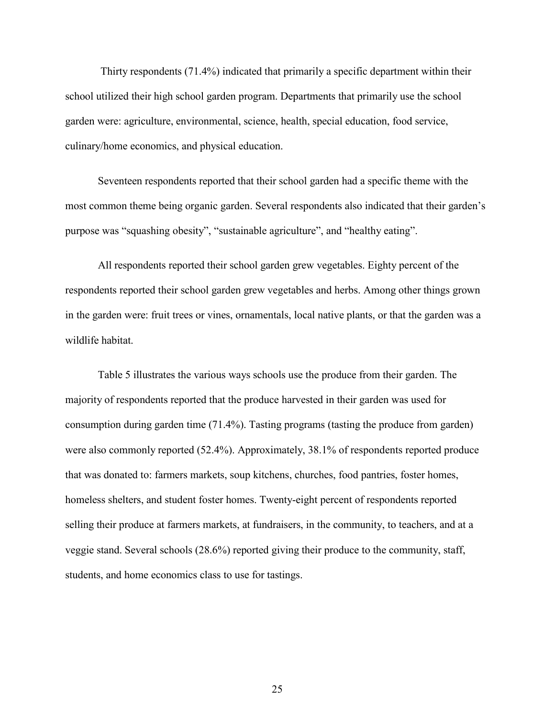Thirty respondents (71.4%) indicated that primarily a specific department within their school utilized their high school garden program. Departments that primarily use the school garden were: agriculture, environmental, science, health, special education, food service, culinary/home economics, and physical education.

Seventeen respondents reported that their school garden had a specific theme with the most common theme being organic garden. Several respondents also indicated that their garden's purpose was "squashing obesity", "sustainable agriculture", and "healthy eating".

All respondents reported their school garden grew vegetables. Eighty percent of the respondents reported their school garden grew vegetables and herbs. Among other things grown in the garden were: fruit trees or vines, ornamentals, local native plants, or that the garden was a wildlife habitat.

Table 5 illustrates the various ways schools use the produce from their garden. The majority of respondents reported that the produce harvested in their garden was used for consumption during garden time (71.4%). Tasting programs (tasting the produce from garden) were also commonly reported (52.4%). Approximately, 38.1% of respondents reported produce that was donated to: farmers markets, soup kitchens, churches, food pantries, foster homes, homeless shelters, and student foster homes. Twenty-eight percent of respondents reported selling their produce at farmers markets, at fundraisers, in the community, to teachers, and at a veggie stand. Several schools (28.6%) reported giving their produce to the community, staff, students, and home economics class to use for tastings.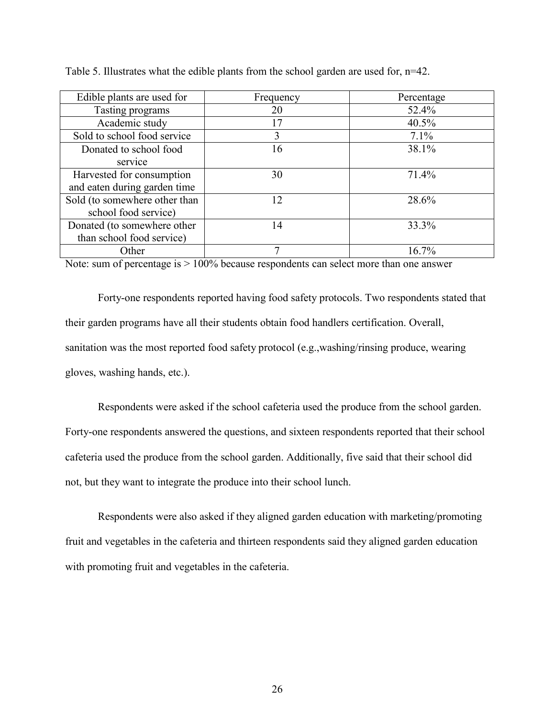| Edible plants are used for    | Frequency | Percentage |
|-------------------------------|-----------|------------|
| Tasting programs              | 20        | 52.4%      |
| Academic study                | 17        | 40.5%      |
| Sold to school food service   | 3         | 7.1%       |
| Donated to school food        | 16        | 38.1%      |
| service                       |           |            |
| Harvested for consumption     | 30        | 71.4%      |
| and eaten during garden time  |           |            |
| Sold (to somewhere other than | 12        | 28.6%      |
| school food service)          |           |            |
| Donated (to somewhere other   | 14        | 33.3%      |
| than school food service)     |           |            |
| Other                         |           | $16.7\%$   |

Table 5. Illustrates what the edible plants from the school garden are used for, n=42.

Note: sum of percentage is > 100% because respondents can select more than one answer

Forty-one respondents reported having food safety protocols. Two respondents stated that their garden programs have all their students obtain food handlers certification. Overall, sanitation was the most reported food safety protocol (e.g.,washing/rinsing produce, wearing gloves, washing hands, etc.).

Respondents were asked if the school cafeteria used the produce from the school garden. Forty-one respondents answered the questions, and sixteen respondents reported that their school cafeteria used the produce from the school garden. Additionally, five said that their school did not, but they want to integrate the produce into their school lunch.

Respondents were also asked if they aligned garden education with marketing/promoting fruit and vegetables in the cafeteria and thirteen respondents said they aligned garden education with promoting fruit and vegetables in the cafeteria.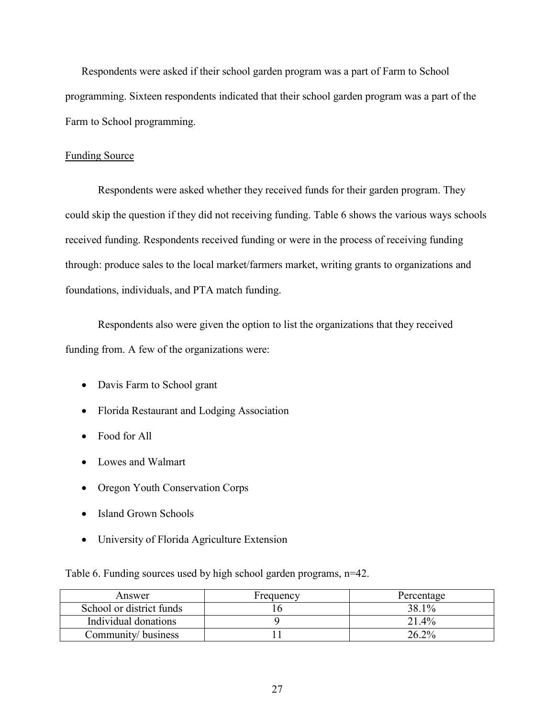Respondents were asked if their school garden program was a part of Farm to School programming. Sixteen respondents indicated that their school garden program was a part of the Farm to School programming.

# Funding Source

Respondents were asked whether they received funds for their garden program. They could skip the question if they did not receiving funding. Table 6 shows the various ways schools received funding. Respondents received funding or were in the process of receiving funding through: produce sales to the local market/farmers market, writing grants to organizations and foundations, individuals, and PTA match funding.

Respondents also were given the option to list the organizations that they received funding from. A few of the organizations were:

- Davis Farm to School grant
- Florida Restaurant and Lodging Association
- Food for All
- Lowes and Walmart
- Oregon Youth Conservation Corps
- Island Grown Schools
- University of Florida Agriculture Extension

Table 6. Funding sources used by high school garden programs, n=42.

| Answer                   | Frequency | Percentage |
|--------------------------|-----------|------------|
| School or district funds |           | 38.1%      |
| Individual donations     |           | 21.4%      |
| Community/business       |           | $26.2\%$   |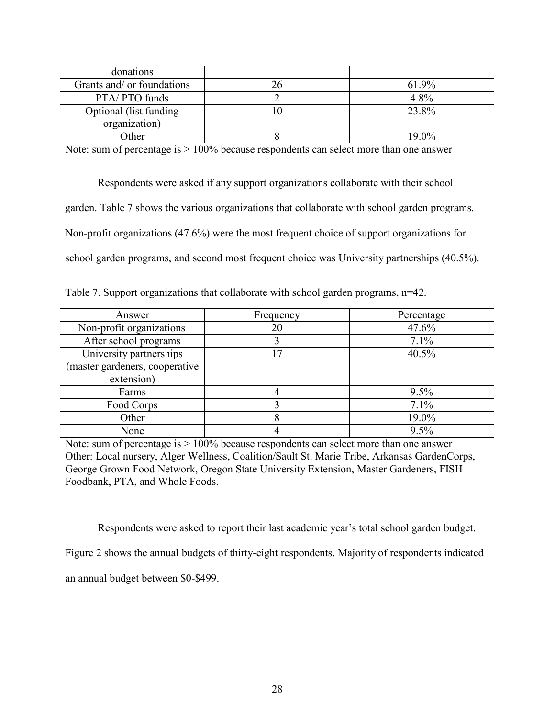| donations                  |          |
|----------------------------|----------|
| Grants and/ or foundations | 61.9%    |
| PTA/PTO funds              | 4.8%     |
| Optional (list funding     | 23.8%    |
| organization)              |          |
| Other                      | $19.0\%$ |

Note: sum of percentage is  $> 100\%$  because respondents can select more than one answer

Respondents were asked if any support organizations collaborate with their school garden. Table 7 shows the various organizations that collaborate with school garden programs. Non-profit organizations (47.6%) were the most frequent choice of support organizations for school garden programs, and second most frequent choice was University partnerships (40.5%).

Table 7. Support organizations that collaborate with school garden programs, n=42.

| Answer                         | Frequency | Percentage |
|--------------------------------|-----------|------------|
| Non-profit organizations       | 20        | 47.6%      |
| After school programs          |           | 7.1%       |
| University partnerships        | 17        | 40.5%      |
| (master gardeners, cooperative |           |            |
| extension)                     |           |            |
| Farms                          |           | 9.5%       |
| Food Corps                     |           | 7.1%       |
| Other                          |           | 19.0%      |
| None                           |           | 9.5%       |

Note: sum of percentage is > 100% because respondents can select more than one answer Other: Local nursery, Alger Wellness, Coalition/Sault St. Marie Tribe, Arkansas GardenCorps, George Grown Food Network, Oregon State University Extension, Master Gardeners, FISH Foodbank, PTA, and Whole Foods.

Respondents were asked to report their last academic year's total school garden budget.

Figure 2 shows the annual budgets of thirty-eight respondents. Majority of respondents indicated

an annual budget between \$0-\$499.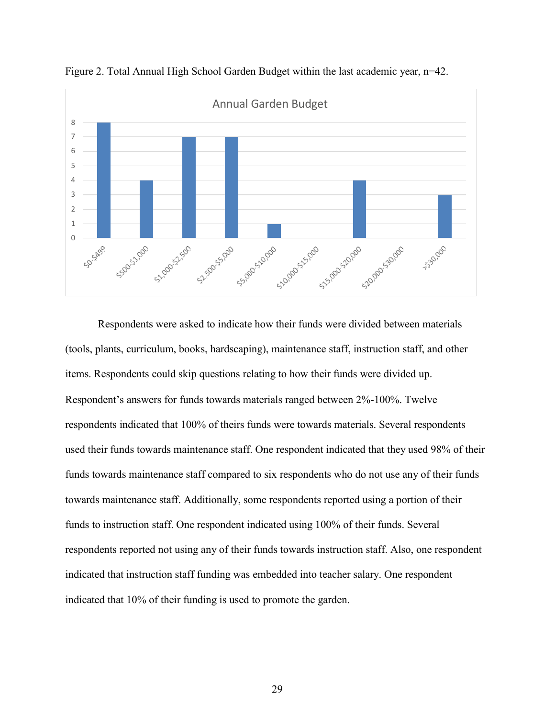

Figure 2. Total Annual High School Garden Budget within the last academic year, n=42.

Respondents were asked to indicate how their funds were divided between materials (tools, plants, curriculum, books, hardscaping), maintenance staff, instruction staff, and other items. Respondents could skip questions relating to how their funds were divided up. Respondent's answers for funds towards materials ranged between 2%-100%. Twelve respondents indicated that 100% of theirs funds were towards materials. Several respondents used their funds towards maintenance staff. One respondent indicated that they used 98% of their funds towards maintenance staff compared to six respondents who do not use any of their funds towards maintenance staff. Additionally, some respondents reported using a portion of their funds to instruction staff. One respondent indicated using 100% of their funds. Several respondents reported not using any of their funds towards instruction staff. Also, one respondent indicated that instruction staff funding was embedded into teacher salary. One respondent indicated that 10% of their funding is used to promote the garden.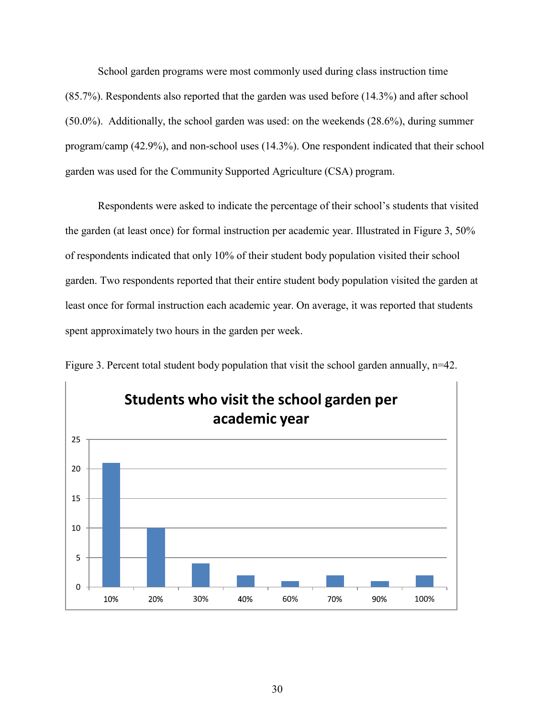School garden programs were most commonly used during class instruction time (85.7%). Respondents also reported that the garden was used before (14.3%) and after school (50.0%). Additionally, the school garden was used: on the weekends (28.6%), during summer program/camp (42.9%), and non-school uses (14.3%). One respondent indicated that their school garden was used for the Community Supported Agriculture (CSA) program.

Respondents were asked to indicate the percentage of their school's students that visited the garden (at least once) for formal instruction per academic year. Illustrated in Figure 3, 50% of respondents indicated that only 10% of their student body population visited their school garden. Two respondents reported that their entire student body population visited the garden at least once for formal instruction each academic year. On average, it was reported that students spent approximately two hours in the garden per week.



Figure 3. Percent total student body population that visit the school garden annually, n=42.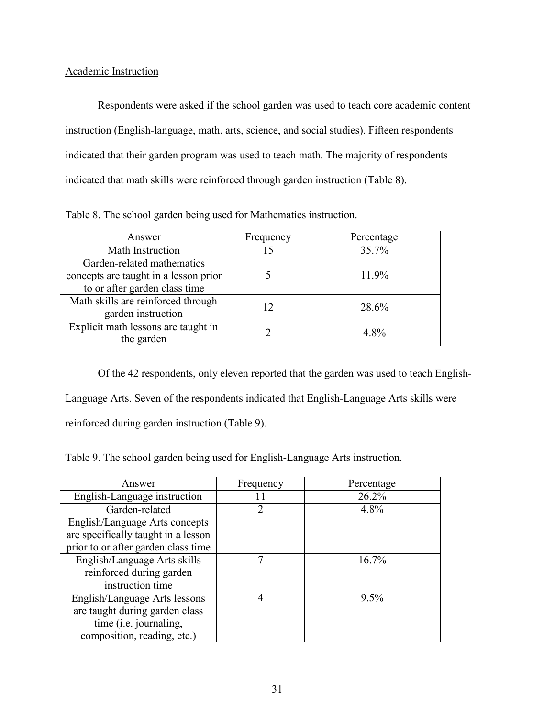# Academic Instruction

Respondents were asked if the school garden was used to teach core academic content instruction (English-language, math, arts, science, and social studies). Fifteen respondents indicated that their garden program was used to teach math. The majority of respondents indicated that math skills were reinforced through garden instruction (Table 8).

| Answer                                | Frequency | Percentage |
|---------------------------------------|-----------|------------|
| Math Instruction                      | 15        | 35.7%      |
| Garden-related mathematics            |           |            |
| concepts are taught in a lesson prior |           | 11.9%      |
| to or after garden class time         |           |            |
| Math skills are reinforced through    |           | 28.6%      |
| garden instruction                    |           |            |
| Explicit math lessons are taught in   |           | 4.8%       |
| the garden                            |           |            |

Table 8. The school garden being used for Mathematics instruction.

Of the 42 respondents, only eleven reported that the garden was used to teach English-Language Arts. Seven of the respondents indicated that English-Language Arts skills were reinforced during garden instruction (Table 9).

Table 9. The school garden being used for English-Language Arts instruction.

| Answer                              | Frequency     | Percentage |
|-------------------------------------|---------------|------------|
| English-Language instruction        |               | 26.2%      |
| Garden-related                      | $\mathcal{D}$ | 4.8%       |
| English/Language Arts concepts      |               |            |
| are specifically taught in a lesson |               |            |
| prior to or after garden class time |               |            |
| English/Language Arts skills        |               | 16.7%      |
| reinforced during garden            |               |            |
| instruction time                    |               |            |
| English/Language Arts lessons       | 4             | $9.5\%$    |
| are taught during garden class      |               |            |
| time ( <i>i.e.</i> journaling,      |               |            |
| composition, reading, etc.)         |               |            |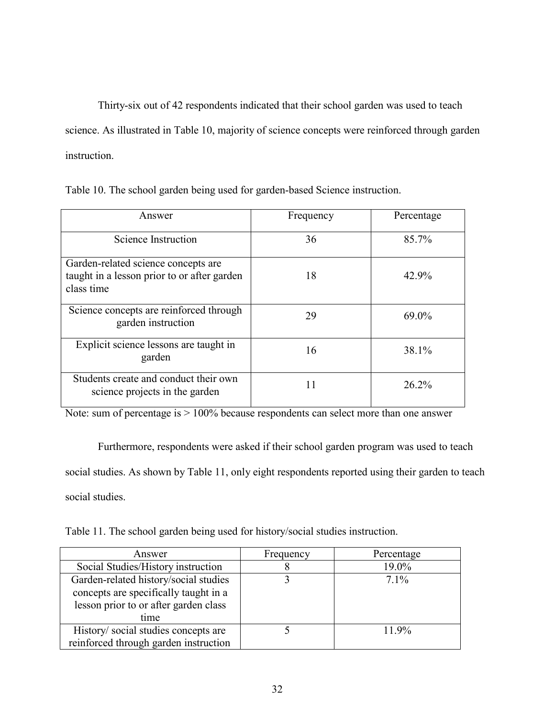Thirty-six out of 42 respondents indicated that their school garden was used to teach science. As illustrated in Table 10, majority of science concepts were reinforced through garden instruction.

|  |  | Table 10. The school garden being used for garden-based Science instruction. |  |
|--|--|------------------------------------------------------------------------------|--|
|  |  |                                                                              |  |

| Answer                                                                                           | Frequency | Percentage |
|--------------------------------------------------------------------------------------------------|-----------|------------|
| Science Instruction                                                                              | 36        | 85.7%      |
| Garden-related science concepts are<br>taught in a lesson prior to or after garden<br>class time | 18        | 42.9%      |
| Science concepts are reinforced through<br>garden instruction                                    | 29        | $69.0\%$   |
| Explicit science lessons are taught in<br>garden                                                 | 16        | 38.1%      |
| Students create and conduct their own<br>science projects in the garden                          | 11        | 26.2%      |

Note: sum of percentage is > 100% because respondents can select more than one answer

Furthermore, respondents were asked if their school garden program was used to teach social studies. As shown by Table 11, only eight respondents reported using their garden to teach social studies.

Table 11. The school garden being used for history/social studies instruction.

| Answer                                | Frequency | Percentage |
|---------------------------------------|-----------|------------|
| Social Studies/History instruction    | O         | 19.0%      |
| Garden-related history/social studies |           | $7.1\%$    |
| concepts are specifically taught in a |           |            |
| lesson prior to or after garden class |           |            |
| time                                  |           |            |
| History/social studies concepts are   |           | 11 9\%     |
| reinforced through garden instruction |           |            |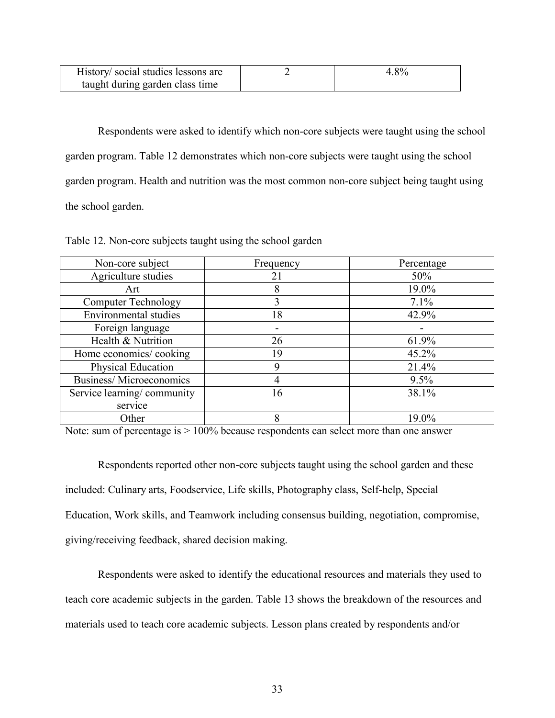| History/social studies lessons are | 4.8% |
|------------------------------------|------|
| taught during garden class time    |      |

Respondents were asked to identify which non-core subjects were taught using the school garden program. Table 12 demonstrates which non-core subjects were taught using the school garden program. Health and nutrition was the most common non-core subject being taught using the school garden.

| Non-core subject               | Frequency | Percentage |
|--------------------------------|-----------|------------|
| Agriculture studies            | 21        | 50%        |
| Art                            | 8         | 19.0%      |
| <b>Computer Technology</b>     |           | 7.1%       |
| <b>Environmental studies</b>   | 18        | 42.9%      |
| Foreign language               |           |            |
| Health & Nutrition             | 26        | 61.9%      |
| Home economics/cooking         | 19        | 45.2%      |
| Physical Education             | Q         | 21.4%      |
| <b>Business/Microeconomics</b> |           | 9.5%       |
| Service learning/community     | 16        | 38.1%      |
| service                        |           |            |
| Other                          |           | 19.0%      |

Table 12. Non-core subjects taught using the school garden

Note: sum of percentage is  $> 100\%$  because respondents can select more than one answer

Respondents reported other non-core subjects taught using the school garden and these included: Culinary arts, Foodservice, Life skills, Photography class, Self-help, Special Education, Work skills, and Teamwork including consensus building, negotiation, compromise, giving/receiving feedback, shared decision making.

Respondents were asked to identify the educational resources and materials they used to teach core academic subjects in the garden. Table 13 shows the breakdown of the resources and materials used to teach core academic subjects. Lesson plans created by respondents and/or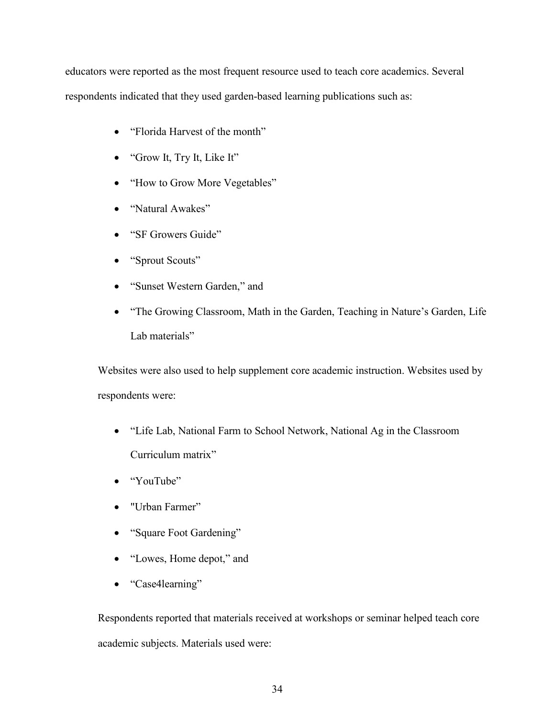educators were reported as the most frequent resource used to teach core academics. Several respondents indicated that they used garden-based learning publications such as:

- "Florida Harvest of the month"
- "Grow It, Try It, Like It"
- "How to Grow More Vegetables"
- "Natural Awakes"
- "SF Growers Guide"
- "Sprout Scouts"
- "Sunset Western Garden," and
- "The Growing Classroom, Math in the Garden, Teaching in Nature's Garden, Life Lab materials"

Websites were also used to help supplement core academic instruction. Websites used by respondents were:

- "Life Lab, National Farm to School Network, National Ag in the Classroom Curriculum matrix"
- "YouTube"
- "Urban Farmer"
- "Square Foot Gardening"
- "Lowes, Home depot," and
- "Case4learning"

Respondents reported that materials received at workshops or seminar helped teach core academic subjects. Materials used were: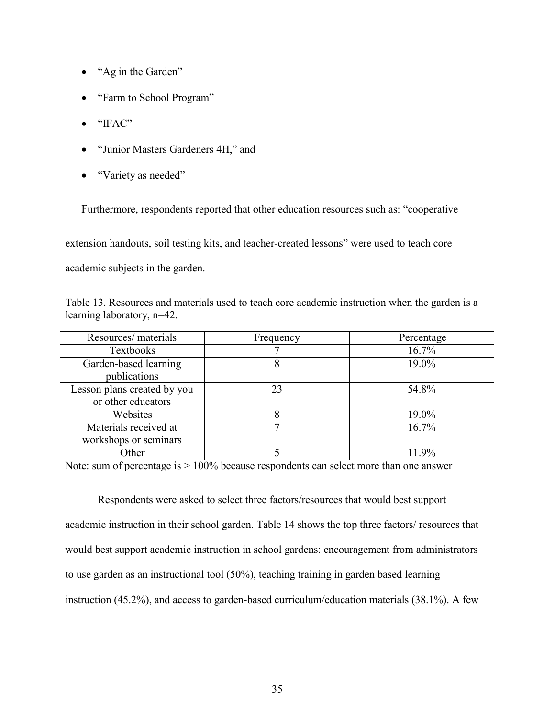- "Ag in the Garden"
- "Farm to School Program"
- "IFAC"
- "Junior Masters Gardeners 4H," and
- "Variety as needed"

Furthermore, respondents reported that other education resources such as: "cooperative

extension handouts, soil testing kits, and teacher-created lessons" were used to teach core

academic subjects in the garden.

Table 13. Resources and materials used to teach core academic instruction when the garden is a learning laboratory, n=42.

| Resources/ materials        | Frequency | Percentage |
|-----------------------------|-----------|------------|
| Textbooks                   |           | 16.7%      |
| Garden-based learning       |           | 19.0%      |
| publications                |           |            |
| Lesson plans created by you | 23        | 54.8%      |
| or other educators          |           |            |
| Websites                    |           | 19.0%      |
| Materials received at       |           | 16.7%      |
| workshops or seminars       |           |            |
| Other                       |           | 11 9%      |

Note: sum of percentage is > 100% because respondents can select more than one answer

Respondents were asked to select three factors/resources that would best support academic instruction in their school garden. Table 14 shows the top three factors/ resources that would best support academic instruction in school gardens: encouragement from administrators to use garden as an instructional tool (50%), teaching training in garden based learning instruction (45.2%), and access to garden-based curriculum/education materials (38.1%). A few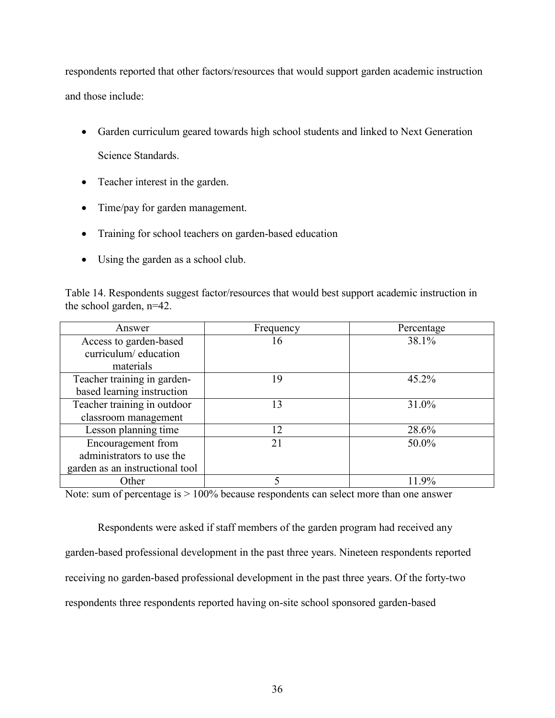respondents reported that other factors/resources that would support garden academic instruction and those include:

- Garden curriculum geared towards high school students and linked to Next Generation Science Standards.
- Teacher interest in the garden.
- Time/pay for garden management.
- Training for school teachers on garden-based education
- Using the garden as a school club.

Table 14. Respondents suggest factor/resources that would best support academic instruction in the school garden, n=42.

| Answer                          | Frequency | Percentage |
|---------------------------------|-----------|------------|
| Access to garden-based          | 16        | 38.1%      |
| curriculum/education            |           |            |
| materials                       |           |            |
| Teacher training in garden-     | 19        | 45.2%      |
| based learning instruction      |           |            |
| Teacher training in outdoor     | 13        | 31.0%      |
| classroom management            |           |            |
| Lesson planning time            | 12        | 28.6%      |
| Encouragement from              | 21        | 50.0%      |
| administrators to use the       |           |            |
| garden as an instructional tool |           |            |
| Other                           |           | 11.9%      |

Note: sum of percentage is > 100% because respondents can select more than one answer

Respondents were asked if staff members of the garden program had received any garden-based professional development in the past three years. Nineteen respondents reported receiving no garden-based professional development in the past three years. Of the forty-two respondents three respondents reported having on-site school sponsored garden-based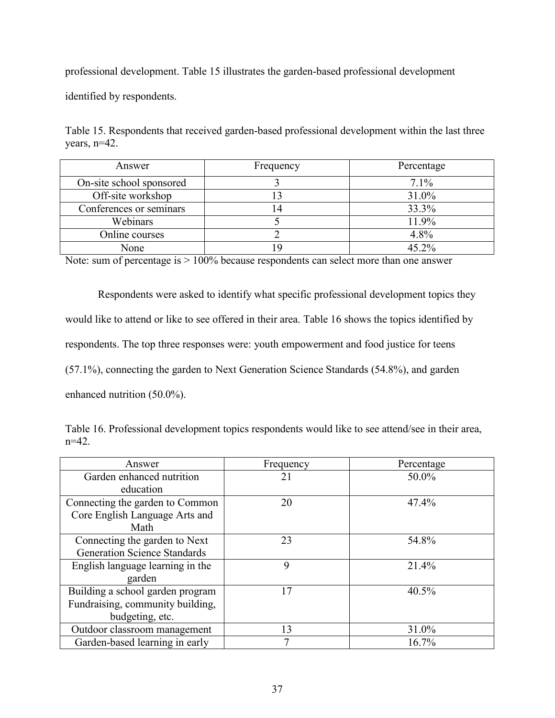professional development. Table 15 illustrates the garden-based professional development

identified by respondents.

Table 15. Respondents that received garden-based professional development within the last three years, n=42.

| Answer                   | Frequency | Percentage |
|--------------------------|-----------|------------|
| On-site school sponsored |           | $7.1\%$    |
| Off-site workshop        |           | 31.0%      |
| Conferences or seminars  |           | 33.3%      |
| Webinars                 |           | 11.9%      |
| Online courses           |           | 4.8%       |
| None                     |           | 45.2%      |

Note: sum of percentage is > 100% because respondents can select more than one answer

Respondents were asked to identify what specific professional development topics they would like to attend or like to see offered in their area. Table 16 shows the topics identified by respondents. The top three responses were: youth empowerment and food justice for teens (57.1%), connecting the garden to Next Generation Science Standards (54.8%), and garden enhanced nutrition (50.0%).

|          |  | Table 16. Professional development topics respondents would like to see attend/see in their area, |  |  |
|----------|--|---------------------------------------------------------------------------------------------------|--|--|
| $n=42$ . |  |                                                                                                   |  |  |

| Answer                              | Frequency | Percentage |
|-------------------------------------|-----------|------------|
| Garden enhanced nutrition           | 21        | 50.0%      |
| education                           |           |            |
| Connecting the garden to Common     | 20        | 47.4%      |
| Core English Language Arts and      |           |            |
| Math                                |           |            |
| Connecting the garden to Next       | 23        | 54.8%      |
| <b>Generation Science Standards</b> |           |            |
| English language learning in the    | 9         | 21.4%      |
| garden                              |           |            |
| Building a school garden program    | 17        | 40.5%      |
| Fundraising, community building,    |           |            |
| budgeting, etc.                     |           |            |
| Outdoor classroom management        | 13        | 31.0%      |
| Garden-based learning in early      |           | 16.7%      |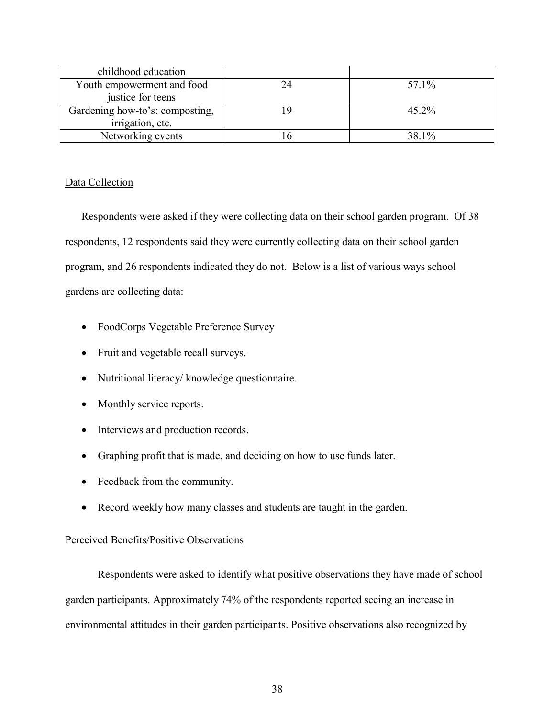| childhood education             |          |
|---------------------------------|----------|
| Youth empowerment and food      | 57.1%    |
| justice for teens               |          |
| Gardening how-to's: composting, | $45.2\%$ |
| irrigation, etc.                |          |
| Networking events               | 38.1%    |

## Data Collection

Respondents were asked if they were collecting data on their school garden program. Of 38 respondents, 12 respondents said they were currently collecting data on their school garden program, and 26 respondents indicated they do not. Below is a list of various ways school gardens are collecting data:

- FoodCorps Vegetable Preference Survey
- Fruit and vegetable recall surveys.
- Nutritional literacy/ knowledge questionnaire.
- Monthly service reports.
- Interviews and production records.
- Graphing profit that is made, and deciding on how to use funds later.
- Feedback from the community.
- Record weekly how many classes and students are taught in the garden.

### Perceived Benefits/Positive Observations

Respondents were asked to identify what positive observations they have made of school garden participants. Approximately 74% of the respondents reported seeing an increase in environmental attitudes in their garden participants. Positive observations also recognized by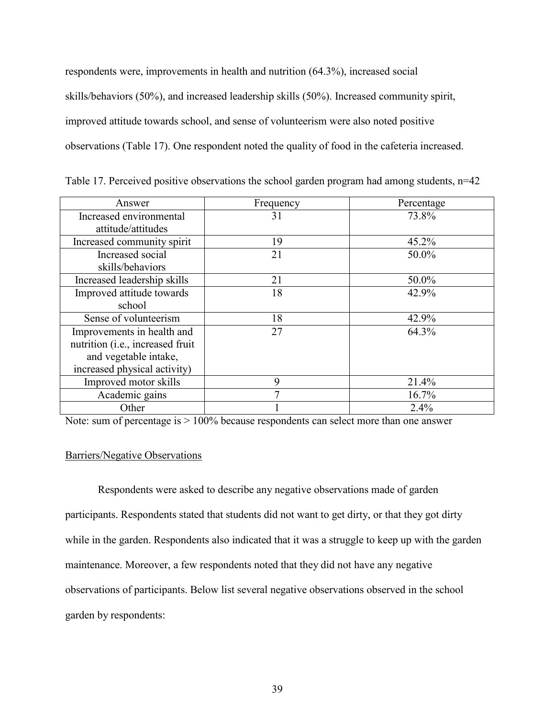respondents were, improvements in health and nutrition (64.3%), increased social skills/behaviors (50%), and increased leadership skills (50%). Increased community spirit, improved attitude towards school, and sense of volunteerism were also noted positive observations (Table 17). One respondent noted the quality of food in the cafeteria increased.

| Answer                                    | Frequency | Percentage |
|-------------------------------------------|-----------|------------|
| Increased environmental                   | 31        | 73.8%      |
| attitude/attitudes                        |           |            |
| Increased community spirit                | 19        | 45.2%      |
| Increased social                          | 21        | 50.0%      |
| skills/behaviors                          |           |            |
| Increased leadership skills               | 21        | 50.0%      |
| Improved attitude towards                 | 18        | 42.9%      |
| school                                    |           |            |
| Sense of volunteerism                     | 18        | 42.9%      |
| Improvements in health and                | 27        | 64.3%      |
| nutrition ( <i>i.e.</i> , increased fruit |           |            |
| and vegetable intake,                     |           |            |
| increased physical activity)              |           |            |
| Improved motor skills                     | 9         | 21.4%      |
| Academic gains                            | 7         | 16.7%      |
| Other                                     |           | 2.4%       |

Table 17. Perceived positive observations the school garden program had among students, n=42

Note: sum of percentage is  $> 100\%$  because respondents can select more than one answer

### Barriers/Negative Observations

Respondents were asked to describe any negative observations made of garden participants. Respondents stated that students did not want to get dirty, or that they got dirty while in the garden. Respondents also indicated that it was a struggle to keep up with the garden maintenance. Moreover, a few respondents noted that they did not have any negative observations of participants. Below list several negative observations observed in the school garden by respondents: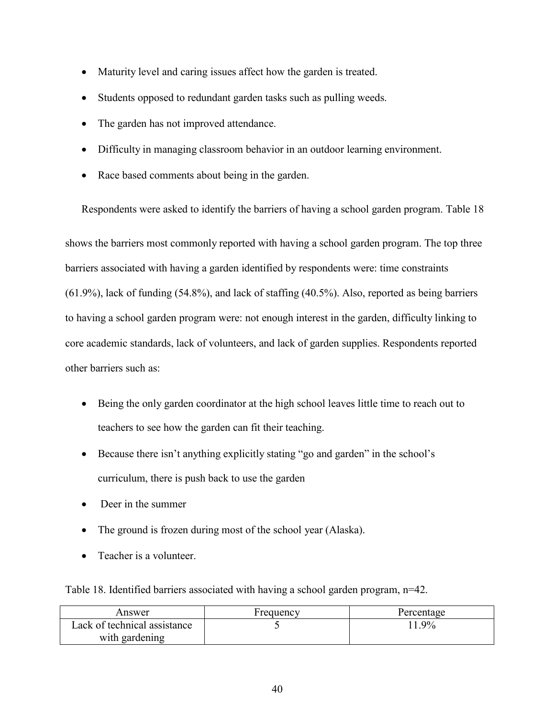- Maturity level and caring issues affect how the garden is treated.
- Students opposed to redundant garden tasks such as pulling weeds.
- The garden has not improved attendance.
- Difficulty in managing classroom behavior in an outdoor learning environment.
- Race based comments about being in the garden.

Respondents were asked to identify the barriers of having a school garden program. Table 18

shows the barriers most commonly reported with having a school garden program. The top three barriers associated with having a garden identified by respondents were: time constraints (61.9%), lack of funding (54.8%), and lack of staffing (40.5%). Also, reported as being barriers to having a school garden program were: not enough interest in the garden, difficulty linking to core academic standards, lack of volunteers, and lack of garden supplies. Respondents reported other barriers such as:

- Being the only garden coordinator at the high school leaves little time to reach out to teachers to see how the garden can fit their teaching.
- Because there isn't anything explicitly stating "go and garden" in the school's curriculum, there is push back to use the garden
- Deer in the summer
- The ground is frozen during most of the school year (Alaska).
- Teacher is a volunteer.

Table 18. Identified barriers associated with having a school garden program, n=42.

| Answer                       | Frequency | Percentage |
|------------------------------|-----------|------------|
| Lack of technical assistance |           | 9%         |
| with gardening               |           |            |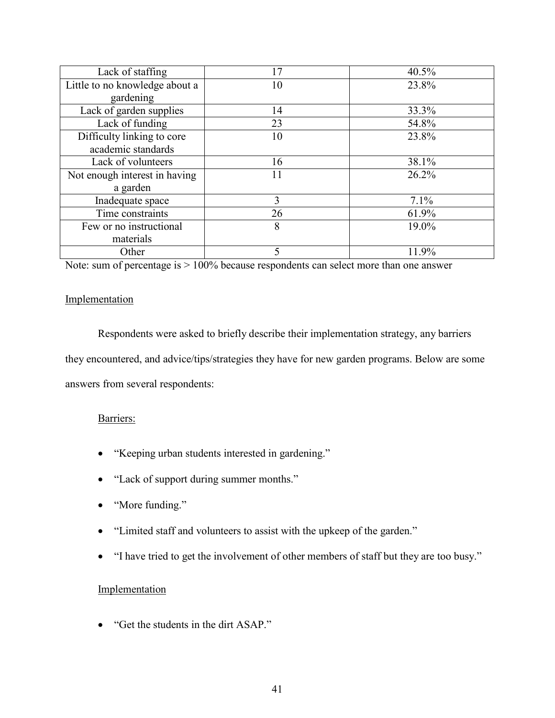| Lack of staffing               | 17 | 40.5% |
|--------------------------------|----|-------|
| Little to no knowledge about a | 10 | 23.8% |
| gardening                      |    |       |
| Lack of garden supplies        | 14 | 33.3% |
| Lack of funding                | 23 | 54.8% |
| Difficulty linking to core     | 10 | 23.8% |
| academic standards             |    |       |
| Lack of volunteers             | 16 | 38.1% |
| Not enough interest in having  | 11 | 26.2% |
| a garden                       |    |       |
| Inadequate space               | 3  | 7.1%  |
| Time constraints               | 26 | 61.9% |
| Few or no instructional        | 8  | 19.0% |
| materials                      |    |       |
| Other                          | 5  | 11.9% |

Note: sum of percentage is > 100% because respondents can select more than one answer

## Implementation

Respondents were asked to briefly describe their implementation strategy, any barriers they encountered, and advice/tips/strategies they have for new garden programs. Below are some answers from several respondents:

## Barriers:

- "Keeping urban students interested in gardening."
- "Lack of support during summer months."
- "More funding."
- "Limited staff and volunteers to assist with the upkeep of the garden."
- "I have tried to get the involvement of other members of staff but they are too busy."

# Implementation

• "Get the students in the dirt ASAP."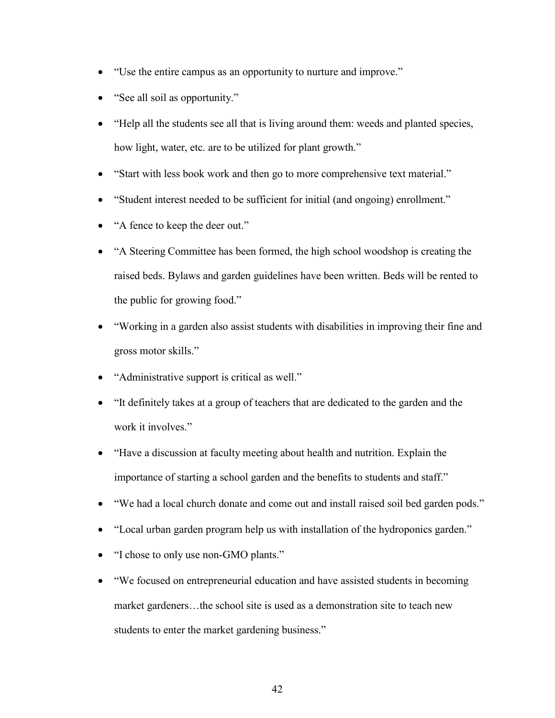- "Use the entire campus as an opportunity to nurture and improve."
- "See all soil as opportunity."
- "Help all the students see all that is living around them: weeds and planted species, how light, water, etc. are to be utilized for plant growth."
- "Start with less book work and then go to more comprehensive text material."
- "Student interest needed to be sufficient for initial (and ongoing) enrollment."
- "A fence to keep the deer out."
- "A Steering Committee has been formed, the high school woodshop is creating the raised beds. Bylaws and garden guidelines have been written. Beds will be rented to the public for growing food."
- "Working in a garden also assist students with disabilities in improving their fine and gross motor skills."
- "Administrative support is critical as well."
- "It definitely takes at a group of teachers that are dedicated to the garden and the work it involves."
- "Have a discussion at faculty meeting about health and nutrition. Explain the importance of starting a school garden and the benefits to students and staff."
- "We had a local church donate and come out and install raised soil bed garden pods."
- "Local urban garden program help us with installation of the hydroponics garden."
- "I chose to only use non-GMO plants."
- "We focused on entrepreneurial education and have assisted students in becoming market gardeners…the school site is used as a demonstration site to teach new students to enter the market gardening business."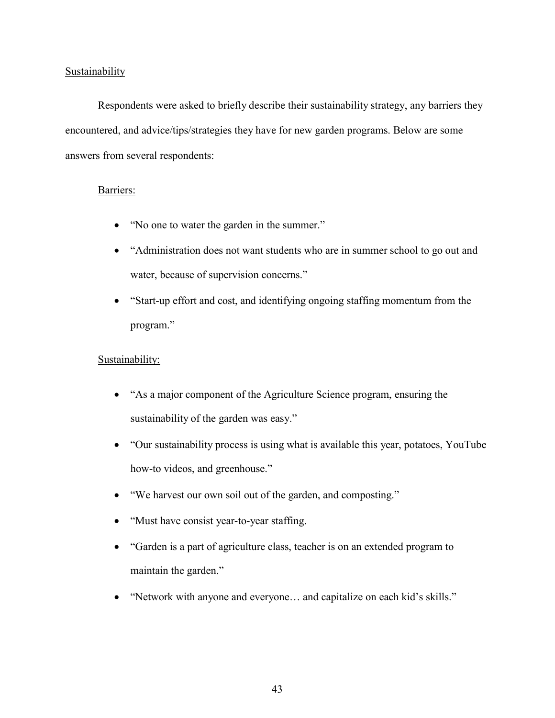### **Sustainability**

Respondents were asked to briefly describe their sustainability strategy, any barriers they encountered, and advice/tips/strategies they have for new garden programs. Below are some answers from several respondents:

## Barriers:

- "No one to water the garden in the summer."
- "Administration does not want students who are in summer school to go out and water, because of supervision concerns."
- "Start-up effort and cost, and identifying ongoing staffing momentum from the program."

## Sustainability:

- "As a major component of the Agriculture Science program, ensuring the sustainability of the garden was easy."
- "Our sustainability process is using what is available this year, potatoes, YouTube how-to videos, and greenhouse."
- "We harvest our own soil out of the garden, and composting."
- "Must have consist year-to-year staffing.
- "Garden is a part of agriculture class, teacher is on an extended program to maintain the garden."
- "Network with anyone and everyone… and capitalize on each kid's skills."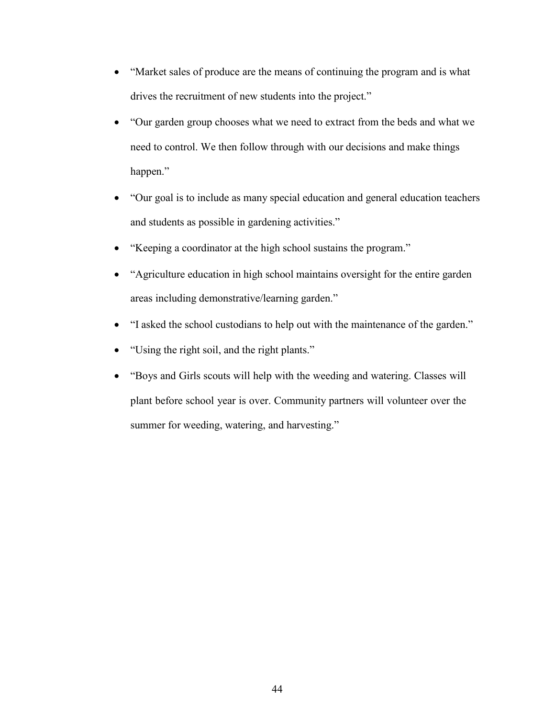- "Market sales of produce are the means of continuing the program and is what drives the recruitment of new students into the project."
- "Our garden group chooses what we need to extract from the beds and what we need to control. We then follow through with our decisions and make things happen."
- "Our goal is to include as many special education and general education teachers and students as possible in gardening activities."
- "Keeping a coordinator at the high school sustains the program."
- "Agriculture education in high school maintains oversight for the entire garden areas including demonstrative/learning garden."
- "I asked the school custodians to help out with the maintenance of the garden."
- "Using the right soil, and the right plants."
- "Boys and Girls scouts will help with the weeding and watering. Classes will plant before school year is over. Community partners will volunteer over the summer for weeding, watering, and harvesting."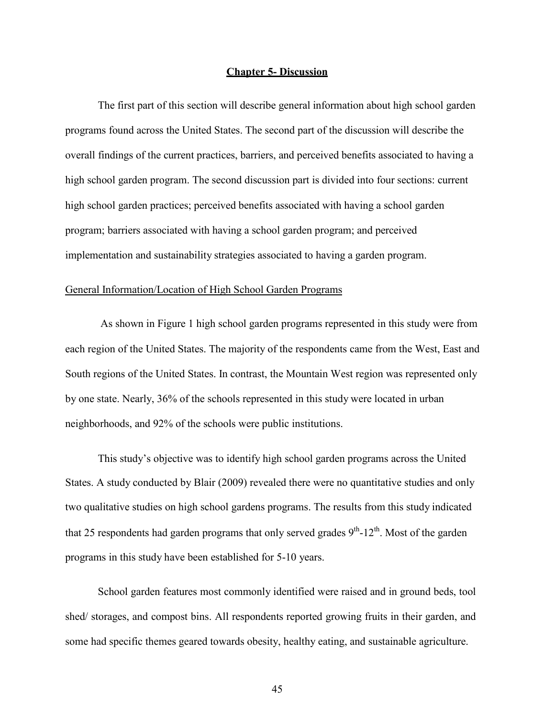#### **Chapter 5- Discussion**

The first part of this section will describe general information about high school garden programs found across the United States. The second part of the discussion will describe the overall findings of the current practices, barriers, and perceived benefits associated to having a high school garden program. The second discussion part is divided into four sections: current high school garden practices; perceived benefits associated with having a school garden program; barriers associated with having a school garden program; and perceived implementation and sustainability strategies associated to having a garden program.

### General Information/Location of High School Garden Programs

As shown in Figure 1 high school garden programs represented in this study were from each region of the United States. The majority of the respondents came from the West, East and South regions of the United States. In contrast, the Mountain West region was represented only by one state. Nearly, 36% of the schools represented in this study were located in urban neighborhoods, and 92% of the schools were public institutions.

This study's objective was to identify high school garden programs across the United States. A study conducted by Blair (2009) revealed there were no quantitative studies and only two qualitative studies on high school gardens programs. The results from this study indicated that 25 respondents had garden programs that only served grades  $9<sup>th</sup>$ -12<sup>th</sup>. Most of the garden programs in this study have been established for 5-10 years.

School garden features most commonly identified were raised and in ground beds, tool shed/ storages, and compost bins. All respondents reported growing fruits in their garden, and some had specific themes geared towards obesity, healthy eating, and sustainable agriculture.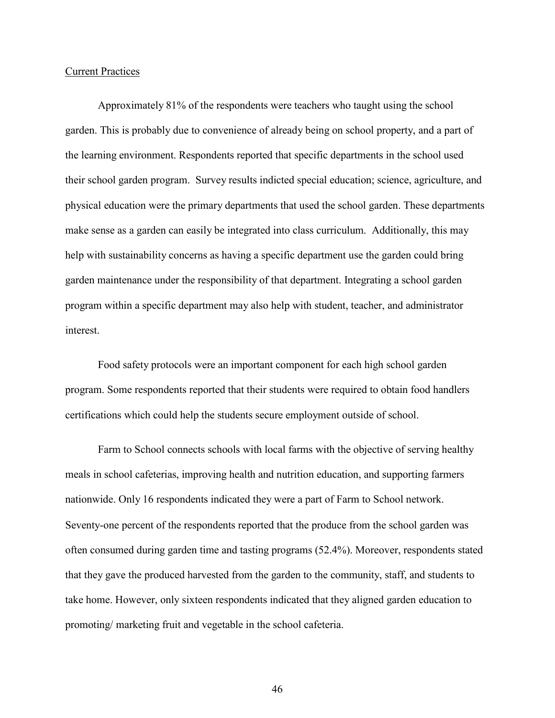#### Current Practices

Approximately 81% of the respondents were teachers who taught using the school garden. This is probably due to convenience of already being on school property, and a part of the learning environment. Respondents reported that specific departments in the school used their school garden program. Survey results indicted special education; science, agriculture, and physical education were the primary departments that used the school garden. These departments make sense as a garden can easily be integrated into class curriculum. Additionally, this may help with sustainability concerns as having a specific department use the garden could bring garden maintenance under the responsibility of that department. Integrating a school garden program within a specific department may also help with student, teacher, and administrator interest.

Food safety protocols were an important component for each high school garden program. Some respondents reported that their students were required to obtain food handlers certifications which could help the students secure employment outside of school.

Farm to School connects schools with local farms with the objective of serving healthy meals in school cafeterias, improving health and nutrition education, and supporting farmers nationwide. Only 16 respondents indicated they were a part of Farm to School network. Seventy-one percent of the respondents reported that the produce from the school garden was often consumed during garden time and tasting programs (52.4%). Moreover, respondents stated that they gave the produced harvested from the garden to the community, staff, and students to take home. However, only sixteen respondents indicated that they aligned garden education to promoting/ marketing fruit and vegetable in the school cafeteria.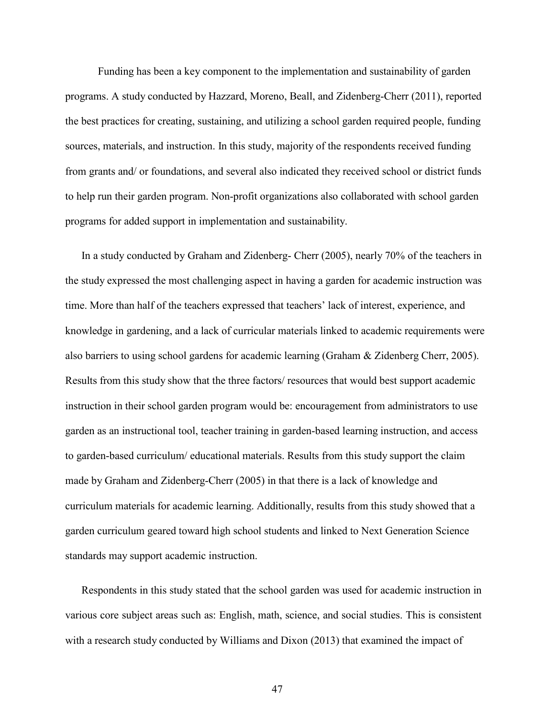Funding has been a key component to the implementation and sustainability of garden programs. A study conducted by Hazzard, Moreno, Beall, and Zidenberg-Cherr (2011), reported the best practices for creating, sustaining, and utilizing a school garden required people, funding sources, materials, and instruction. In this study, majority of the respondents received funding from grants and/ or foundations, and several also indicated they received school or district funds to help run their garden program. Non-profit organizations also collaborated with school garden programs for added support in implementation and sustainability.

In a study conducted by Graham and Zidenberg- Cherr (2005), nearly 70% of the teachers in the study expressed the most challenging aspect in having a garden for academic instruction was time. More than half of the teachers expressed that teachers' lack of interest, experience, and knowledge in gardening, and a lack of curricular materials linked to academic requirements were also barriers to using school gardens for academic learning (Graham & Zidenberg Cherr, 2005). Results from this study show that the three factors/ resources that would best support academic instruction in their school garden program would be: encouragement from administrators to use garden as an instructional tool, teacher training in garden-based learning instruction, and access to garden-based curriculum/ educational materials. Results from this study support the claim made by Graham and Zidenberg-Cherr (2005) in that there is a lack of knowledge and curriculum materials for academic learning. Additionally, results from this study showed that a garden curriculum geared toward high school students and linked to Next Generation Science standards may support academic instruction.

Respondents in this study stated that the school garden was used for academic instruction in various core subject areas such as: English, math, science, and social studies. This is consistent with a research study conducted by Williams and Dixon (2013) that examined the impact of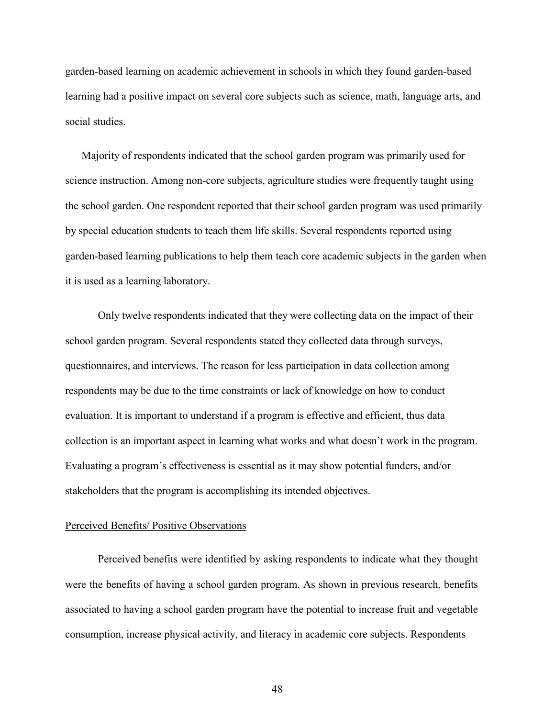garden-based learning on academic achievement in schools in which they found garden-based learning had a positive impact on several core subjects such as science, math, language arts, and social studies.

Majority of respondents indicated that the school garden program was primarily used for science instruction. Among non-core subjects, agriculture studies were frequently taught using the school garden. One respondent reported that their school garden program was used primarily by special education students to teach them life skills. Several respondents reported using garden-based learning publications to help them teach core academic subjects in the garden when it is used as a learning laboratory.

Only twelve respondents indicated that they were collecting data on the impact of their school garden program. Several respondents stated they collected data through surveys, questionnaires, and interviews. The reason for less participation in data collection among respondents may be due to the time constraints or lack of knowledge on how to conduct evaluation. It is important to understand if a program is effective and efficient, thus data collection is an important aspect in learning what works and what doesn't work in the program. Evaluating a program's effectiveness is essential as it may show potential funders, and/or stakeholders that the program is accomplishing its intended objectives.

#### Perceived Benefits/ Positive Observations

Perceived benefits were identified by asking respondents to indicate what they thought were the benefits of having a school garden program. As shown in previous research, benefits associated to having a school garden program have the potential to increase fruit and vegetable consumption, increase physical activity, and literacy in academic core subjects. Respondents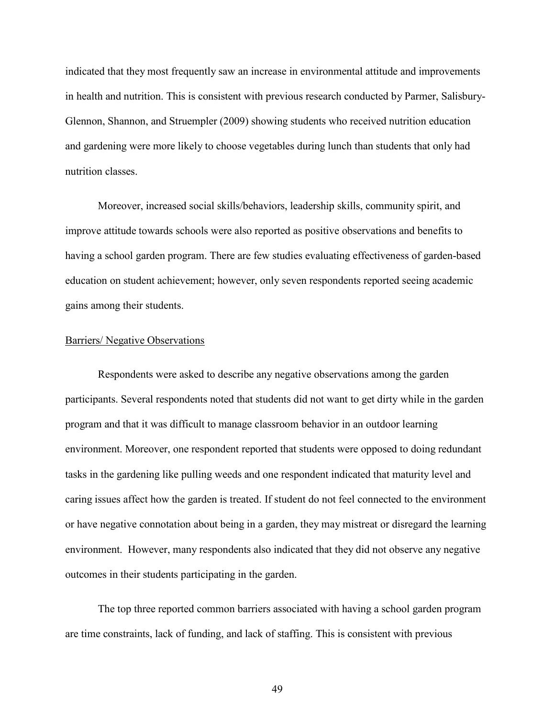indicated that they most frequently saw an increase in environmental attitude and improvements in health and nutrition. This is consistent with previous research conducted by Parmer, Salisbury-Glennon, Shannon, and Struempler (2009) showing students who received nutrition education and gardening were more likely to choose vegetables during lunch than students that only had nutrition classes.

Moreover, increased social skills/behaviors, leadership skills, community spirit, and improve attitude towards schools were also reported as positive observations and benefits to having a school garden program. There are few studies evaluating effectiveness of garden-based education on student achievement; however, only seven respondents reported seeing academic gains among their students.

### Barriers/ Negative Observations

Respondents were asked to describe any negative observations among the garden participants. Several respondents noted that students did not want to get dirty while in the garden program and that it was difficult to manage classroom behavior in an outdoor learning environment. Moreover, one respondent reported that students were opposed to doing redundant tasks in the gardening like pulling weeds and one respondent indicated that maturity level and caring issues affect how the garden is treated. If student do not feel connected to the environment or have negative connotation about being in a garden, they may mistreat or disregard the learning environment. However, many respondents also indicated that they did not observe any negative outcomes in their students participating in the garden.

The top three reported common barriers associated with having a school garden program are time constraints, lack of funding, and lack of staffing. This is consistent with previous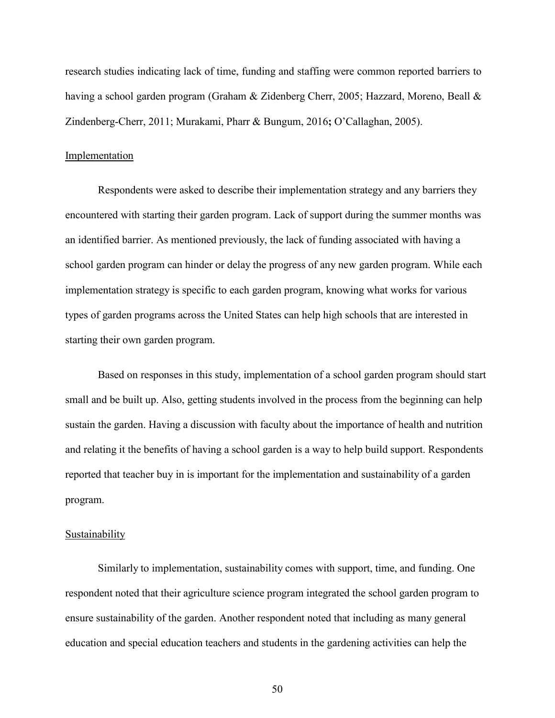research studies indicating lack of time, funding and staffing were common reported barriers to having a school garden program (Graham & Zidenberg Cherr, 2005; Hazzard, Moreno, Beall & Zindenberg-Cherr, 2011; Murakami, Pharr & Bungum, 2016**;** O'Callaghan, 2005).

### Implementation

Respondents were asked to describe their implementation strategy and any barriers they encountered with starting their garden program. Lack of support during the summer months was an identified barrier. As mentioned previously, the lack of funding associated with having a school garden program can hinder or delay the progress of any new garden program. While each implementation strategy is specific to each garden program, knowing what works for various types of garden programs across the United States can help high schools that are interested in starting their own garden program.

Based on responses in this study, implementation of a school garden program should start small and be built up. Also, getting students involved in the process from the beginning can help sustain the garden. Having a discussion with faculty about the importance of health and nutrition and relating it the benefits of having a school garden is a way to help build support. Respondents reported that teacher buy in is important for the implementation and sustainability of a garden program.

#### **Sustainability**

Similarly to implementation, sustainability comes with support, time, and funding. One respondent noted that their agriculture science program integrated the school garden program to ensure sustainability of the garden. Another respondent noted that including as many general education and special education teachers and students in the gardening activities can help the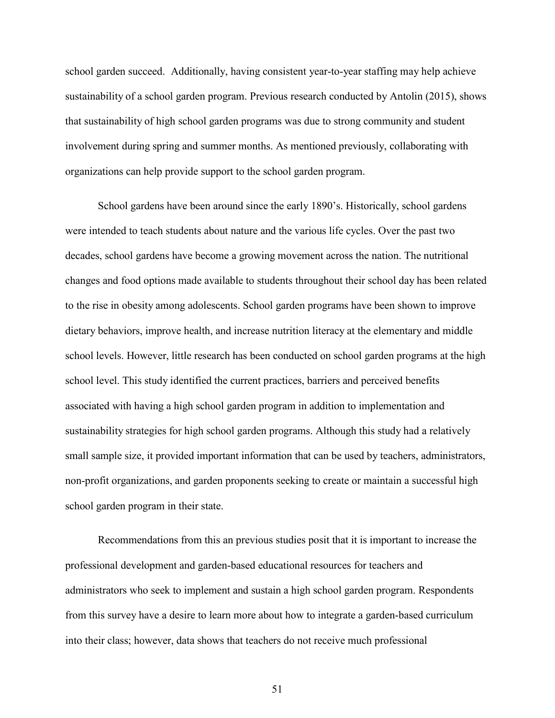school garden succeed. Additionally, having consistent year-to-year staffing may help achieve sustainability of a school garden program. Previous research conducted by Antolin (2015), shows that sustainability of high school garden programs was due to strong community and student involvement during spring and summer months. As mentioned previously, collaborating with organizations can help provide support to the school garden program.

School gardens have been around since the early 1890's. Historically, school gardens were intended to teach students about nature and the various life cycles. Over the past two decades, school gardens have become a growing movement across the nation. The nutritional changes and food options made available to students throughout their school day has been related to the rise in obesity among adolescents. School garden programs have been shown to improve dietary behaviors, improve health, and increase nutrition literacy at the elementary and middle school levels. However, little research has been conducted on school garden programs at the high school level. This study identified the current practices, barriers and perceived benefits associated with having a high school garden program in addition to implementation and sustainability strategies for high school garden programs. Although this study had a relatively small sample size, it provided important information that can be used by teachers, administrators, non-profit organizations, and garden proponents seeking to create or maintain a successful high school garden program in their state.

Recommendations from this an previous studies posit that it is important to increase the professional development and garden-based educational resources for teachers and administrators who seek to implement and sustain a high school garden program. Respondents from this survey have a desire to learn more about how to integrate a garden-based curriculum into their class; however, data shows that teachers do not receive much professional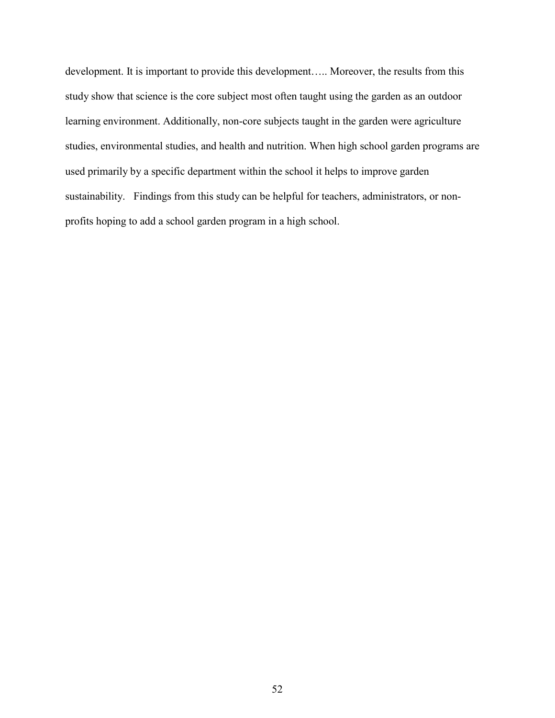development. It is important to provide this development….. Moreover, the results from this study show that science is the core subject most often taught using the garden as an outdoor learning environment. Additionally, non-core subjects taught in the garden were agriculture studies, environmental studies, and health and nutrition. When high school garden programs are used primarily by a specific department within the school it helps to improve garden sustainability. Findings from this study can be helpful for teachers, administrators, or nonprofits hoping to add a school garden program in a high school.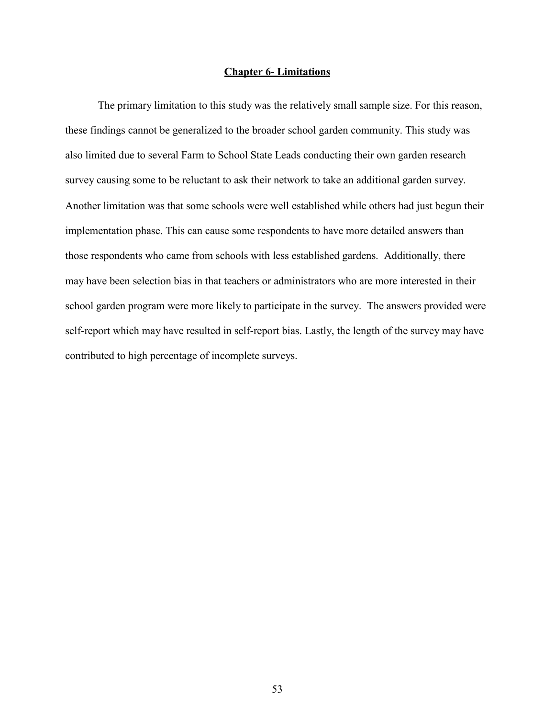### **Chapter 6- Limitations**

The primary limitation to this study was the relatively small sample size. For this reason, these findings cannot be generalized to the broader school garden community. This study was also limited due to several Farm to School State Leads conducting their own garden research survey causing some to be reluctant to ask their network to take an additional garden survey. Another limitation was that some schools were well established while others had just begun their implementation phase. This can cause some respondents to have more detailed answers than those respondents who came from schools with less established gardens. Additionally, there may have been selection bias in that teachers or administrators who are more interested in their school garden program were more likely to participate in the survey. The answers provided were self-report which may have resulted in self-report bias. Lastly, the length of the survey may have contributed to high percentage of incomplete surveys.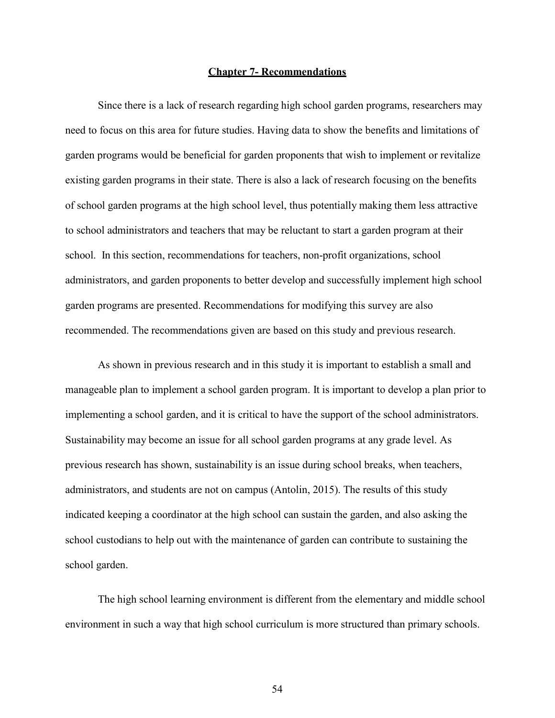#### **Chapter 7- Recommendations**

Since there is a lack of research regarding high school garden programs, researchers may need to focus on this area for future studies. Having data to show the benefits and limitations of garden programs would be beneficial for garden proponents that wish to implement or revitalize existing garden programs in their state. There is also a lack of research focusing on the benefits of school garden programs at the high school level, thus potentially making them less attractive to school administrators and teachers that may be reluctant to start a garden program at their school. In this section, recommendations for teachers, non-profit organizations, school administrators, and garden proponents to better develop and successfully implement high school garden programs are presented. Recommendations for modifying this survey are also recommended. The recommendations given are based on this study and previous research.

As shown in previous research and in this study it is important to establish a small and manageable plan to implement a school garden program. It is important to develop a plan prior to implementing a school garden, and it is critical to have the support of the school administrators. Sustainability may become an issue for all school garden programs at any grade level. As previous research has shown, sustainability is an issue during school breaks, when teachers, administrators, and students are not on campus (Antolin, 2015). The results of this study indicated keeping a coordinator at the high school can sustain the garden, and also asking the school custodians to help out with the maintenance of garden can contribute to sustaining the school garden.

The high school learning environment is different from the elementary and middle school environment in such a way that high school curriculum is more structured than primary schools.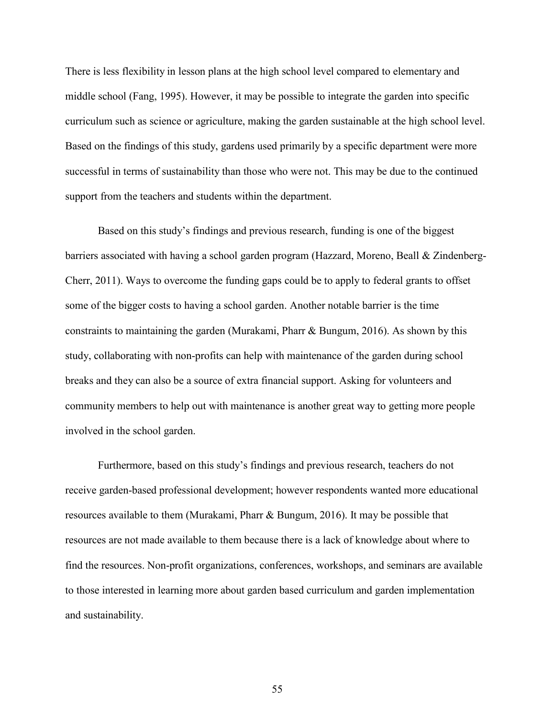There is less flexibility in lesson plans at the high school level compared to elementary and middle school (Fang, 1995). However, it may be possible to integrate the garden into specific curriculum such as science or agriculture, making the garden sustainable at the high school level. Based on the findings of this study, gardens used primarily by a specific department were more successful in terms of sustainability than those who were not. This may be due to the continued support from the teachers and students within the department.

Based on this study's findings and previous research, funding is one of the biggest barriers associated with having a school garden program (Hazzard, Moreno, Beall & Zindenberg-Cherr, 2011). Ways to overcome the funding gaps could be to apply to federal grants to offset some of the bigger costs to having a school garden. Another notable barrier is the time constraints to maintaining the garden (Murakami, Pharr & Bungum, 2016). As shown by this study, collaborating with non-profits can help with maintenance of the garden during school breaks and they can also be a source of extra financial support. Asking for volunteers and community members to help out with maintenance is another great way to getting more people involved in the school garden.

Furthermore, based on this study's findings and previous research, teachers do not receive garden-based professional development; however respondents wanted more educational resources available to them (Murakami, Pharr & Bungum, 2016). It may be possible that resources are not made available to them because there is a lack of knowledge about where to find the resources. Non-profit organizations, conferences, workshops, and seminars are available to those interested in learning more about garden based curriculum and garden implementation and sustainability.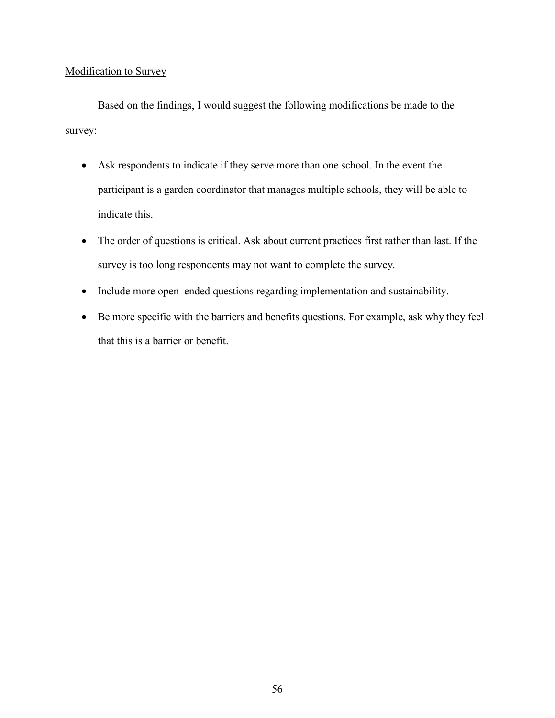# Modification to Survey

Based on the findings, I would suggest the following modifications be made to the survey:

- Ask respondents to indicate if they serve more than one school. In the event the participant is a garden coordinator that manages multiple schools, they will be able to indicate this.
- The order of questions is critical. Ask about current practices first rather than last. If the survey is too long respondents may not want to complete the survey.
- Include more open–ended questions regarding implementation and sustainability.
- Be more specific with the barriers and benefits questions. For example, ask why they feel that this is a barrier or benefit.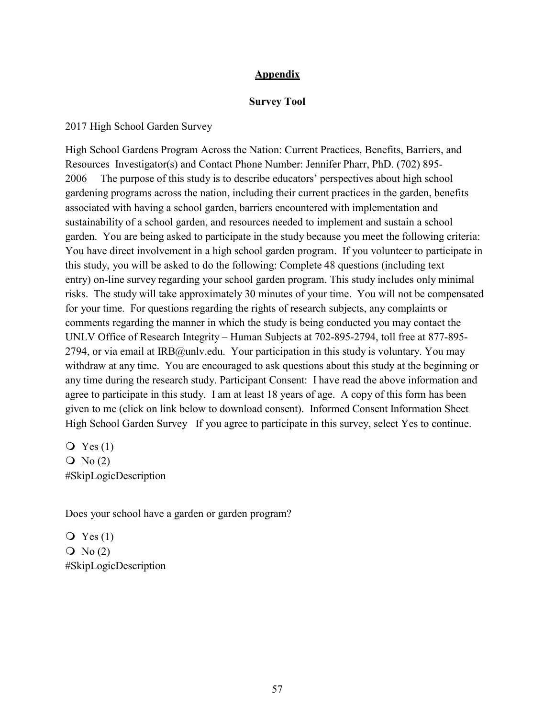# **Appendix**

## **Survey Tool**

2017 High School Garden Survey

High School Gardens Program Across the Nation: Current Practices, Benefits, Barriers, and Resources Investigator(s) and Contact Phone Number: Jennifer Pharr, PhD. (702) 895- 2006 The purpose of this study is to describe educators' perspectives about high school gardening programs across the nation, including their current practices in the garden, benefits associated with having a school garden, barriers encountered with implementation and sustainability of a school garden, and resources needed to implement and sustain a school garden. You are being asked to participate in the study because you meet the following criteria: You have direct involvement in a high school garden program. If you volunteer to participate in this study, you will be asked to do the following: Complete 48 questions (including text entry) on-line survey regarding your school garden program. This study includes only minimal risks. The study will take approximately 30 minutes of your time. You will not be compensated for your time. For questions regarding the rights of research subjects, any complaints or comments regarding the manner in which the study is being conducted you may contact the UNLV Office of Research Integrity – Human Subjects at 702-895-2794, toll free at 877-895- 2794, or via email at IRB@unly.edu. Your participation in this study is voluntary. You may withdraw at any time. You are encouraged to ask questions about this study at the beginning or any time during the research study. Participant Consent: I have read the above information and agree to participate in this study. I am at least 18 years of age. A copy of this form has been given to me (click on link below to download consent). Informed Consent Information Sheet High School Garden Survey If you agree to participate in this survey, select Yes to continue.

 $Q$  Yes  $(1)$  $\overline{O}$  No (2) #SkipLogicDescription

Does your school have a garden or garden program?

 $Q$  Yes  $(1)$  $\overline{Q}$  No (2) #SkipLogicDescription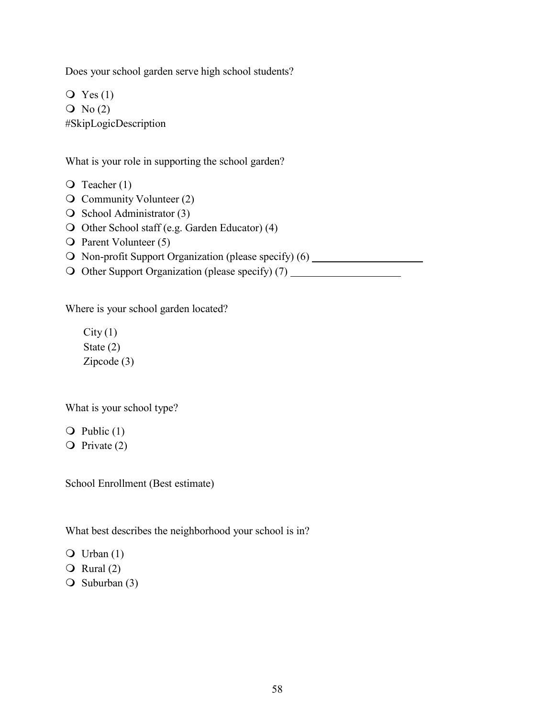Does your school garden serve high school students?

 $Q$  Yes  $(1)$  $\overline{O}$  No (2) #SkipLogicDescription

What is your role in supporting the school garden?

- $\overline{Q}$  Teacher (1)
- $\overline{Q}$  Community Volunteer (2)
- $\overline{O}$  School Administrator (3)
- O Other School staff (e.g. Garden Educator) (4)
- O Parent Volunteer (5)
- O Non-profit Support Organization (please specify) (6)
- $\bigcirc$  Other Support Organization (please specify) (7)

Where is your school garden located?

 $City(1)$ State (2) Zipcode (3)

What is your school type?

 $\overline{Q}$  Public (1)

 $\overline{Q}$  Private (2)

School Enrollment (Best estimate)

What best describes the neighborhood your school is in?

 $\overline{Q}$  Urban (1)

 $\overline{Q}$  Rural (2)

 $\bigcirc$  Suburban (3)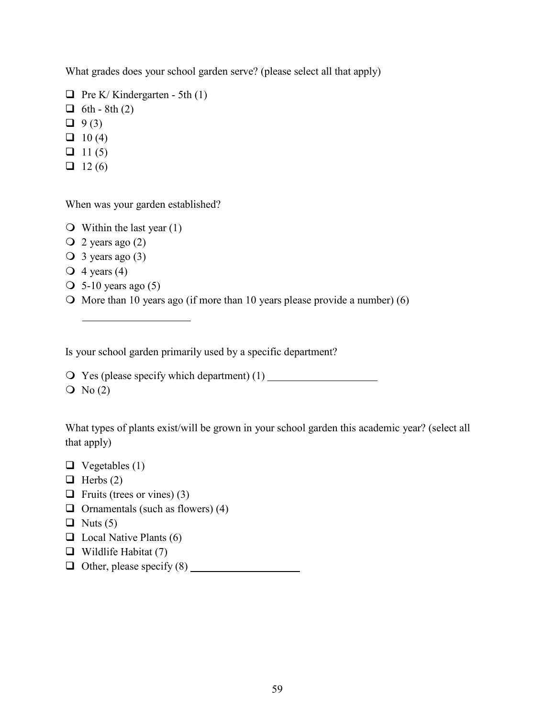What grades does your school garden serve? (please select all that apply)

```
\Box Pre K/ Kindergarten - 5th (1)
\Box 6th - 8th (2)
\Box 9(3)
\Box 10 (4)
\Box 11 (5)
12(6)
```
When was your garden established?

 $\bigcirc$  Within the last year (1)

- $\overline{Q}$  2 years ago (2)
- $\bigcirc$  3 years ago (3)
- $\overline{Q}$  4 years (4)
- $\overline{O}$  5-10 years ago (5)
- $\bigcirc$  More than 10 years ago (if more than 10 years please provide a number) (6)

Is your school garden primarily used by a specific department?

Yes (please specify which department) (1)

 $\overline{O}$  No (2)

What types of plants exist/will be grown in your school garden this academic year? (select all that apply)

- $\Box$  Vegetables (1)
- $\Box$  Herbs (2)
- $\Box$  Fruits (trees or vines) (3)
- $\Box$  Ornamentals (such as flowers) (4)
- $\Box$  Nuts (5)
- $\Box$  Local Native Plants (6)
- $\Box$  Wildlife Habitat (7)
- $\Box$  Other, please specify (8)  $\Box$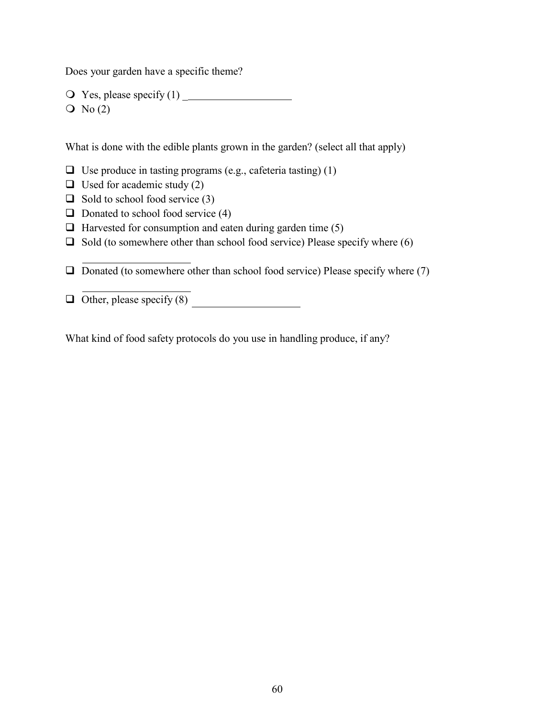Does your garden have a specific theme?

 Yes, please specify (1) \_  $\overline{O}$  No (2)

What is done with the edible plants grown in the garden? (select all that apply)

 $\Box$  Use produce in tasting programs (e.g., cafeteria tasting) (1)

 $\Box$  Used for academic study (2)

 $\Box$  Sold to school food service (3)

 $\Box$  Donated to school food service (4)

 $\Box$  Harvested for consumption and eaten during garden time (5)

 $\Box$  Sold (to somewhere other than school food service) Please specify where (6)

 $\Box$  Donated (to somewhere other than school food service) Please specify where (7)

 $\Box$  Other, please specify (8)

What kind of food safety protocols do you use in handling produce, if any?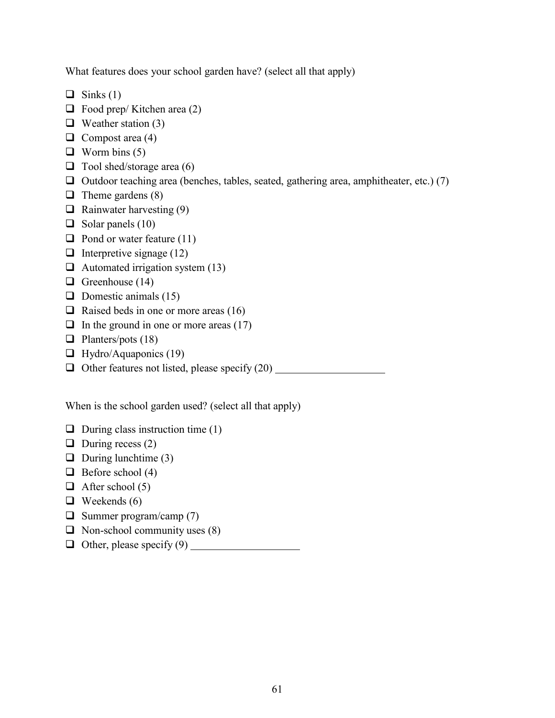What features does your school garden have? (select all that apply)

- $\Box$  Sinks (1)
- $\Box$  Food prep/ Kitchen area (2)
- $\Box$  Weather station (3)
- $\Box$  Compost area (4)
- $\Box$  Worm bins (5)
- $\Box$  Tool shed/storage area (6)
- $\Box$  Outdoor teaching area (benches, tables, seated, gathering area, amphitheater, etc.) (7)
- $\Box$  Theme gardens (8)
- $\Box$  Rainwater harvesting (9)
- $\Box$  Solar panels (10)
- $\Box$  Pond or water feature (11)
- $\Box$  Interpretive signage (12)
- $\Box$  Automated irrigation system (13)
- Greenhouse  $(14)$
- $\Box$  Domestic animals (15)
- $\Box$  Raised beds in one or more areas (16)
- $\Box$  In the ground in one or more areas (17)
- $\Box$  Planters/pots (18)
- $\Box$  Hydro/Aquaponics (19)
- □ Other features not listed, please specify (20)

When is the school garden used? (select all that apply)

- $\Box$  During class instruction time (1)
- $\Box$  During recess (2)
- $\Box$  During lunchtime (3)
- $\Box$  Before school (4)
- $\Box$  After school (5)
- $\Box$  Weekends (6)
- $\Box$  Summer program/camp (7)
- $\Box$  Non-school community uses (8)
- $\Box$  Other, please specify (9)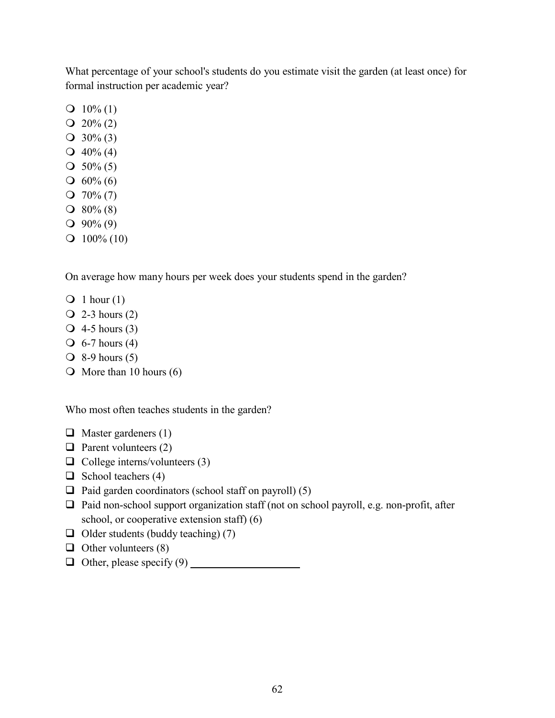What percentage of your school's students do you estimate visit the garden (at least once) for formal instruction per academic year?

- $Q$  10% (1)
- $Q$  20% (2)
- $Q$  30% (3)
- $Q$  40% (4)
- $\bigcirc$  50% (5)
- $\bigcirc$  60% (6)
- $Q$  70% (7)
- $\bigcirc$  80% (8)
- $\bigcirc$  90% (9)
- $\Omega$  100% (10)

On average how many hours per week does your students spend in the garden?

- $\bigcirc$  1 hour (1)
- $\overline{Q}$  2-3 hours (2)
- $\overline{Q}$  4-5 hours (3)
- $\overline{O}$  6-7 hours (4)
- $\overline{O}$  8-9 hours (5)
- $\bigcirc$  More than 10 hours (6)

Who most often teaches students in the garden?

- $\Box$  Master gardeners (1)
- $\Box$  Parent volunteers (2)
- $\Box$  College interns/volunteers (3)
- $\Box$  School teachers (4)
- $\Box$  Paid garden coordinators (school staff on payroll) (5)
- $\Box$  Paid non-school support organization staff (not on school payroll, e.g. non-profit, after school, or cooperative extension staff) (6)
- $\Box$  Older students (buddy teaching) (7)
- $\Box$  Other volunteers (8)
- $\Box$  Other, please specify (9)  $\Box$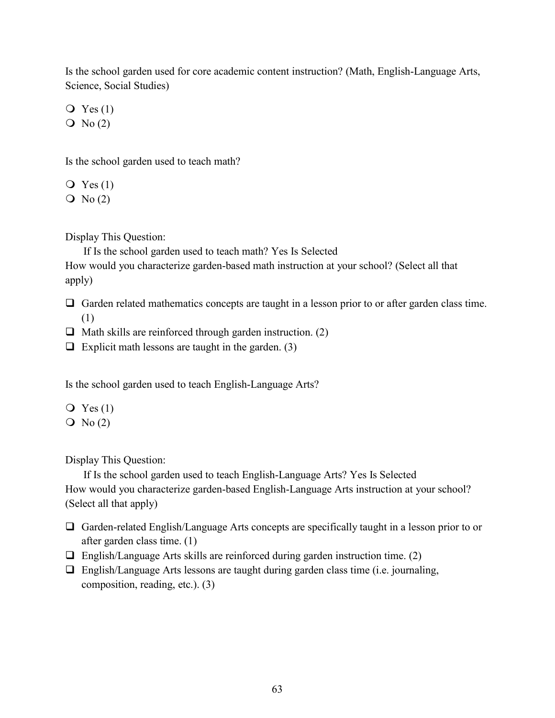Is the school garden used for core academic content instruction? (Math, English-Language Arts, Science, Social Studies)

 $Q$  Yes (1)

 $\overline{O}$  No (2)

Is the school garden used to teach math?

- $Q$  Yes  $(1)$
- $\overline{O}$  No (2)

Display This Question:

If Is the school garden used to teach math? Yes Is Selected

How would you characterize garden-based math instruction at your school? (Select all that apply)

- $\Box$  Garden related mathematics concepts are taught in a lesson prior to or after garden class time. (1)
- $\Box$  Math skills are reinforced through garden instruction. (2)
- $\Box$  Explicit math lessons are taught in the garden. (3)

Is the school garden used to teach English-Language Arts?

 $Q$  Yes  $(1)$  $\overline{O}$  No (2)

Display This Question:

If Is the school garden used to teach English-Language Arts? Yes Is Selected How would you characterize garden-based English-Language Arts instruction at your school? (Select all that apply)

- $\Box$  Garden-related English/Language Arts concepts are specifically taught in a lesson prior to or after garden class time. (1)
- $\Box$  English/Language Arts skills are reinforced during garden instruction time. (2)
- $\Box$  English/Language Arts lessons are taught during garden class time (i.e. journaling, composition, reading, etc.). (3)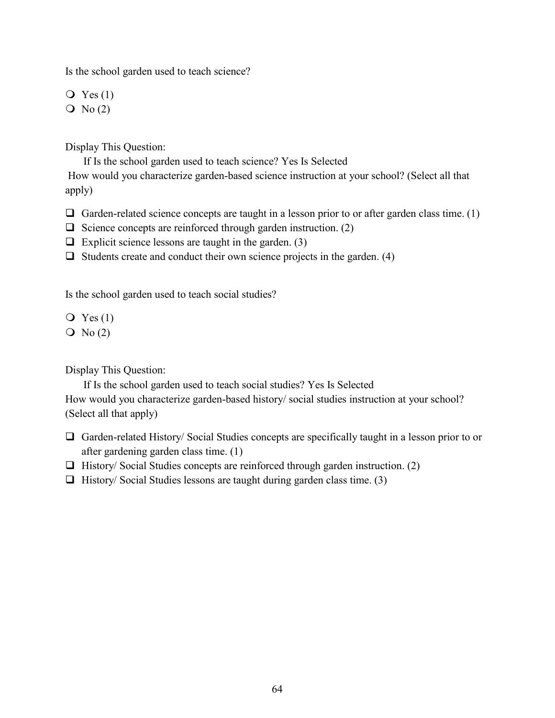Is the school garden used to teach science?

 $Q$  Yes  $(1)$ 

 $\overline{O}$  No (2)

Display This Question:

If Is the school garden used to teach science? Yes Is Selected

How would you characterize garden-based science instruction at your school? (Select all that apply)

- $\Box$  Garden-related science concepts are taught in a lesson prior to or after garden class time. (1)
- $\Box$  Science concepts are reinforced through garden instruction. (2)
- $\Box$  Explicit science lessons are taught in the garden. (3)
- $\Box$  Students create and conduct their own science projects in the garden. (4)

Is the school garden used to teach social studies?

 $Q$  Yes  $(1)$ 

 $\overline{O}$  No (2)

Display This Question:

If Is the school garden used to teach social studies? Yes Is Selected How would you characterize garden-based history/ social studies instruction at your school? (Select all that apply)

- Garden-related History/ Social Studies concepts are specifically taught in a lesson prior to or after gardening garden class time. (1)
- $\Box$  History/ Social Studies concepts are reinforced through garden instruction. (2)
- $\Box$  History/ Social Studies lessons are taught during garden class time. (3)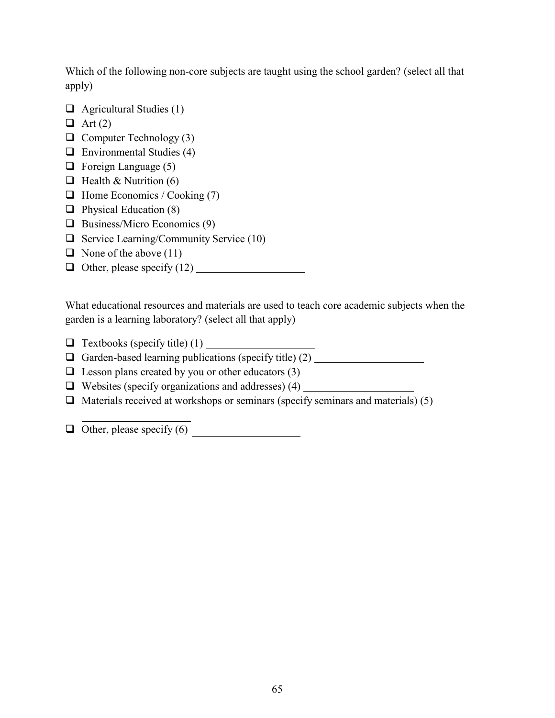Which of the following non-core subjects are taught using the school garden? (select all that apply)

- $\Box$  Agricultural Studies (1)
- $\Box$  Art (2)
- $\Box$  Computer Technology (3)
- $\Box$  Environmental Studies (4)
- $\Box$  Foreign Language (5)
- $\Box$  Health & Nutrition (6)
- $\Box$  Home Economics / Cooking (7)
- $\Box$  Physical Education (8)
- $\Box$  Business/Micro Economics (9)
- $\Box$  Service Learning/Community Service (10)
- $\Box$  None of the above (11)
- $\Box$  Other, please specify (12)

What educational resources and materials are used to teach core academic subjects when the garden is a learning laboratory? (select all that apply)

- $\Box$  Textbooks (specify title) (1)
- Garden-based learning publications (specify title) (2)
- $\Box$  Lesson plans created by you or other educators (3)
- $\Box$  Websites (specify organizations and addresses) (4)
- $\Box$  Materials received at workshops or seminars (specify seminars and materials) (5)

 $\Box$  Other, please specify (6)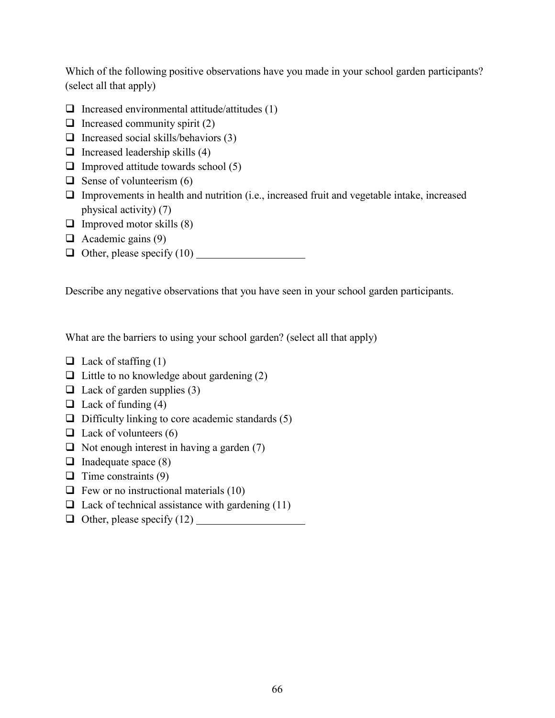Which of the following positive observations have you made in your school garden participants? (select all that apply)

- $\Box$  Increased environmental attitude/attitudes (1)
- $\Box$  Increased community spirit (2)
- $\Box$  Increased social skills/behaviors (3)
- $\Box$  Increased leadership skills (4)
- $\Box$  Improved attitude towards school (5)
- $\Box$  Sense of volunteerism (6)
- $\Box$  Improvements in health and nutrition (i.e., increased fruit and vegetable intake, increased physical activity) (7)
- $\Box$  Improved motor skills (8)
- $\Box$  Academic gains (9)
- $\Box$  Other, please specify (10)

Describe any negative observations that you have seen in your school garden participants.

What are the barriers to using your school garden? (select all that apply)

- $\Box$  Lack of staffing (1)
- $\Box$  Little to no knowledge about gardening (2)
- $\Box$  Lack of garden supplies (3)
- $\Box$  Lack of funding (4)
- $\Box$  Difficulty linking to core academic standards (5)
- $\Box$  Lack of volunteers (6)
- $\Box$  Not enough interest in having a garden (7)
- $\Box$  Inadequate space (8)
- $\Box$  Time constraints (9)
- $\Box$  Few or no instructional materials (10)
- $\Box$  Lack of technical assistance with gardening (11)
- $\Box$  Other, please specify (12)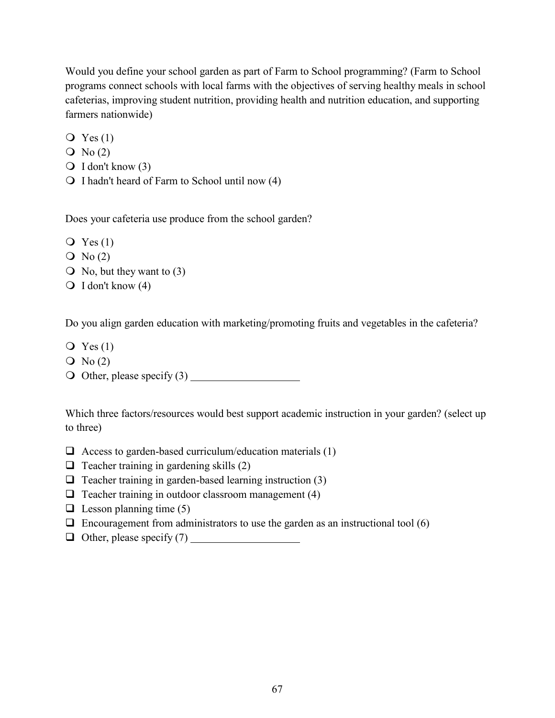Would you define your school garden as part of Farm to School programming? (Farm to School programs connect schools with local farms with the objectives of serving healthy meals in school cafeterias, improving student nutrition, providing health and nutrition education, and supporting farmers nationwide)

 $Q$  Yes  $(1)$ 

- $\overline{O}$  No (2)
- $\bigcirc$  I don't know (3)
- $\bigcirc$  I hadn't heard of Farm to School until now (4)

Does your cafeteria use produce from the school garden?

- $\overline{Q}$  Yes (1)
- $\overline{Q}$  No (2)
- $\bigcirc$  No, but they want to (3)
- $\bigcirc$  I don't know (4)

Do you align garden education with marketing/promoting fruits and vegetables in the cafeteria?

- $Q$  Yes  $(1)$
- $\overline{Q}$  No (2)
- Other, please specify (3)

Which three factors/resources would best support academic instruction in your garden? (select up to three)

- $\Box$  Access to garden-based curriculum/education materials (1)
- $\Box$  Teacher training in gardening skills (2)
- $\Box$  Teacher training in garden-based learning instruction (3)
- $\Box$  Teacher training in outdoor classroom management (4)
- $\Box$  Lesson planning time (5)
- $\Box$  Encouragement from administrators to use the garden as an instructional tool (6)
- $\Box$  Other, please specify (7)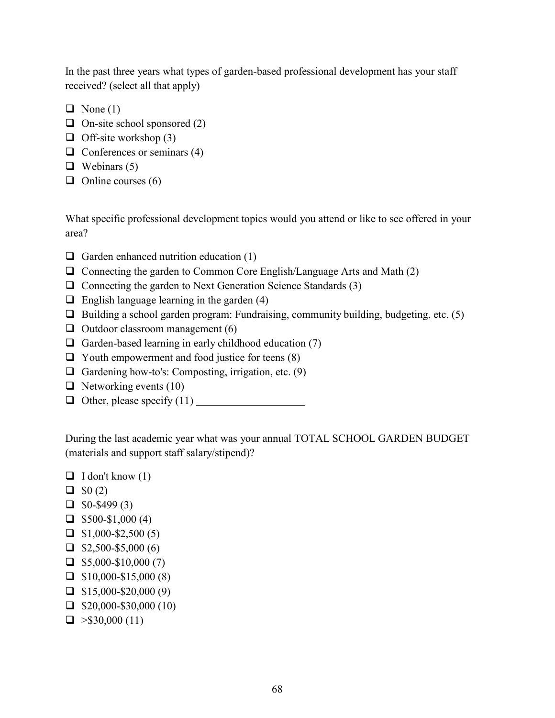In the past three years what types of garden-based professional development has your staff received? (select all that apply)

- $\Box$  None (1)
- $\Box$  On-site school sponsored (2)
- $\Box$  Off-site workshop (3)
- $\Box$  Conferences or seminars (4)
- $\Box$  Webinars (5)
- $\Box$  Online courses (6)

What specific professional development topics would you attend or like to see offered in your area?

- $\Box$  Garden enhanced nutrition education (1)
- $\Box$  Connecting the garden to Common Core English/Language Arts and Math (2)
- $\Box$  Connecting the garden to Next Generation Science Standards (3)
- $\Box$  English language learning in the garden (4)
- $\Box$  Building a school garden program: Fundraising, community building, budgeting, etc. (5)
- $\Box$  Outdoor classroom management (6)
- $\Box$  Garden-based learning in early childhood education (7)
- $\Box$  Youth empowerment and food justice for teens (8)
- Gardening how-to's: Composting, irrigation, etc.  $(9)$
- $\Box$  Networking events (10)
- $\Box$  Other, please specify (11)

During the last academic year what was your annual TOTAL SCHOOL GARDEN BUDGET (materials and support staff salary/stipend)?

- $\Box$  I don't know (1)
- $\Box$  \$0 (2)
- $\Box$  \$0-\$499 (3)
- $\Box$  \$500-\$1,000 (4)
- $\Box$  \$1,000-\$2,500 (5)
- $\Box$  \$2,500-\$5,000 (6)
- $\Box$  \$5,000-\$10,000 (7)
- $\Box$  \$10,000-\$15,000 (8)
- $\Box$  \$15,000-\$20,000 (9)
- $\Box$  \$20,000-\$30,000 (10)
- $\Box$  > \$30,000 (11)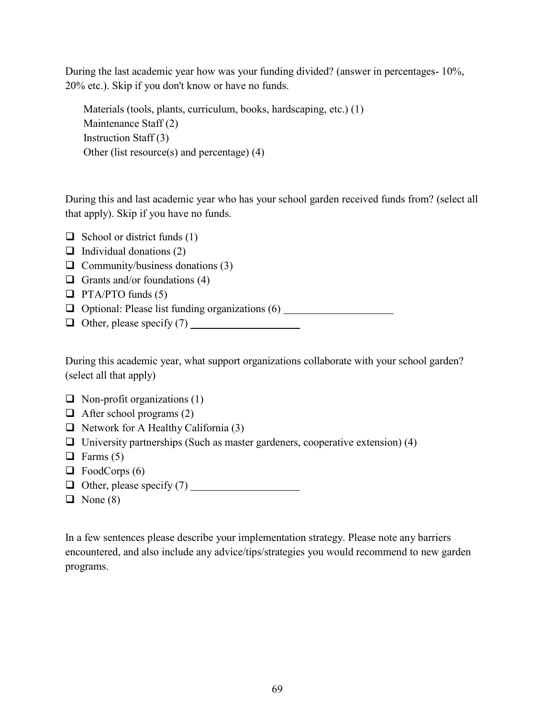During the last academic year how was your funding divided? (answer in percentages- 10%, 20% etc.). Skip if you don't know or have no funds.

```
Materials (tools, plants, curriculum, books, hardscaping, etc.) (1)
Maintenance Staff (2)
Instruction Staff (3)
Other (list resource(s) and percentage) (4)
```
During this and last academic year who has your school garden received funds from? (select all that apply). Skip if you have no funds.

 $\Box$  School or district funds (1)

- $\Box$  Individual donations (2)
- $\Box$  Community/business donations (3)
- Grants and/or foundations  $(4)$
- $\Box$  PTA/PTO funds (5)
- $\Box$  Optional: Please list funding organizations  $(6)$
- $\Box$  Other, please specify (7)

During this academic year, what support organizations collaborate with your school garden? (select all that apply)

- $\Box$  Non-profit organizations (1)
- $\Box$  After school programs (2)
- $\Box$  Network for A Healthy California (3)
- $\Box$  University partnerships (Such as master gardeners, cooperative extension) (4)
- $\Box$  Farms (5)
- $\Box$  FoodCorps (6)
- $\Box$  Other, please specify (7)
- $\Box$  None (8)

In a few sentences please describe your implementation strategy. Please note any barriers encountered, and also include any advice/tips/strategies you would recommend to new garden programs.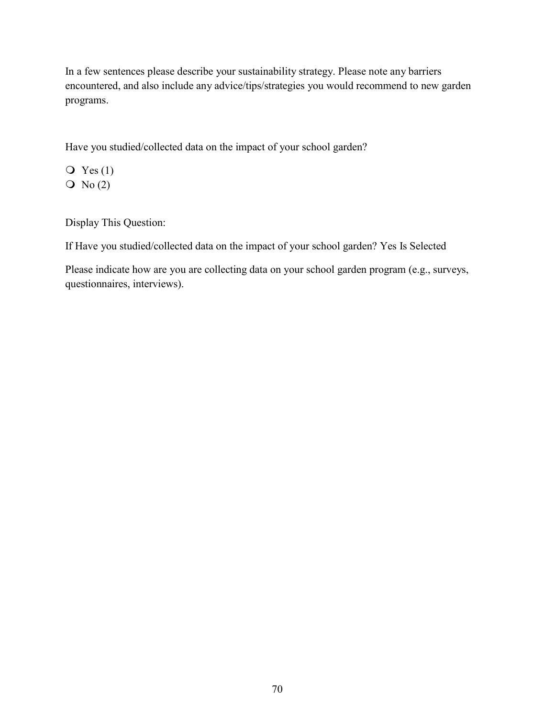In a few sentences please describe your sustainability strategy. Please note any barriers encountered, and also include any advice/tips/strategies you would recommend to new garden programs.

Have you studied/collected data on the impact of your school garden?

 $\overline{Q}$  Yes (1)  $\overline{O}$  No (2)

Display This Question:

If Have you studied/collected data on the impact of your school garden? Yes Is Selected

Please indicate how are you are collecting data on your school garden program (e.g., surveys, questionnaires, interviews).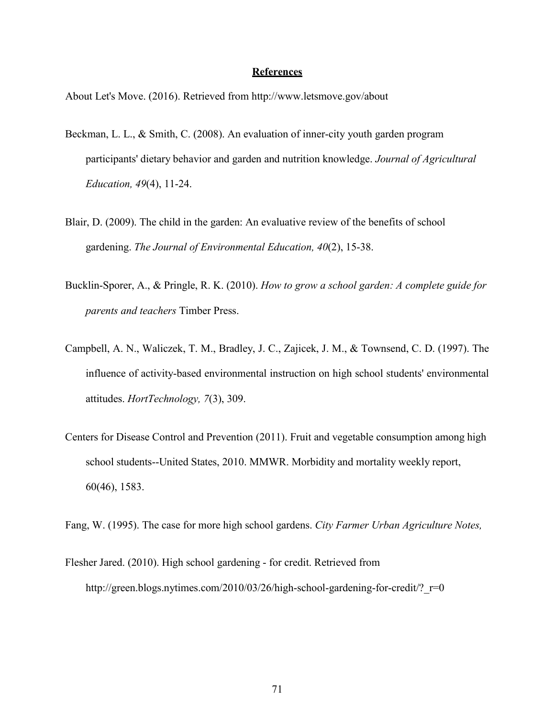#### **References**

About Let's Move. (2016). Retrieved from http://www.letsmove.gov/about

- Beckman, L. L., & Smith, C. (2008). An evaluation of inner-city youth garden program participants' dietary behavior and garden and nutrition knowledge. *Journal of Agricultural Education, 49*(4), 11-24.
- Blair, D. (2009). The child in the garden: An evaluative review of the benefits of school gardening. *The Journal of Environmental Education, 40*(2), 15-38.
- Bucklin-Sporer, A., & Pringle, R. K. (2010). *How to grow a school garden: A complete guide for parents and teachers* Timber Press.
- Campbell, A. N., Waliczek, T. M., Bradley, J. C., Zajicek, J. M., & Townsend, C. D. (1997). The influence of activity-based environmental instruction on high school students' environmental attitudes. *HortTechnology, 7*(3), 309.
- Centers for Disease Control and Prevention (2011). Fruit and vegetable consumption among high school students--United States, 2010. MMWR. Morbidity and mortality weekly report, 60(46), 1583.

Fang, W. (1995). The case for more high school gardens. *City Farmer Urban Agriculture Notes,*

Flesher Jared. (2010). High school gardening - for credit. Retrieved from http://green.blogs.nytimes.com/2010/03/26/high-school-gardening-for-credit/? r=0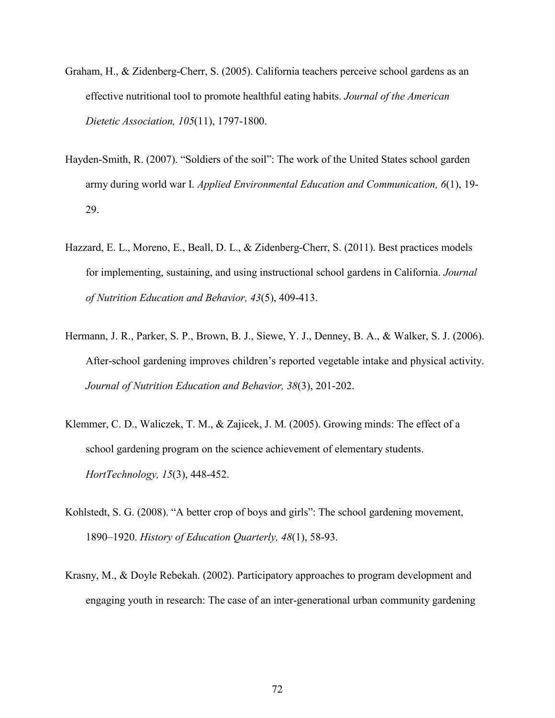- Graham, H., & Zidenberg-Cherr, S. (2005). California teachers perceive school gardens as an effective nutritional tool to promote healthful eating habits. *Journal of the American Dietetic Association, 105*(11), 1797-1800.
- Hayden-Smith, R. (2007). "Soldiers of the soil": The work of the United States school garden army during world war I. *Applied Environmental Education and Communication, 6*(1), 19- 29.
- Hazzard, E. L., Moreno, E., Beall, D. L., & Zidenberg-Cherr, S. (2011). Best practices models for implementing, sustaining, and using instructional school gardens in California. *Journal of Nutrition Education and Behavior, 43*(5), 409-413.
- Hermann, J. R., Parker, S. P., Brown, B. J., Siewe, Y. J., Denney, B. A., & Walker, S. J. (2006). After-school gardening improves children's reported vegetable intake and physical activity. *Journal of Nutrition Education and Behavior, 38*(3), 201-202.
- Klemmer, C. D., Waliczek, T. M., & Zajicek, J. M. (2005). Growing minds: The effect of a school gardening program on the science achievement of elementary students. *HortTechnology, 15*(3), 448-452.
- Kohlstedt, S. G. (2008). "A better crop of boys and girls": The school gardening movement, 1890–1920. *History of Education Quarterly, 48*(1), 58-93.
- Krasny, M., & Doyle Rebekah. (2002). Participatory approaches to program development and engaging youth in research: The case of an inter-generational urban community gardening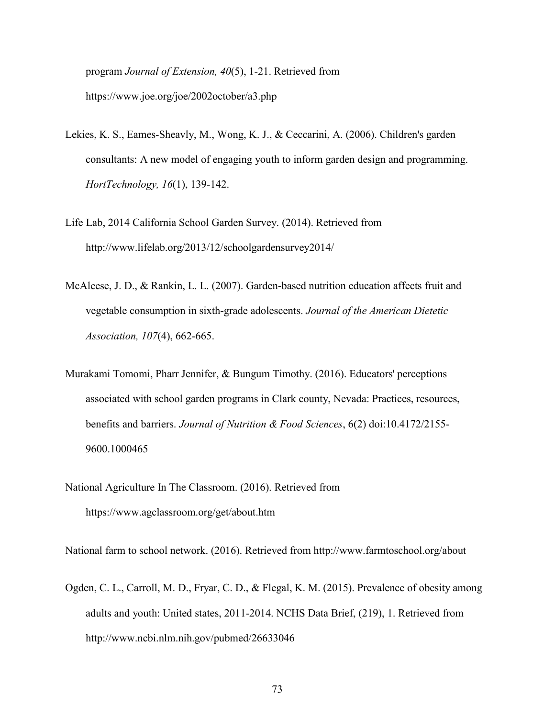program *Journal of Extension, 40*(5), 1-21. Retrieved from https://www.joe.org/joe/2002october/a3.php

- Lekies, K. S., Eames-Sheavly, M., Wong, K. J., & Ceccarini, A. (2006). Children's garden consultants: A new model of engaging youth to inform garden design and programming. *HortTechnology, 16*(1), 139-142.
- Life Lab, 2014 California School Garden Survey. (2014). Retrieved from http://www.lifelab.org/2013/12/schoolgardensurvey2014/
- McAleese, J. D., & Rankin, L. L. (2007). Garden-based nutrition education affects fruit and vegetable consumption in sixth-grade adolescents. *Journal of the American Dietetic Association, 107*(4), 662-665.
- Murakami Tomomi, Pharr Jennifer, & Bungum Timothy. (2016). Educators' perceptions associated with school garden programs in Clark county, Nevada: Practices, resources, benefits and barriers. *Journal of Nutrition & Food Sciences*, 6(2) doi:10.4172/2155- 9600.1000465
- National Agriculture In The Classroom. (2016). Retrieved from https://www.agclassroom.org/get/about.htm

National farm to school network. (2016). Retrieved from http://www.farmtoschool.org/about

Ogden, C. L., Carroll, M. D., Fryar, C. D., & Flegal, K. M. (2015). Prevalence of obesity among adults and youth: United states, 2011-2014. NCHS Data Brief, (219), 1. Retrieved from http://www.ncbi.nlm.nih.gov/pubmed/26633046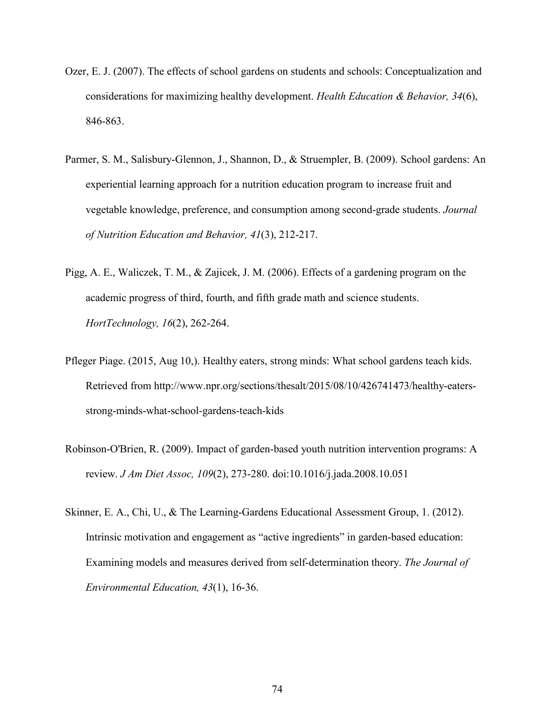- Ozer, E. J. (2007). The effects of school gardens on students and schools: Conceptualization and considerations for maximizing healthy development. *Health Education & Behavior, 34*(6), 846-863.
- Parmer, S. M., Salisbury-Glennon, J., Shannon, D., & Struempler, B. (2009). School gardens: An experiential learning approach for a nutrition education program to increase fruit and vegetable knowledge, preference, and consumption among second-grade students. *Journal of Nutrition Education and Behavior, 41*(3), 212-217.
- Pigg, A. E., Waliczek, T. M., & Zajicek, J. M. (2006). Effects of a gardening program on the academic progress of third, fourth, and fifth grade math and science students. *HortTechnology, 16*(2), 262-264.
- Pfleger Piage. (2015, Aug 10,). Healthy eaters, strong minds: What school gardens teach kids. Retrieved from http://www.npr.org/sections/thesalt/2015/08/10/426741473/healthy-eatersstrong-minds-what-school-gardens-teach-kids
- Robinson-O'Brien, R. (2009). Impact of garden-based youth nutrition intervention programs: A review. *J Am Diet Assoc, 109*(2), 273-280. doi:10.1016/j.jada.2008.10.051
- Skinner, E. A., Chi, U., & The Learning-Gardens Educational Assessment Group, 1. (2012). Intrinsic motivation and engagement as "active ingredients" in garden-based education: Examining models and measures derived from self-determination theory. *The Journal of Environmental Education, 43*(1), 16-36.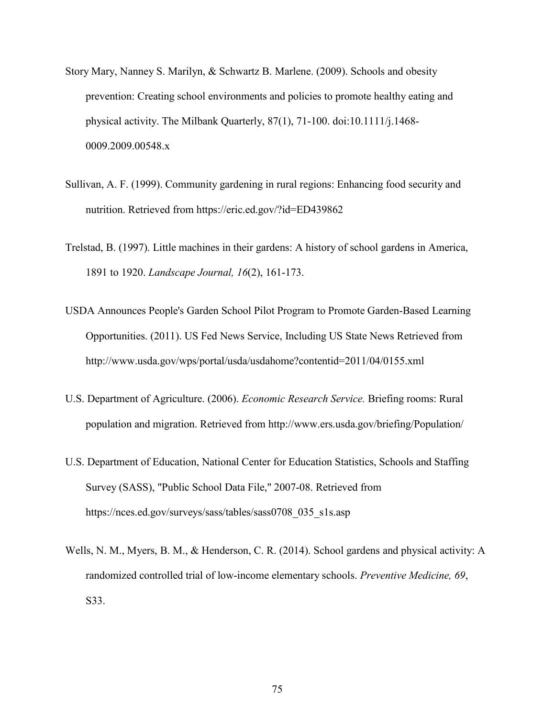- Story Mary, Nanney S. Marilyn, & Schwartz B. Marlene. (2009). Schools and obesity prevention: Creating school environments and policies to promote healthy eating and physical activity. The Milbank Quarterly, 87(1), 71-100. doi:10.1111/j.1468- 0009.2009.00548.x
- Sullivan, A. F. (1999). Community gardening in rural regions: Enhancing food security and nutrition. Retrieved from https://eric.ed.gov/?id=ED439862
- Trelstad, B. (1997). Little machines in their gardens: A history of school gardens in America, 1891 to 1920. *Landscape Journal, 16*(2), 161-173.
- USDA Announces People's Garden School Pilot Program to Promote Garden-Based Learning Opportunities. (2011). US Fed News Service, Including US State News Retrieved from http://www.usda.gov/wps/portal/usda/usdahome?contentid=2011/04/0155.xml
- U.S. Department of Agriculture. (2006). *Economic Research Service.* Briefing rooms: Rural population and migration. Retrieved from http://www.ers.usda.gov/briefing/Population/
- U.S. Department of Education, National Center for Education Statistics, Schools and Staffing Survey (SASS), "Public School Data File," 2007-08. Retrieved from https://nces.ed.gov/surveys/sass/tables/sass0708\_035\_s1s.asp
- Wells, N. M., Myers, B. M., & Henderson, C. R. (2014). School gardens and physical activity: A randomized controlled trial of low-income elementary schools. *Preventive Medicine, 69*, S33.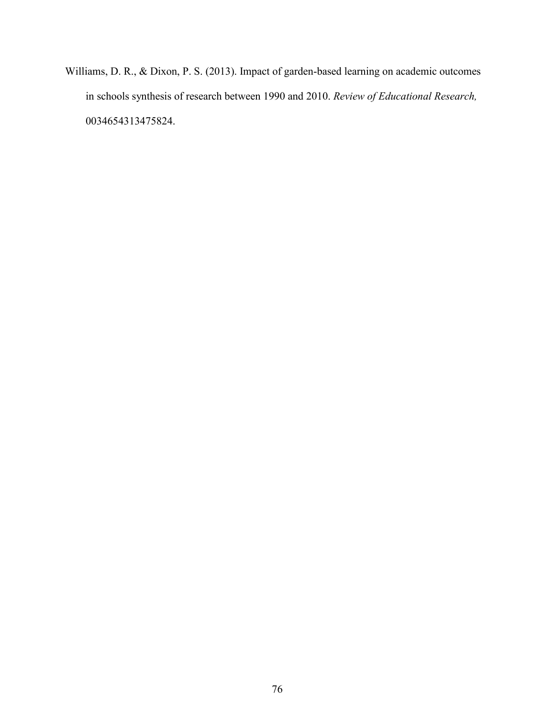Williams, D. R., & Dixon, P. S. (2013). Impact of garden-based learning on academic outcomes in schools synthesis of research between 1990 and 2010. *Review of Educational Research,* 0034654313475824.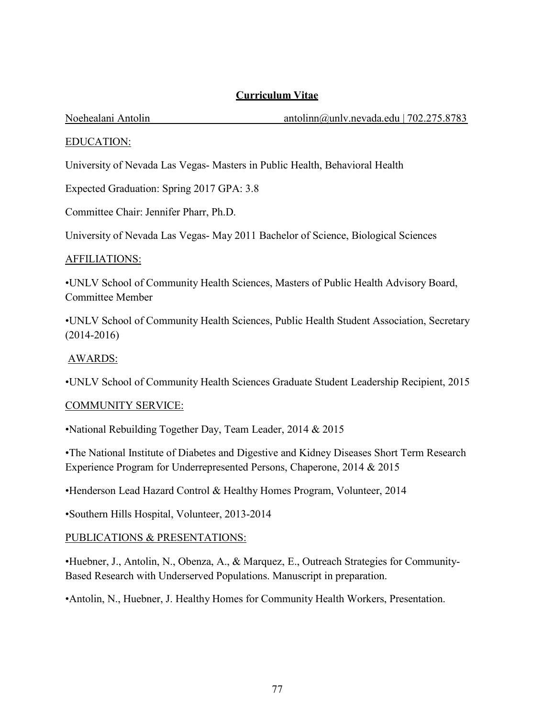# **Curriculum Vitae**

Noehealani Antolin antolin antolinn antolinn antolinn antolinn antolinn antolinn antolinn and antolinn and antolinn and antolinn and antolinn and antolinn and antolinn and antolinn and antolinn and antolinn and antolinn an

# EDUCATION:

University of Nevada Las Vegas- Masters in Public Health, Behavioral Health

Expected Graduation: Spring 2017 GPA: 3.8

Committee Chair: Jennifer Pharr, Ph.D.

University of Nevada Las Vegas- May 2011 Bachelor of Science, Biological Sciences

# AFFILIATIONS:

•UNLV School of Community Health Sciences, Masters of Public Health Advisory Board, Committee Member

•UNLV School of Community Health Sciences, Public Health Student Association, Secretary (2014-2016)

# AWARDS:

•UNLV School of Community Health Sciences Graduate Student Leadership Recipient, 2015

# COMMUNITY SERVICE:

•National Rebuilding Together Day, Team Leader, 2014 & 2015

•The National Institute of Diabetes and Digestive and Kidney Diseases Short Term Research Experience Program for Underrepresented Persons, Chaperone, 2014 & 2015

•Henderson Lead Hazard Control & Healthy Homes Program, Volunteer, 2014

•Southern Hills Hospital, Volunteer, 2013-2014

# PUBLICATIONS & PRESENTATIONS:

•Huebner, J., Antolin, N., Obenza, A., & Marquez, E., Outreach Strategies for Community-Based Research with Underserved Populations. Manuscript in preparation.

•Antolin, N., Huebner, J. Healthy Homes for Community Health Workers, Presentation.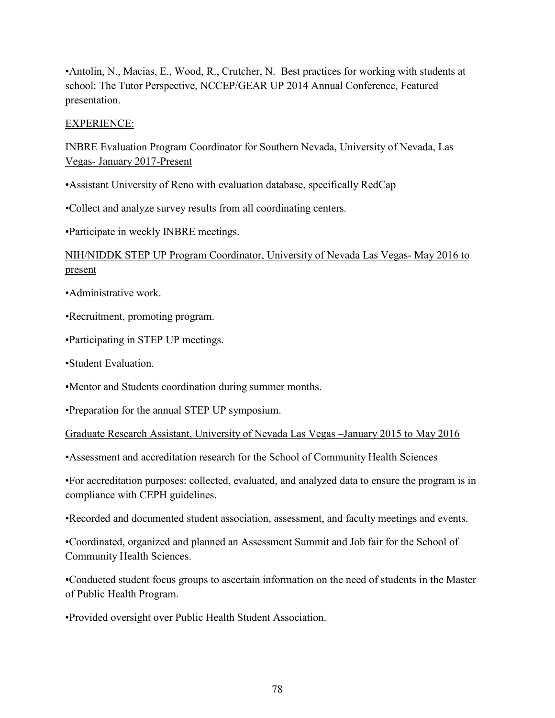•Antolin, N., Macias, E., Wood, R., Crutcher, N. Best practices for working with students at school: The Tutor Perspective, NCCEP/GEAR UP 2014 Annual Conference, Featured presentation.

# EXPERIENCE:

INBRE Evaluation Program Coordinator for Southern Nevada, University of Nevada, Las Vegas- January 2017-Present

•Assistant University of Reno with evaluation database, specifically RedCap

•Collect and analyze survey results from all coordinating centers.

•Participate in weekly INBRE meetings.

# NIH/NIDDK STEP UP Program Coordinator, University of Nevada Las Vegas- May 2016 to present

- •Administrative work.
- •Recruitment, promoting program.
- •Participating in STEP UP meetings.
- •Student Evaluation.
- •Mentor and Students coordination during summer months.

•Preparation for the annual STEP UP symposium.

Graduate Research Assistant, University of Nevada Las Vegas –January 2015 to May 2016

•Assessment and accreditation research for the School of Community Health Sciences

•For accreditation purposes: collected, evaluated, and analyzed data to ensure the program is in compliance with CEPH guidelines.

•Recorded and documented student association, assessment, and faculty meetings and events.

•Coordinated, organized and planned an Assessment Summit and Job fair for the School of Community Health Sciences.

•Conducted student focus groups to ascertain information on the need of students in the Master of Public Health Program.

•Provided oversight over Public Health Student Association.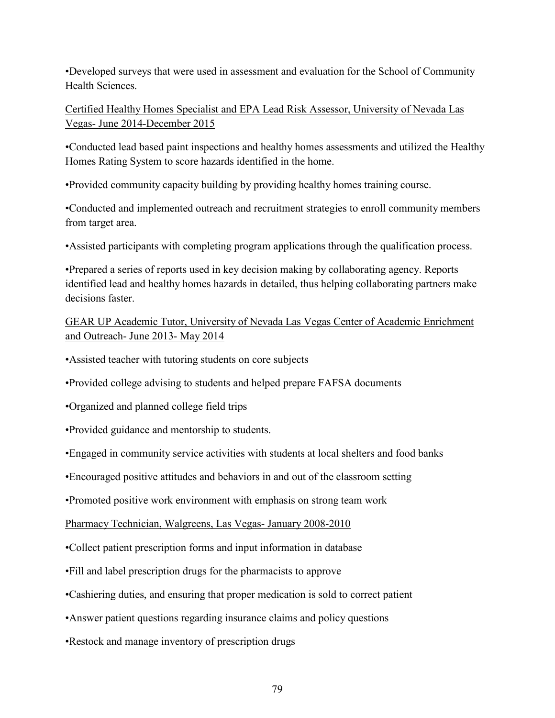•Developed surveys that were used in assessment and evaluation for the School of Community Health Sciences.

Certified Healthy Homes Specialist and EPA Lead Risk Assessor, University of Nevada Las Vegas- June 2014-December 2015

•Conducted lead based paint inspections and healthy homes assessments and utilized the Healthy Homes Rating System to score hazards identified in the home.

•Provided community capacity building by providing healthy homes training course.

•Conducted and implemented outreach and recruitment strategies to enroll community members from target area.

•Assisted participants with completing program applications through the qualification process.

•Prepared a series of reports used in key decision making by collaborating agency. Reports identified lead and healthy homes hazards in detailed, thus helping collaborating partners make decisions faster.

GEAR UP Academic Tutor, University of Nevada Las Vegas Center of Academic Enrichment and Outreach- June 2013- May 2014

•Assisted teacher with tutoring students on core subjects

•Provided college advising to students and helped prepare FAFSA documents

•Organized and planned college field trips

•Provided guidance and mentorship to students.

•Engaged in community service activities with students at local shelters and food banks

•Encouraged positive attitudes and behaviors in and out of the classroom setting

•Promoted positive work environment with emphasis on strong team work

Pharmacy Technician, Walgreens, Las Vegas- January 2008-2010

•Collect patient prescription forms and input information in database

•Fill and label prescription drugs for the pharmacists to approve

•Cashiering duties, and ensuring that proper medication is sold to correct patient

•Answer patient questions regarding insurance claims and policy questions

•Restock and manage inventory of prescription drugs